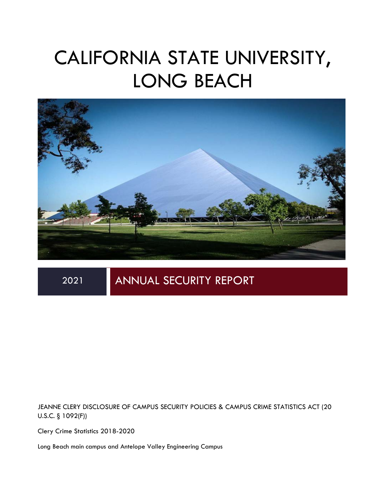# CALIFORNIA STATE UNIVERSITY, LONG BEACH



## 2021 ANNUAL SECURITY REPORT

JEANNE CLERY DISCLOSURE OF CAMPUS SECURITY POLICIES & CAMPUS CRIME STATISTICS ACT (20 U.S.C. § 1092(F))

Clery Crime Statistics 2018-2020

Long Beach main campus and Antelope Valley Engineering Campus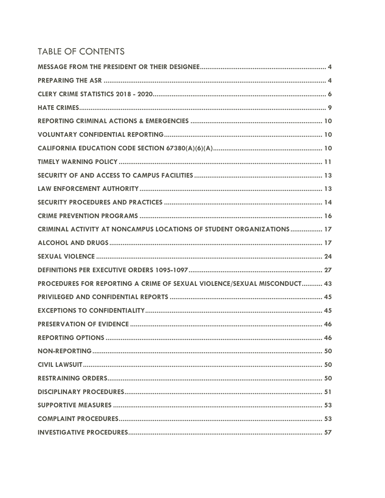## **TABLE OF CONTENTS**

| CRIMINAL ACTIVITY AT NONCAMPUS LOCATIONS OF STUDENT ORGANIZATIONS 17     |
|--------------------------------------------------------------------------|
|                                                                          |
|                                                                          |
|                                                                          |
| PROCEDURES FOR REPORTING A CRIME OF SEXUAL VIOLENCE/SEXUAL MISCONDUCT 43 |
|                                                                          |
|                                                                          |
|                                                                          |
|                                                                          |
|                                                                          |
|                                                                          |
|                                                                          |
|                                                                          |
|                                                                          |
|                                                                          |
|                                                                          |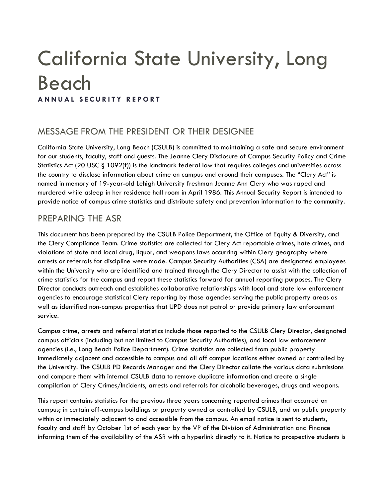# California State University, Long Beach **ANNUAL SECURITY REPO R T**

## <span id="page-3-0"></span>MESSAGE FROM THE PRESIDENT OR THEIR DESIGNEE

California State University, Long Beach (CSULB) is committed to maintaining a safe and secure environment for our students, faculty, staff and guests. The Jeanne Clery Disclosure of Campus Security Policy and Crime Statistics Act (20 USC § 1092(f)) is the landmark federal law that requires colleges and universities across the country to disclose information about crime on campus and around their campuses. The "Clery Act" is named in memory of 19-year-old Lehigh University freshman Jeanne Ann Clery who was raped and murdered while asleep in her residence hall room in April 1986. This Annual Security Report is intended to provide notice of campus crime statistics and distribute safety and prevention information to the community.

## <span id="page-3-1"></span>PREPARING THE ASR

This document has been prepared by the CSULB Police Department, the Office of Equity & Diversity, and the Clery Compliance Team. Crime statistics are collected for Clery Act reportable crimes, hate crimes, and violations of state and local drug, liquor, and weapons laws occurring within Clery geography where arrests or referrals for discipline were made. Campus Security Authorities (CSA) are designated employees within the University who are identified and trained through the Clery Director to assist with the collection of crime statistics for the campus and report these statistics forward for annual reporting purposes. The Clery Director conducts outreach and establishes collaborative relationships with local and state law enforcement agencies to encourage statistical Clery reporting by those agencies serving the public property areas as well as identified non-campus properties that UPD does not patrol or provide primary law enforcement service.

Campus crime, arrests and referral statistics include those reported to the CSULB Clery Director, designated campus officials (including but not limited to Campus Security Authorities), and local law enforcement agencies (i.e., Long Beach Police Department). Crime statistics are collected from public property immediately adjacent and accessible to campus and all off campus locations either owned or controlled by the University. The CSULB PD Records Manager and the Clery Director collate the various data submissions and compare them with internal CSULB data to remove duplicate information and create a single compilation of Clery Crimes/Incidents, arrests and referrals for alcoholic beverages, drugs and weapons.

This report contains statistics for the previous three years concerning reported crimes that occurred on campus; in certain off-campus buildings or property owned or controlled by CSULB, and on public property within or immediately adjacent to and accessible from the campus. An email notice is sent to students, faculty and staff by October 1st of each year by the VP of the Division of Administration and Finance informing them of the availability of the ASR with a hyperlink directly to it. Notice to prospective students is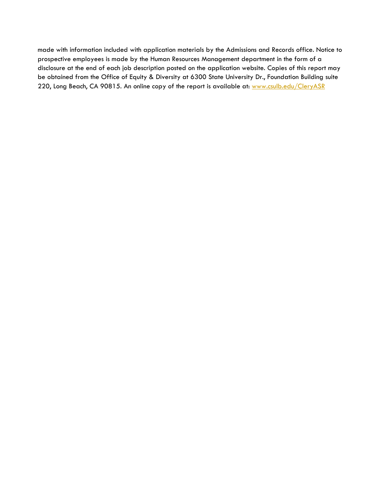made with information included with application materials by the Admissions and Records office. Notice to prospective employees is made by the Human Resources Management department in the form of a disclosure at the end of each job description posted on the application website. Copies of this report may be obtained from the Office of Equity & Diversity at 6300 State University Dr., Foundation Building suite 220, Long Beach, CA 90815. An online copy of the report is available at: www.csulb.edu/CleryASR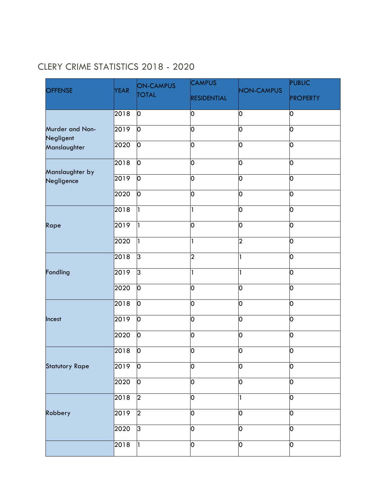## <span id="page-5-0"></span>CLERY CRIME STATISTICS 2018 - 2020

| <b>OFFENSE</b>               | <b>YEAR</b> | <b>ON-CAMPUS</b><br>TOTAL | <b>CAMPUS</b><br><b>RESIDENTIAL</b> | NON-CAMPUS     | <b>PUBLIC</b><br><b>PROPERTY</b> |
|------------------------------|-------------|---------------------------|-------------------------------------|----------------|----------------------------------|
|                              | 2018        | O                         | 0                                   | 0              | O                                |
| Murder and Non-<br>Negligent | 2019        | 0                         | O                                   | 0              | 0                                |
| Manslaughter                 | 2020        | 0                         | ō                                   | ō              | 0                                |
| Manslaughter by              | 2018        | O                         | o                                   | 0              | 0                                |
| Negligence                   | 2019        | 0                         | O                                   | 0              | ō                                |
|                              | 2020        | ō                         | ō                                   | ō              | ō                                |
|                              | 2018        | $\mathbf{1}$              | $\mathbf{1}$                        | ō              | ō                                |
| Rape                         | 2019        |                           | O                                   | 0              | o                                |
|                              | 2020        |                           | 1                                   | $\overline{2}$ | o                                |
|                              | 2018        | 3                         | $\overline{2}$                      | 1              | o                                |
| Fondling                     | 2019        | 3                         |                                     | 1              | o                                |
|                              | 2020        | 0                         | O                                   | ō              | ō                                |
|                              | 2018        | 0                         | O                                   | 0              | 0                                |
| Incest                       | 2019        | O                         | $\overline{0}$                      | ō              | o                                |
|                              | 2020        | ō                         | ō                                   | ō              | ō                                |
|                              | 2018        | 0                         | ō                                   | ō              | ō                                |
| <b>Statutory Rape</b>        | 2019        | O                         | 0                                   | 0              | 0                                |
|                              | 2020        | 0                         | o                                   | o              | o                                |
|                              | 2018        | $\overline{2}$            | O                                   | 1              | 0                                |
| Robbery                      | 2019        | $\overline{2}$            | $\overline{0}$                      | 0              | o                                |
|                              | 2020        | $\overline{3}$            | $\overline{0}$                      | ō              | ō                                |
|                              | 2018        | $\mathbf{1}$              | ō                                   | ō              | ō                                |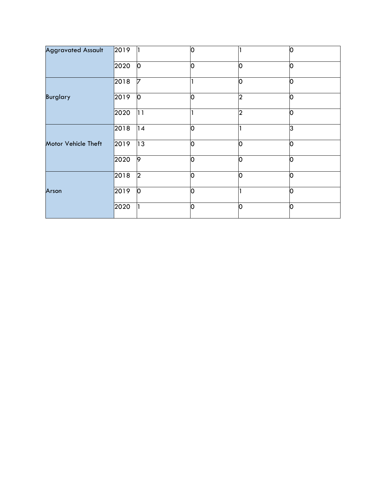| <b>Aggravated Assault</b> | 2019 |                | ი |                | $\overline{0}$ |
|---------------------------|------|----------------|---|----------------|----------------|
|                           |      |                |   |                |                |
|                           | 2020 | $\overline{0}$ | n | 0              | 0              |
|                           | 2018 | 7              |   | 0              | $\overline{0}$ |
| <b>Burglary</b>           | 2019 | $\overline{0}$ | 0 | $\overline{2}$ | l0             |
|                           | 2020 | 11             |   | っ              | $\Omega$       |
|                           | 2018 | 14             | ი |                | lЗ             |
| Motor Vehicle Theft       | 2019 | 13             | n | 0              | $\overline{0}$ |
|                           | 2020 | 9              | ი | 0              | 0              |
|                           | 2018 | $\overline{2}$ | ი | l0             | $\Omega$       |
| Arson                     | 2019 | $\overline{0}$ |   |                | b              |
|                           | 2020 |                | ი | 0              | 0              |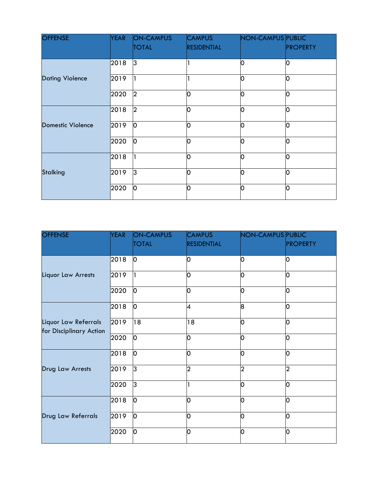| <b>OFFENSE</b>           | <b>YEAR</b> | <b>ON-CAMPUS</b><br>TOTAL | <b>CAMPUS</b><br><b>RESIDENTIAL</b> | NON-CAMPUS PUBLIC | <b>PROPERTY</b> |
|--------------------------|-------------|---------------------------|-------------------------------------|-------------------|-----------------|
|                          | 2018        | l3                        |                                     | ი                 | 0               |
| <b>Dating Violence</b>   | 2019        |                           |                                     | 0                 | 0               |
|                          | 2020        | 2                         | ი                                   | 0                 | O               |
|                          | 2018        | l2                        | n                                   | ი                 | $\overline{0}$  |
| <b>Domestic Violence</b> | 2019        | $\overline{0}$            | n                                   | ი                 | O               |
|                          | 2020        | $\overline{0}$            | n                                   | ი                 | $\overline{0}$  |
|                          | 2018        |                           | 0                                   | ი                 | $\overline{0}$  |
| <b>Stalking</b>          | 2019        | l3                        | $\Omega$                            | ი                 | $\overline{0}$  |
|                          | 2020        | $\overline{0}$            | 0                                   | ი                 | 0               |

| <b>OFFENSE</b>                                  | <b>YEAR</b> | <b>ON-CAMPUS</b><br>TOTAL | <b>CAMPUS</b><br><b>RESIDENTIAL</b> | <b>NON-CAMPUS PUBLIC</b> | <b>PROPERTY</b> |
|-------------------------------------------------|-------------|---------------------------|-------------------------------------|--------------------------|-----------------|
|                                                 | 2018        | O                         | 0                                   | ი                        | 0               |
| Liquor Law Arrests                              | 2019        |                           | 0                                   | 0                        | O               |
|                                                 | 2020        | 0                         | 0                                   | ი                        | O               |
|                                                 | 2018        | 0                         | 4                                   | 8                        | O               |
| Liquor Law Referrals<br>for Disciplinary Action | 2019        | 18                        | 18                                  | ი                        | lo              |
|                                                 | 2020        | 0                         | 0                                   | 0                        | O               |
|                                                 | 2018        | 0                         | 0                                   | ი                        | O               |
| Drug Law Arrests                                | 2019        | 3                         | $\overline{2}$                      | 2                        | 2               |
|                                                 | 2020        | l3                        |                                     | ∩                        | 0               |
|                                                 | 2018        | 0                         | 0                                   | 0                        | l0              |
| Drug Law Referrals                              | 2019        | O                         | 0                                   | ი                        | O               |
|                                                 | 2020        | 0                         | O                                   | 0                        | O               |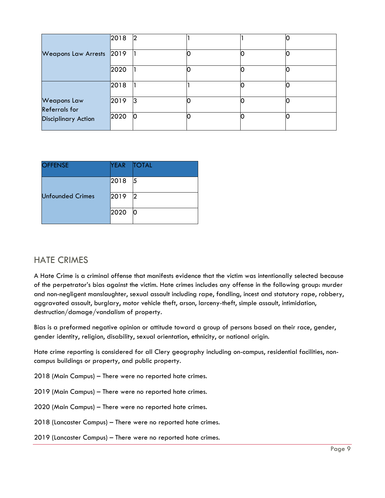|                                            | 2018 |   |  |  |
|--------------------------------------------|------|---|--|--|
| Weapons Law Arrests 2019                   |      |   |  |  |
|                                            | 2020 |   |  |  |
|                                            | 2018 |   |  |  |
| <b>Weapons Law</b><br><b>Referrals for</b> | 2019 | 3 |  |  |
| <b>Disciplinary Action</b>                 | 2020 | Ю |  |  |

| <b>OFFENSE</b>          | YEAR <b>TOTAL</b> |   |
|-------------------------|-------------------|---|
|                         | 2018              | 5 |
| <b>Unfounded Crimes</b> | 2019              |   |
|                         | 2020              |   |

## <span id="page-8-0"></span>HATE CRIMES

A Hate Crime is a criminal offense that manifests evidence that the victim was intentionally selected because of the perpetrator's bias against the victim. Hate crimes includes any offense in the following group: murder and non-negligent manslaughter, sexual assault including rape, fondling, incest and statutory rape, robbery, aggravated assault, burglary, motor vehicle theft, arson, larceny-theft, simple assault, intimidation, destruction/damage/vandalism of property.

Bias is a preformed negative opinion or attitude toward a group of persons based on their race, gender, gender identity, religion, disability, sexual orientation, ethnicity, or national origin.

Hate crime reporting is considered for all Clery geography including on-campus, residential facilities, noncampus buildings or property, and public property.

- 2018 (Main Campus) There were no reported hate crimes.
- 2019 (Main Campus) There were no reported hate crimes.
- 2020 (Main Campus) There were no reported hate crimes.
- 2018 (Lancaster Campus) There were no reported hate crimes.
- 2019 (Lancaster Campus) There were no reported hate crimes.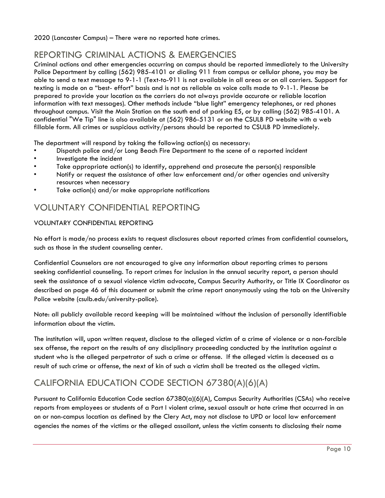2020 (Lancaster Campus) – There were no reported hate crimes.

## <span id="page-9-0"></span>REPORTING CRIMINAL ACTIONS & EMERGENCIES

<span id="page-9-1"></span>Criminal actions and other emergencies occurring on campus should be reported immediately to the University Police Department by calling (562) 985-4101 or dialing 911 from campus or cellular phone, you may be able to send a text message to 9-1-1 (Text-to-911 is not available in all areas or on all carriers. Support for texting is made on a "best- effort" basis and is not as reliable as voice calls made to 9-1-1. Please be prepared to provide your location as the carriers do not always provide accurate or reliable location information with text messages). Other methods include "blue light" emergency telephones, or red phones throughout campus. Visit the Main Station on the south end of parking E5, or by calling (562) 985-4101. A confidential "We Tip" line is also available at (562) 986-5131 or on the CSULB PD website with a web fillable form. All crimes or suspicious activity/persons should be reported to CSULB PD immediately.

The department will respond by taking the following action(s) as necessary:

- Dispatch police and/or Long Beach Fire Department to the scene of a reported incident
- Investigate the incident
- Take appropriate action(s) to identify, apprehend and prosecute the person(s) responsible
- Notify or request the assistance of other law enforcement and/or other agencies and university resources when necessary
- Take action(s) and/or make appropriate notifications

## VOLUNTARY CONFIDENTIAL REPORTING

#### VOLUNTARY CONFIDENTIAL REPORTING

No effort is made/no process exists to request disclosures about reported crimes from confidential counselors, such as those in the student counseling center.

Confidential Counselors are not encouraged to give any information about reporting crimes to persons seeking confidential counseling. To report crimes for inclusion in the annual security report, a person should seek the assistance of a sexual violence victim advocate, Campus Security Authority, or Title IX Coordinator as described on page 46 of this document or submit the crime report anonymously using the tab on the University Police website (csulb.edu/university-police).

Note: all publicly available record keeping will be maintained without the inclusion of personally identifiable information about the victim.

The institution will, upon written request, disclose to the alleged victim of a crime of violence or a non-forcible sex offense, the report on the results of any disciplinary proceeding conducted by the institution against a student who is the alleged perpetrator of such a crime or offense. If the alleged victim is deceased as a result of such crime or offense, the next of kin of such a victim shall be treated as the alleged victim.

## <span id="page-9-2"></span>CALIFORNIA EDUCATION CODE SECTION 67380(A)(6)(A)

Pursuant to California Education Code section 67380(a)(6)(A), Campus Security Authorities (CSAs) who receive reports from employees or students of a Part I violent crime, sexual assault or hate crime that occurred in an on or non-campus location as defined by the Clery Act, may not disclose to UPD or local law enforcement agencies the names of the victims or the alleged assailant, unless the victim consents to disclosing their name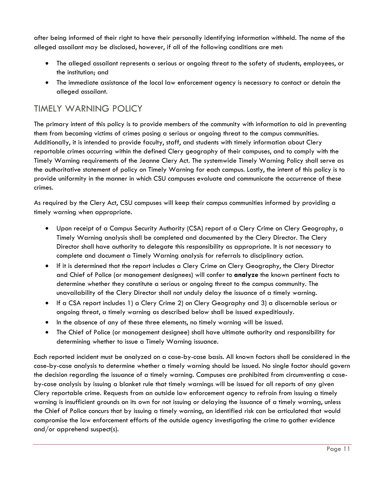after being informed of their right to have their personally identifying information withheld. The name of the alleged assailant may be disclosed, however, if all of the following conditions are met:

- The alleged assailant represents a serious or ongoing threat to the safety of students, employees, or the institution; and
- The immediate assistance of the local law enforcement agency is necessary to contact or detain the alleged assailant.

## <span id="page-10-0"></span>TIMELY WARNING POLICY

The primary intent of this policy is to provide members of the community with information to aid in preventing them from becoming victims of crimes posing a serious or ongoing threat to the campus communities. Additionally, it is intended to provide faculty, staff, and students with timely information about Clery reportable crimes occurring within the defined Clery geography of their campuses, and to comply with the Timely Warning requirements of the Jeanne Clery Act. The systemwide Timely Warning Policy shall serve as the authoritative statement of policy on Timely Warning for each campus. Lastly, the intent of this policy is to provide uniformity in the manner in which CSU campuses evaluate and communicate the occurrence of these crimes.

As required by the Clery Act, CSU campuses will keep their campus communities informed by providing a timely warning when appropriate.

- Upon receipt of a Campus Security Authority (CSA) report of a Clery Crime on Clery Geography, a Timely Warning analysis shall be completed and documented by the Clery Director. The Clery Director shall have authority to delegate this responsibility as appropriate. It is not necessary to complete and document a Timely Warning analysis for referrals to disciplinary action.
- If it is determined that the report includes a Clery Crime on Clery Geography, the Clery Director and Chief of Police (or management designees) will confer to **analyze** the known pertinent facts to determine whether they constitute a serious or ongoing threat to the campus community. The unavailability of the Clery Director shall not unduly delay the issuance of a timely warning.
- If a CSA report includes 1) a Clery Crime 2) on Clery Geography and 3) a discernable serious or ongoing threat, a timely warning as described below shall be issued expeditiously.
- In the absence of any of these three elements, no timely warning will be issued.
- The Chief of Police (or management designee) shall have ultimate authority and responsibility for determining whether to issue a Timely Warning issuance.

Each reported incident must be analyzed on a case-by-case basis. All known factors shall be considered in the case-by-case analysis to determine whether a timely warning should be issued. No single factor should govern the decision regarding the issuance of a timely warning. Campuses are prohibited from circumventing a caseby-case analysis by issuing a blanket rule that timely warnings will be issued for all reports of any given Clery reportable crime. Requests from an outside law enforcement agency to refrain from issuing a timely warning is insufficient grounds on its own for not issuing or delaying the issuance of a timely warning, unless the Chief of Police concurs that by issuing a timely warning, an identified risk can be articulated that would compromise the law enforcement efforts of the outside agency investigating the crime to gather evidence and/or apprehend suspect(s).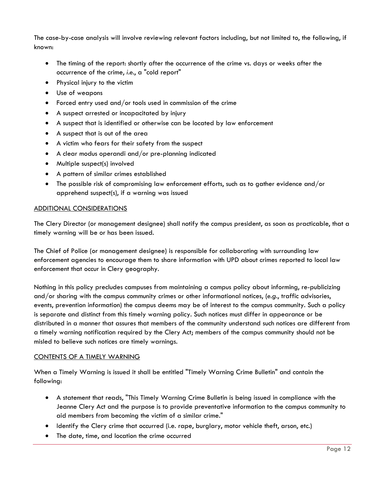The case-by-case analysis will involve reviewing relevant factors including, but not limited to, the following, if known:

- The timing of the report: shortly after the occurrence of the crime vs. days or weeks after the occurrence of the crime, *i.e.*, a "cold report"
- Physical injury to the victim
- Use of weapons
- Forced entry used and/or tools used in commission of the crime
- A suspect arrested or incapacitated by injury
- A suspect that is identified or otherwise can be located by law enforcement
- A suspect that is out of the area
- A victim who fears for their safety from the suspect
- A clear modus operandi and/or pre-planning indicated
- Multiple suspect(s) involved
- A pattern of similar crimes established
- The possible risk of compromising law enforcement efforts, such as to gather evidence and/or apprehend suspect(s), if a warning was issued

#### ADDITIONAL CONSIDERATIONS

The Clery Director (or management designee) shall notify the campus president, as soon as practicable, that a timely warning will be or has been issued.

The Chief of Police (or management designee) is responsible for collaborating with surrounding law enforcement agencies to encourage them to share information with UPD about crimes reported to local law enforcement that occur in Clery geography.

Nothing in this policy precludes campuses from maintaining a campus policy about informing, re-publicizing and/or sharing with the campus community crimes or other informational notices, (*e.g.*, traffic advisories, events, prevention information) the campus deems may be of interest to the campus community. Such a policy is separate and distinct from this timely warning policy. Such notices must differ in appearance or be distributed in a manner that assures that members of the community understand such notices are different from a timely warning notification required by the Clery Act; members of the campus community should not be misled to believe such notices are timely warnings.

#### CONTENTS OF A TIMELY WARNING

When a Timely Warning is issued it shall be entitled "Timely Warning Crime Bulletin" and contain the following:

- A statement that reads, "This Timely Warning Crime Bulletin is being issued in compliance with the Jeanne Clery Act and the purpose is to provide preventative information to the campus community to aid members from becoming the victim of a similar crime."
- Identify the Clery crime that occurred (i.e. rape, burglary, motor vehicle theft, arson, etc.)
- The date, time, and location the crime occurred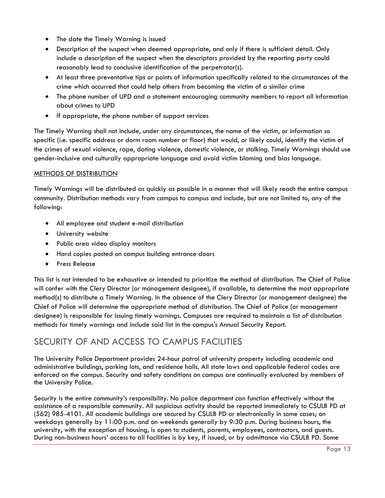- The date the Timely Warning is issued
- Description of the suspect when deemed appropriate, and only if there is sufficient detail. Only include a description of the suspect when the descriptors provided by the reporting party could reasonably lead to conclusive identification of the perpetrator(s).
- At least three preventative tips or points of information specifically related to the circumstances of the crime which occurred that could help others from becoming the victim of a similar crime
- The phone number of UPD and a statement encouraging community members to report all information about crimes to UPD
- If appropriate, the phone number of support services

The Timely Warning shall not include, under any circumstances, the name of the victim, or information so specific (i.e. specific address or dorm room number or floor) that would, or likely could, identify the victim of the crimes of sexual violence, rape, dating violence, domestic violence, or stalking. Timely Warnings should use gender-inclusive and culturally appropriate language and avoid victim blaming and bias language.

#### METHODS OF DISTRIBUTION

Timely Warnings will be distributed as quickly as possible in a manner that will likely reach the entire campus community. Distribution methods vary from campus to campus and include, but are not limited to, any of the following:

- All employee and student e-mail distribution
- University website
- Public area video display monitors
- Hard copies posted on campus building entrance doors
- Press Release

This list is not intended to be exhaustive or intended to prioritize the method of distribution. The Chief of Police will confer with the Clery Director (or management designee), if available, to determine the most appropriate method(s) to distribute a Timely Warning. In the absence of the Clery Director (or management designee) the Chief of Police will determine the appropriate method of distribution. The Chief of Police (or management designee) is responsible for issuing timely warnings. Campuses are required to maintain a list of distribution methods for timely warnings and include said list in the campus's Annual Security Report.

## <span id="page-12-0"></span>SECURITY OF AND ACCESS TO CAMPUS FACILITIES

<span id="page-12-1"></span>The University Police Department provides 24-hour patrol of university property including academic and administrative buildings, parking lots, and residence halls. All state laws and applicable federal codes are enforced on the campus. Security and safety conditions on campus are continually evaluated by members of the University Police.

Security is the entire community's responsibility. No police department can function effectively without the assistance of a responsible community. All suspicious activity should be reported immediately to CSULB PD at (562) 985-4101. All academic buildings are secured by CSULB PD or electronically in some cases; on weekdays generally by 11:00 p.m. and on weekends generally by 9:30 p.m. During business hours, the university, with the exception of housing, is open to students, parents, employees, contractors, and guests. During non-business hours' access to all facilities is by key, if issued, or by admittance via CSULB PD. Some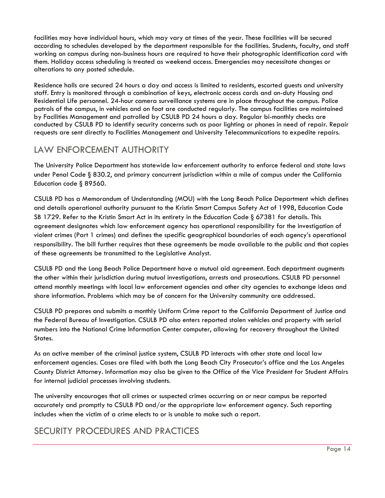facilities may have individual hours, which may vary at times of the year. These facilities will be secured according to schedules developed by the department responsible for the facilities. Students, faculty, and staff working on campus during non-business hours are required to have their photographic identification card with them. Holiday access scheduling is treated as weekend access. Emergencies may necessitate changes or alterations to any posted schedule.

Residence halls are secured 24 hours a day and access is limited to residents, escorted guests and university staff. Entry is monitored through a combination of keys, electronic access cards and on-duty Housing and Residential Life personnel. 24-hour camera surveillance systems are in place throughout the campus. Police patrols of the campus, in vehicles and on foot are conducted regularly. The campus facilities are maintained by Facilities Management and patrolled by CSULB PD 24 hours a day. Regular bi-monthly checks are conducted by CSULB PD to identify security concerns such as poor lighting or phones in need of repair. Repair requests are sent directly to Facilities Management and University Telecommunications to expedite repairs.

## LAW ENFORCEMENT AUTHORITY

The University Police Department has statewide law enforcement authority to enforce federal and state laws under Penal Code § 830.2, and primary concurrent jurisdiction within a mile of campus under the California Education code § 89560.

CSULB PD has a Memorandum of Understanding (MOU) with the Long Beach Police Department which defines and details operational authority pursuant to the Kristin Smart Campus Safety Act of 1998, Education Code SB 1729. Refer to the Kristin Smart Act in its entirety in the Education Code § 67381 for details. This agreement designates which law enforcement agency has operational responsibility for the investigation of violent crimes (Part 1 crimes) and defines the specific geographical boundaries of each agency's operational responsibility. The bill further requires that these agreements be made available to the public and that copies of these agreements be transmitted to the Legislative Analyst.

CSULB PD and the Long Beach Police Department have a mutual aid agreement. Each department augments the other within their jurisdiction during mutual investigations, arrests and prosecutions. CSULB PD personnel attend monthly meetings with local law enforcement agencies and other city agencies to exchange ideas and share information. Problems which may be of concern for the University community are addressed.

CSULB PD prepares and submits a monthly Uniform Crime report to the California Department of Justice and the Federal Bureau of Investigation. CSULB PD also enters reported stolen vehicles and property with serial numbers into the National Crime Information Center computer, allowing for recovery throughout the United States.

As an active member of the criminal justice system, CSULB PD interacts with other state and local law enforcement agencies. Cases are filed with both the Long Beach City Prosecutor's office and the Los Angeles County District Attorney. Information may also be given to the Office of the Vice President for Student Affairs for internal judicial processes involving students.

The university encourages that all crimes or suspected crimes occurring on or near campus be reported accurately and promptly to CSULB PD and/or the appropriate law enforcement agency. Such reporting includes when the victim of a crime elects to or is unable to make such a report.

## <span id="page-13-0"></span>SECURITY PROCEDURES AND PRACTICES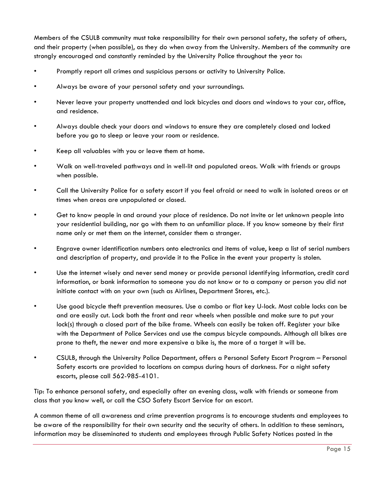Members of the CSULB community must take responsibility for their own personal safety, the safety of others, and their property (when possible), as they do when away from the University. Members of the community are strongly encouraged and constantly reminded by the University Police throughout the year to:

- Promptly report all crimes and suspicious persons or activity to University Police.
- Always be aware of your personal safety and your surroundings.
- Never leave your property unattended and lock bicycles and doors and windows to your car, office, and residence.
- Always double check your doors and windows to ensure they are completely closed and locked before you go to sleep or leave your room or residence.
- Keep all valuables with you or leave them at home.
- Walk on well-traveled pathways and in well-lit and populated areas. Walk with friends or groups when possible.
- Call the University Police for a safety escort if you feel afraid or need to walk in isolated areas or at times when areas are unpopulated or closed.
- Get to know people in and around your place of residence. Do not invite or let unknown people into your residential building, nor go with them to an unfamiliar place. If you know someone by their first name only or met them on the internet, consider them a stranger.
- Engrave owner identification numbers onto electronics and items of value, keep a list of serial numbers and description of property, and provide it to the Police in the event your property is stolen.
- Use the internet wisely and never send money or provide personal identifying information, credit card information, or bank information to someone you do not know or to a company or person you did not initiate contact with on your own (such as Airlines, Department Stores, etc.).
- Use good bicycle theft prevention measures. Use a combo or flat key U-lock. Most cable locks can be and are easily cut. Lock both the front and rear wheels when possible and make sure to put your lock(s) through a closed part of the bike frame. Wheels can easily be taken off. Register your bike with the Department of Police Services and use the campus bicycle compounds. Although all bikes are prone to theft, the newer and more expensive a bike is, the more of a target it will be.
- CSULB, through the University Police Department, offers a Personal Safety Escort Program Personal Safety escorts are provided to locations on campus during hours of darkness. For a night safety escorts, please call 562-985-4101.

Tip: To enhance personal safety, and especially after an evening class, walk with friends or someone from class that you know well, or call the CSO Safety Escort Service for an escort.

A common theme of all awareness and crime prevention programs is to encourage students and employees to be aware of the responsibility for their own security and the security of others. In addition to these seminars, information may be disseminated to students and employees through Public Safety Notices posted in the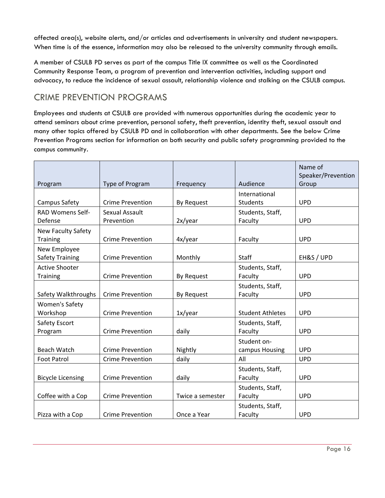affected area(s), website alerts, and/or articles and advertisements in university and student newspapers. When time is of the essence, information may also be released to the university community through emails.

A member of CSULB PD serves as part of the campus Title IX committee as well as the Coordinated Community Response Team, a program of prevention and intervention activities, including support and advocacy, to reduce the incidence of sexual assault, relationship violence and stalking on the CSULB campus.

## <span id="page-15-0"></span>CRIME PREVENTION PROGRAMS

Employees and students at CSULB are provided with numerous opportunities during the academic year to attend seminars about crime prevention, personal safety, theft prevention, identity theft, sexual assault and many other topics offered by CSULB PD and in collaboration with other departments. See the below Crime Prevention Programs section for information on both security and public safety programming provided to the campus community.

| Program                   | Type of Program         | Frequency         | Audience                  | Name of<br>Speaker/Prevention<br>Group |
|---------------------------|-------------------------|-------------------|---------------------------|----------------------------------------|
|                           |                         |                   |                           |                                        |
| Campus Safety             | <b>Crime Prevention</b> | <b>By Request</b> | International<br>Students | <b>UPD</b>                             |
| <b>RAD Womens Self-</b>   | Sexual Assault          |                   | Students, Staff,          |                                        |
| Defense                   | Prevention              | 2x/year           | Faculty                   | <b>UPD</b>                             |
| <b>New Faculty Safety</b> |                         |                   |                           |                                        |
| <b>Training</b>           | <b>Crime Prevention</b> | 4x/year           | Faculty                   | <b>UPD</b>                             |
| New Employee              |                         |                   |                           |                                        |
| <b>Safety Training</b>    | <b>Crime Prevention</b> | Monthly           | <b>Staff</b>              | EH&S / UPD                             |
| <b>Active Shooter</b>     |                         |                   | Students, Staff,          |                                        |
| Training                  | <b>Crime Prevention</b> | <b>By Request</b> | Faculty                   | <b>UPD</b>                             |
|                           |                         |                   | Students, Staff,          |                                        |
| Safety Walkthroughs       | <b>Crime Prevention</b> | <b>By Request</b> | Faculty                   | <b>UPD</b>                             |
| Women's Safety            |                         |                   |                           |                                        |
| Workshop                  | <b>Crime Prevention</b> | 1x/year           | <b>Student Athletes</b>   | <b>UPD</b>                             |
| Safety Escort             |                         |                   | Students, Staff,          |                                        |
| Program                   | <b>Crime Prevention</b> | daily             | Faculty                   | <b>UPD</b>                             |
|                           |                         |                   | Student on-               |                                        |
| <b>Beach Watch</b>        | <b>Crime Prevention</b> | Nightly           | campus Housing            | <b>UPD</b>                             |
| <b>Foot Patrol</b>        | <b>Crime Prevention</b> | daily             | All                       | <b>UPD</b>                             |
|                           |                         |                   | Students, Staff,          |                                        |
| <b>Bicycle Licensing</b>  | <b>Crime Prevention</b> | daily             | Faculty                   | <b>UPD</b>                             |
|                           |                         |                   | Students, Staff,          |                                        |
| Coffee with a Cop         | <b>Crime Prevention</b> | Twice a semester  | Faculty                   | <b>UPD</b>                             |
|                           |                         |                   | Students, Staff,          |                                        |
| Pizza with a Cop          | <b>Crime Prevention</b> | Once a Year       | Faculty                   | <b>UPD</b>                             |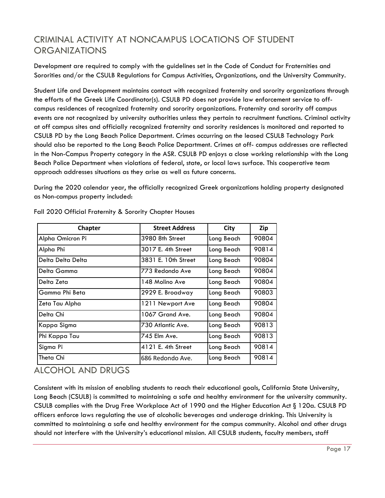## <span id="page-16-0"></span>CRIMINAL ACTIVITY AT NONCAMPUS LOCATIONS OF STUDENT ORGANIZATIONS

Development are required to comply with the guidelines set in the Code of Conduct for Fraternities and Sororities and/or the CSULB Regulations for Campus Activities, Organizations, and the University Community.

Student Life and Development maintains contact with recognized fraternity and sorority organizations through the efforts of the Greek Life Coordinator(s). CSULB PD does not provide law enforcement service to offcampus residences of recognized fraternity and sorority organizations. Fraternity and sorority off campus events are not recognized by university authorities unless they pertain to recruitment functions. Criminal activity at off campus sites and officially recognized fraternity and sorority residences is monitored and reported to CSULB PD by the Long Beach Police Department. Crimes occurring on the leased CSULB Technology Park should also be reported to the Long Beach Police Department. Crimes at off- campus addresses are reflected in the Non-Campus Property category in the ASR. CSULB PD enjoys a close working relationship with the Long Beach Police Department when violations of federal, state, or local laws surface. This cooperative team approach addresses situations as they arise as well as future concerns.

During the 2020 calendar year, the officially recognized Greek organizations holding property designated as Non-campus property included:

<span id="page-16-1"></span>

| <b>Chapter</b>    | <b>Street Address</b> | City       | Zip   |
|-------------------|-----------------------|------------|-------|
| Alpha Omicron Pi  | 3980 8th Street       | Long Beach | 90804 |
| Alpha Phi         | 3017 E. 4th Street    | Long Beach | 90814 |
| Delta Delta Delta | 3831 E. 10th Street   | Long Beach | 90804 |
| Delta Gamma       | 773 Redondo Ave       | Long Beach | 90804 |
| Delta Zeta        | 148 Molino Ave        | Long Beach | 90804 |
| Gamma Phi Beta    | 2929 E. Broadway      | Long Beach | 90803 |
| Zeta Tau Alpha    | 1211 Newport Ave      | Long Beach | 90804 |
| Delta Chi         | 1067 Grand Ave.       | Long Beach | 90804 |
| Kappa Sigma       | 730 Atlantic Ave.     | Long Beach | 90813 |
| Phi Kappa Tau     | 745 Elm Ave.          | Long Beach | 90813 |
| Sigma Pi          | 4121 E. 4th Street    | Long Beach | 90814 |
| Theta Chi         | 686 Redondo Ave.      | Long Beach | 90814 |

Fall 2020 Official Fraternity & Sorority Chapter Houses

### ALCOHOL AND DRUGS

Consistent with its mission of enabling students to reach their educational goals, California State University, Long Beach (CSULB) is committed to maintaining a safe and healthy environment for the university community. CSULB complies with the Drug Free Workplace Act of 1990 and the Higher Education Act § 120a. CSULB PD officers enforce laws regulating the use of alcoholic beverages and underage drinking. This University is committed to maintaining a safe and healthy environment for the campus community. Alcohol and other drugs should not interfere with the University's educational mission. All CSULB students, faculty members, staff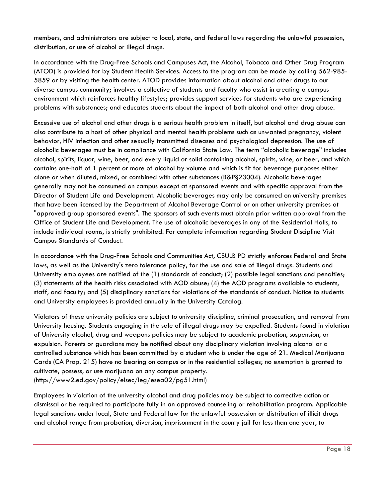members, and administrators are subject to local, state, and federal laws regarding the unlawful possession, distribution, or use of alcohol or illegal drugs.

In accordance with the Drug-Free Schools and Campuses Act, the Alcohol, Tobacco and Other Drug Program (ATOD) is provided for by Student Health Services. Access to the program can be made by calling 562-985- 5859 or by visiting the health center. ATOD provides information about alcohol and other drugs to our diverse campus community; involves a collective of students and faculty who assist in creating a campus environment which reinforces healthy lifestyles; provides support services for students who are experiencing problems with substances; and educates students about the impact of both alcohol and other drug abuse.

Excessive use of alcohol and other drugs is a serious health problem in itself, but alcohol and drug abuse can also contribute to a host of other physical and mental health problems such as unwanted pregnancy, violent behavior, HIV infection and other sexually transmitted diseases and psychological depression. The use of alcoholic beverages must be in compliance with California State Law. The term "alcoholic beverage" includes alcohol, spirits, liquor, wine, beer, and every liquid or solid containing alcohol, spirits, wine, or beer, and which contains one-half of 1 percent or more of alcohol by volume and which is fit for beverage purposes either alone or when diluted, mixed, or combined with other substances (B&P§23004). Alcoholic beverages generally may not be consumed on campus except at sponsored events and with specific approval from the Director of Student Life and Development. Alcoholic beverages may only be consumed on university premises that have been licensed by the Department of Alcohol Beverage Control or on other university premises at "approved group sponsored events". The sponsors of such events must obtain prior written approval from the Office of Student Life and Development. The use of alcoholic beverages in any of the Residential Halls, to include individual rooms, is strictly prohibited. For complete information regarding Student Discipline Visit Campus Standards of Conduct.

In accordance with the Drug-Free Schools and Communities Act, CSULB PD strictly enforces Federal and State laws, as well as the University's zero tolerance policy, for the use and sale of illegal drugs. Students and University employees are notified of the (1) standards of conduct; (2) possible legal sanctions and penalties; (3) statements of the health risks associated with AOD abuse; (4) the AOD programs available to students, staff, and faculty; and (5) disciplinary sanctions for violations of the standards of conduct. Notice to students and University employees is provided annually in the University Catalog.

Violators of these university policies are subject to university discipline, criminal prosecution, and removal from University housing. Students engaging in the sale of illegal drugs may be expelled. Students found in violation of University alcohol, drug and weapons policies may be subject to academic probation, suspension, or expulsion. Parents or guardians may be notified about any disciplinary violation involving alcohol or a controlled substance which has been committed by a student who is under the age of 21. Medical Marijuana Cards (CA Prop. 215) have no bearing on campus or in the residential colleges; no exemption is granted to cultivate, possess, or use marijuana on any campus property. (http://www2.ed.gov/policy/elsec/leg/esea02/pg51.html)

Employees in violation of the university alcohol and drug policies may be subject to corrective action or dismissal or be required to participate fully in an approved counseling or rehabilitation program. Applicable legal sanctions under local, State and Federal law for the unlawful possession or distribution of illicit drugs and alcohol range from probation, diversion, imprisonment in the county jail for less than one year, to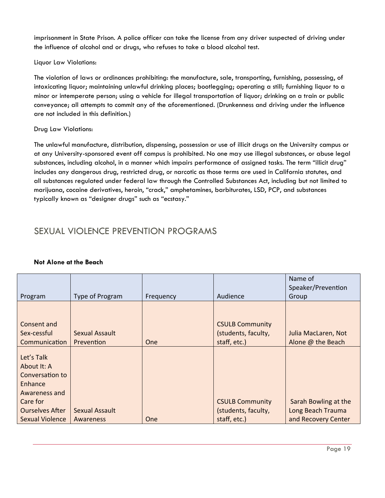imprisonment in State Prison. A police officer can take the license from any driver suspected of driving under the influence of alcohol and or drugs, who refuses to take a blood alcohol test.

#### Liquor Law Violations:

The violation of laws or ordinances prohibiting: the manufacture, sale, transporting, furnishing, possessing, of intoxicating liquor; maintaining unlawful drinking places; bootlegging; operating a still; furnishing liquor to a minor or intemperate person; using a vehicle for illegal transportation of liquor; drinking on a train or public conveyance; all attempts to commit any of the aforementioned. (Drunkenness and driving under the influence are not included in this definition.)

#### Drug Law Violations:

The unlawful manufacture, distribution, dispensing, possession or use of illicit drugs on the University campus or at any University-sponsored event off campus is prohibited. No one may use illegal substances, or abuse legal substances, including alcohol, in a manner which impairs performance of assigned tasks. The term "illicit drug" includes any dangerous drug, restricted drug, or narcotic as those terms are used in California statutes, and all substances regulated under federal law through the Controlled Substances Act, including but not limited to marijuana, cocaine derivatives, heroin, "crack," amphetamines, barbiturates, LSD, PCP, and substances typically known as "designer drugs" such as "ecstasy."

## SEXUAL VIOLENCE PREVENTION PROGRAMS

| <b>Not Alone at the Beach</b> |  |
|-------------------------------|--|
|                               |  |

|                        | Type of Program       |           | Audience               | Name of<br>Speaker/Prevention |
|------------------------|-----------------------|-----------|------------------------|-------------------------------|
| Program                |                       | Frequency |                        | Group                         |
|                        |                       |           |                        |                               |
|                        |                       |           |                        |                               |
| Consent and            |                       |           | <b>CSULB Community</b> |                               |
| Sex-cessful            | Sexual Assault        |           | (students, faculty,    | Julia MacLaren, Not           |
| Communication          | Prevention            | One       | staff, etc.)           | Alone @ the Beach             |
|                        |                       |           |                        |                               |
| Let's Talk             |                       |           |                        |                               |
| About It: A            |                       |           |                        |                               |
| Conversation to        |                       |           |                        |                               |
| Enhance                |                       |           |                        |                               |
| Awareness and          |                       |           |                        |                               |
| Care for               |                       |           | <b>CSULB Community</b> | Sarah Bowling at the          |
| <b>Ourselves After</b> | <b>Sexual Assault</b> |           | (students, faculty,    | Long Beach Trauma             |
| <b>Sexual Violence</b> | Awareness             | One       | staff, etc.)           | and Recovery Center           |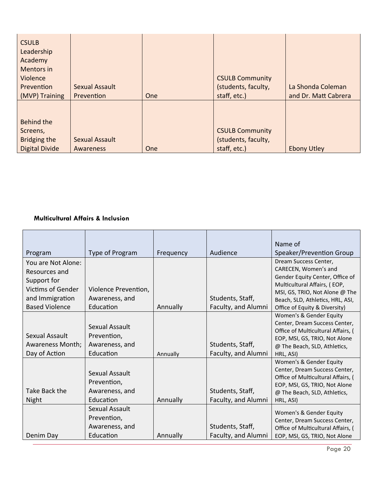| <b>CSULB</b><br>Leadership<br>Academy<br>Mentors in<br>Violence<br>Prevention<br>(MVP) Training | <b>Sexual Assault</b><br>Prevention | <b>One</b> | <b>CSULB Community</b><br>(students, faculty,<br>staff, etc.) | La Shonda Coleman<br>and Dr. Matt Cabrera |
|-------------------------------------------------------------------------------------------------|-------------------------------------|------------|---------------------------------------------------------------|-------------------------------------------|
| <b>Behind the</b><br>Screens,<br>Bridging the<br><b>Digital Divide</b>                          | <b>Sexual Assault</b><br>Awareness  | <b>One</b> | <b>CSULB Community</b><br>(students, faculty,<br>staff, etc.) | <b>Ebony Utley</b>                        |

#### **Multicultural Affairs & Inclusion**

|                          |                      |           |                     | Name of                                                            |
|--------------------------|----------------------|-----------|---------------------|--------------------------------------------------------------------|
| Program                  | Type of Program      | Frequency | Audience            | Speaker/Prevention Group                                           |
| You are Not Alone:       |                      |           |                     | Dream Success Center,                                              |
| Resources and            |                      |           |                     | CARECEN, Women's and                                               |
| Support for              |                      |           |                     | Gender Equity Center, Office of                                    |
| <b>Victims of Gender</b> | Violence Prevention, |           |                     | Multicultural Affairs, (EOP,                                       |
| and Immigration          | Awareness, and       |           | Students, Staff,    | MSI, GS, TRIO, Not Alone @ The<br>Beach, SLD, Athletics, HRL, ASI, |
| <b>Based Violence</b>    | Education            | Annually  | Faculty, and Alumni | Office of Equity & Diversity)                                      |
|                          |                      |           |                     | Women's & Gender Equity                                            |
|                          |                      |           |                     | Center, Dream Success Center,                                      |
|                          | Sexual Assault       |           |                     | Office of Multicultural Affairs, (                                 |
| Sexual Assault           | Prevention,          |           |                     | EOP, MSI, GS, TRIO, Not Alone                                      |
| Awareness Month;         | Awareness, and       |           | Students, Staff,    | @ The Beach, SLD, Athletics,                                       |
| Day of Action            | Education            | Annually  | Faculty, and Alumni | HRL, ASI)                                                          |
|                          |                      |           |                     | Women's & Gender Equity                                            |
|                          | Sexual Assault       |           |                     | Center, Dream Success Center,                                      |
|                          | Prevention,          |           |                     | Office of Multicultural Affairs, (                                 |
| Take Back the            | Awareness, and       |           | Students, Staff,    | EOP, MSI, GS, TRIO, Not Alone                                      |
|                          | Education            |           |                     | @ The Beach, SLD, Athletics,                                       |
| <b>Night</b>             |                      | Annually  | Faculty, and Alumni | HRL, ASI)                                                          |
|                          | Sexual Assault       |           |                     | Women's & Gender Equity                                            |
|                          | Prevention,          |           |                     | Center, Dream Success Center,                                      |
|                          | Awareness, and       |           | Students, Staff,    | Office of Multicultural Affairs, (                                 |
| Denim Day                | Education            | Annually  | Faculty, and Alumni | EOP, MSI, GS, TRIO, Not Alone                                      |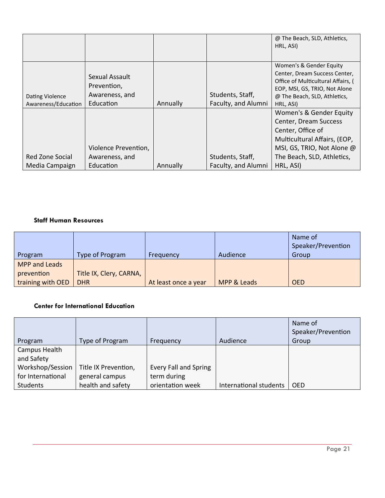|                                        |                                                              |          |                                         | @ The Beach, SLD, Athletics,<br>HRL, ASI)                                                                                                                                    |
|----------------------------------------|--------------------------------------------------------------|----------|-----------------------------------------|------------------------------------------------------------------------------------------------------------------------------------------------------------------------------|
| Dating Violence<br>Awareness/Education | Sexual Assault<br>Prevention,<br>Awareness, and<br>Education | Annually | Students, Staff,<br>Faculty, and Alumni | Women's & Gender Equity<br>Center, Dream Success Center,<br>Office of Multicultural Affairs, (<br>EOP, MSI, GS, TRIO, Not Alone<br>@ The Beach, SLD, Athletics,<br>HRL, ASI) |
| Red Zone Social                        | Violence Prevention,<br>Awareness, and                       |          | Students, Staff,                        | Women's & Gender Equity<br>Center, Dream Success<br>Center, Office of<br>Multicultural Affairs, (EOP,<br>MSI, GS, TRIO, Not Alone @<br>The Beach, SLD, Athletics,            |
| Media Campaign                         | Education                                                    | Annually | Faculty, and Alumni                     | HRL, ASI)                                                                                                                                                                    |

#### **Staff Human Resources**

| Program              | Type of Program         | Frequency            | Audience    | Name of<br>Speaker/Prevention<br>Group |
|----------------------|-------------------------|----------------------|-------------|----------------------------------------|
| <b>MPP and Leads</b> |                         |                      |             |                                        |
| prevention           | Title IX, Clery, CARNA, |                      |             |                                        |
| training with OED    | <b>DHR</b>              | At least once a year | MPP & Leads | <b>OED</b>                             |

#### **Center for International Education**

| Program           | Type of Program      | Frequency             | Audience               | Name of<br>Speaker/Prevention<br>Group |
|-------------------|----------------------|-----------------------|------------------------|----------------------------------------|
| Campus Health     |                      |                       |                        |                                        |
| and Safety        |                      |                       |                        |                                        |
| Workshop/Session  | Title IX Prevention, | Every Fall and Spring |                        |                                        |
| for International | general campus       | term during           |                        |                                        |
| Students          | health and safety    | orientation week      | International students | <b>OED</b>                             |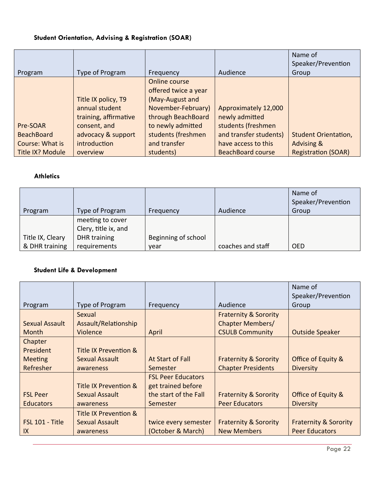#### **Student Orientation, Advising & Registration (SOAR)**

|                   |                       |                      |                          | Name of                     |
|-------------------|-----------------------|----------------------|--------------------------|-----------------------------|
|                   |                       |                      |                          | Speaker/Prevention          |
| Program           | Type of Program       | Frequency            | Audience                 | Group                       |
|                   |                       | Online course        |                          |                             |
|                   |                       | offered twice a year |                          |                             |
|                   | Title IX policy, T9   | (May-August and      |                          |                             |
|                   | annual student        | November-February)   | Approximately 12,000     |                             |
|                   | training, affirmative | through BeachBoard   | newly admitted           |                             |
| Pre-SOAR          | consent, and          | to newly admitted    | students (freshmen       |                             |
| <b>BeachBoard</b> | advocacy & support    | students (freshmen   | and transfer students)   | <b>Student Orientation,</b> |
| Course: What is   | introduction          | and transfer         | have access to this      | <b>Advising &amp;</b>       |
| Title IX? Module  | overview              | students)            | <b>BeachBoard course</b> | <b>Registration (SOAR)</b>  |

#### **Athletics**

| Program          | Type of Program      | Frequency           | Audience          | Name of<br>Speaker/Prevention<br>Group |
|------------------|----------------------|---------------------|-------------------|----------------------------------------|
|                  | meeting to cover     |                     |                   |                                        |
|                  | Clery, title ix, and |                     |                   |                                        |
| Title IX, Cleary | DHR training         | Beginning of school |                   |                                        |
| & DHR training   | requirements         | vear                | coaches and staff | <b>OED</b>                             |

#### **Student Life & Development**

|                  |                       |                           |                                  | Name of                          |
|------------------|-----------------------|---------------------------|----------------------------------|----------------------------------|
|                  |                       |                           |                                  | Speaker/Prevention               |
| Program          | Type of Program       | Frequency                 | Audience                         | Group                            |
|                  | Sexual                |                           | <b>Fraternity &amp; Sorority</b> |                                  |
| Sexual Assault   | Assault/Relationship  |                           | <b>Chapter Members/</b>          |                                  |
| Month            | Violence              | April                     | <b>CSULB Community</b>           | <b>Outside Speaker</b>           |
| Chapter          |                       |                           |                                  |                                  |
| President        | Title IX Prevention & |                           |                                  |                                  |
| <b>Meeting</b>   | Sexual Assault        | At Start of Fall          | <b>Fraternity &amp; Sorority</b> | Office of Equity &               |
| Refresher        | awareness             | Semester                  | <b>Chapter Presidents</b>        | <b>Diversity</b>                 |
|                  |                       | <b>FSL Peer Educators</b> |                                  |                                  |
|                  | Title IX Prevention & | get trained before        |                                  |                                  |
| <b>FSL Peer</b>  | Sexual Assault        | the start of the Fall     | <b>Fraternity &amp; Sorority</b> | Office of Equity &               |
| <b>Educators</b> | awareness             | Semester                  | <b>Peer Educators</b>            | <b>Diversity</b>                 |
|                  | Title IX Prevention & |                           |                                  |                                  |
| FSL 101 - Title  | Sexual Assault        | twice every semester      | <b>Fraternity &amp; Sorority</b> | <b>Fraternity &amp; Sorority</b> |
| IX               | awareness             | (October & March)         | <b>New Members</b>               | <b>Peer Educators</b>            |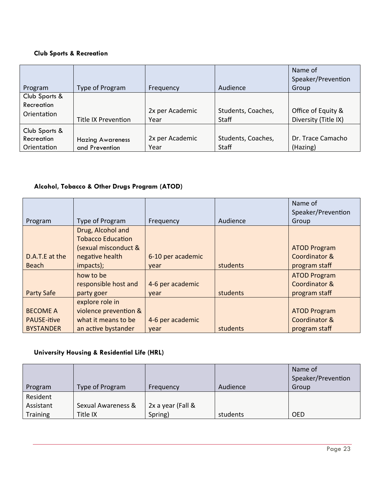### **Club Sports & Recreation**

| Program                                    | Type of Program                           | Frequency               | Audience                    | Name of<br>Speaker/Prevention<br>Group     |
|--------------------------------------------|-------------------------------------------|-------------------------|-----------------------------|--------------------------------------------|
| Club Sports &<br>Recreation<br>Orientation | <b>Title IX Prevention</b>                | 2x per Academic<br>Year | Students, Coaches,<br>Staff | Office of Equity &<br>Diversity (Title IX) |
| Club Sports &<br>Recreation<br>Orientation | <b>Hazing Awareness</b><br>and Prevention | 2x per Academic<br>Year | Students, Coaches,<br>Staff | Dr. Trace Camacho<br>(Hazing)              |

#### **Alcohol, Tobacco & Other Drugs Program (ATOD)**

|                    |                          |                   |          | Name of<br>Speaker/Prevention |
|--------------------|--------------------------|-------------------|----------|-------------------------------|
| Program            | Type of Program          | Frequency         | Audience | Group                         |
|                    | Drug, Alcohol and        |                   |          |                               |
|                    | <b>Tobacco Education</b> |                   |          |                               |
|                    | (sexual misconduct &     |                   |          | <b>ATOD Program</b>           |
| D.A.T.E at the     | negative health          | 6-10 per academic |          | Coordinator &                 |
| <b>Beach</b>       | impacts);                | year              | students | program staff                 |
|                    | how to be                |                   |          | <b>ATOD Program</b>           |
|                    | responsible host and     | 4-6 per academic  |          | Coordinator &                 |
| <b>Party Safe</b>  | party goer               | year              | students | program staff                 |
|                    | explore role in          |                   |          |                               |
| <b>BECOME A</b>    | violence prevention &    |                   |          | <b>ATOD Program</b>           |
| <b>PAUSE-itive</b> | what it means to be      | 4-6 per academic  |          | Coordinator &                 |
| <b>BYSTANDER</b>   | an active bystander      | vear              | students | program staff                 |

#### **University Housing & Residential Life (HRL)**

| Program         | Type of Program    | Frequency         | Audience | Name of<br>Speaker/Prevention<br>Group |
|-----------------|--------------------|-------------------|----------|----------------------------------------|
| Resident        |                    |                   |          |                                        |
| Assistant       | Sexual Awareness & | 2x a year (Fall & |          |                                        |
| <b>Training</b> | Title IX           | Spring)           | students | <b>OED</b>                             |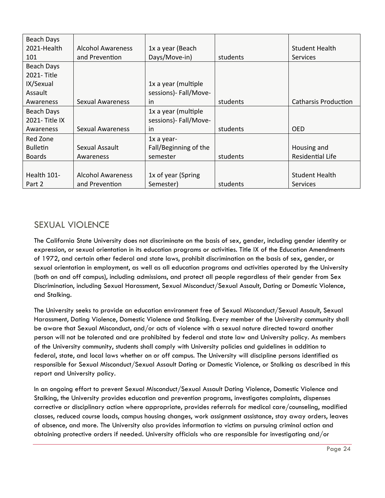| <b>Beach Days</b> |                          |                       |          |                             |
|-------------------|--------------------------|-----------------------|----------|-----------------------------|
| 2021-Health       | <b>Alcohol Awareness</b> | 1x a year (Beach      |          | <b>Student Health</b>       |
| 101               | and Prevention           | Days/Move-in)         | students | <b>Services</b>             |
| <b>Beach Days</b> |                          |                       |          |                             |
| 2021-Title        |                          |                       |          |                             |
| IX/Sexual         |                          | 1x a year (multiple   |          |                             |
| Assault           |                          | sessions)- Fall/Move- |          |                             |
| Awareness         | Sexual Awareness         | in                    | students | <b>Catharsis Production</b> |
| Beach Days        |                          | 1x a year (multiple   |          |                             |
| 2021-Title IX     |                          | sessions)- Fall/Move- |          |                             |
| Awareness         | Sexual Awareness         | in                    | students | <b>OED</b>                  |
| Red Zone          |                          | 1x a year-            |          |                             |
| <b>Bulletin</b>   | Sexual Assault           | Fall/Beginning of the |          | Housing and                 |
| <b>Boards</b>     | Awareness                | semester              | students | <b>Residential Life</b>     |
|                   |                          |                       |          |                             |
| Health 101-       | <b>Alcohol Awareness</b> | 1x of year (Spring    |          | <b>Student Health</b>       |
| Part 2            | and Prevention           | Semester)             | students | <b>Services</b>             |

## <span id="page-23-0"></span>SEXUAL VIOLENCE

The California State University does not discriminate on the basis of sex, gender, including gender identity or expression, or sexual orientation in its education programs or activities. Title IX of the Education Amendments of 1972, and certain other federal and state laws, prohibit discrimination on the basis of sex, gender, or sexual orientation in employment, as well as all education programs and activities operated by the University (both on and off campus), including admissions, and protect all people regardless of their gender from Sex Discrimination, including Sexual Harassment, Sexual Misconduct/Sexual Assault, Dating or Domestic Violence, and Stalking.

The University seeks to provide an education environment free of Sexual Misconduct/Sexual Assault, Sexual Harassment, Dating Violence, Domestic Violence and Stalking. Every member of the University community shall be aware that Sexual Misconduct, and/or acts of violence with a sexual nature directed toward another person will not be tolerated and are prohibited by federal and state law and University policy. As members of the University community, students shall comply with University policies and guidelines in addition to federal, state, and local laws whether on or off campus. The University will discipline persons identified as responsible for Sexual Misconduct/Sexual Assault Dating or Domestic Violence, or Stalking as described in this report and University policy.

In an ongoing effort to prevent Sexual Misconduct/Sexual Assault Dating Violence, Domestic Violence and Stalking, the University provides education and prevention programs, investigates complaints, dispenses corrective or disciplinary action where appropriate, provides referrals for medical care/counseling, modified classes, reduced course loads, campus housing changes, work assignment assistance, stay away orders, leaves of absence, and more. The University also provides information to victims on pursuing criminal action and obtaining protective orders if needed. University officials who are responsible for investigating and/or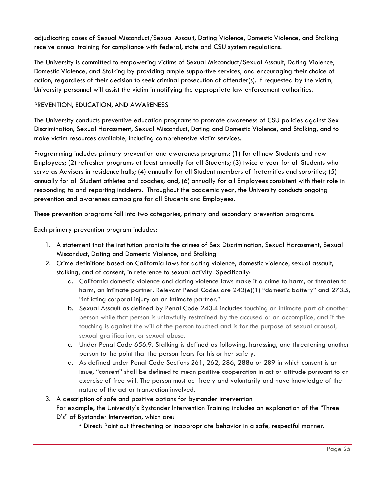adjudicating cases of Sexual Misconduct/Sexual Assault, Dating Violence, Domestic Violence, and Stalking receive annual training for compliance with federal, state and CSU system regulations.

The University is committed to empowering victims of Sexual Misconduct/Sexual Assault, Dating Violence, Domestic Violence, and Stalking by providing ample supportive services, and encouraging their choice of action, regardless of their decision to seek criminal prosecution of offender(s). If requested by the victim, University personnel will assist the victim in notifying the appropriate law enforcement authorities.

#### PREVENTION, EDUCATION, AND AWARENESS

The University conducts preventive education programs to promote awareness of CSU policies against Sex Discrimination, Sexual Harassment, Sexual Misconduct, Dating and Domestic Violence, and Stalking, and to make victim resources available, including comprehensive victim services.

Programming includes primary prevention and awareness programs: (1) for all new Students and new Employees; (2) refresher programs at least annually for all Students; (3) twice a year for all Students who serve as Advisors in residence halls; (4) annually for all Student members of fraternities and sororities; (5) annually for all Student athletes and coaches; and, (6) annually for all Employees consistent with their role in responding to and reporting incidents. Throughout the academic year, the University conducts ongoing prevention and awareness campaigns for all Students and Employees.

These prevention programs fall into two categories, primary and secondary prevention programs.

Each primary prevention program includes:

- 1. A statement that the institution prohibits the crimes of Sex Discrimination, Sexual Harassment, Sexual Misconduct, Dating and Domestic Violence, and Stalking
- 2. Crime definitions based on California laws for dating violence, domestic violence, sexual assault, stalking, and of consent, in reference to sexual activity. Specifically:
	- a. California domestic violence and dating violence laws make it a crime to harm, or threaten to harm, an intimate partner. Relevant Penal Codes are 243(e)(1) "domestic battery" and 273.5, "inflicting corporal injury on an intimate partner."
	- b. Sexual Assault as defined by Penal Code 243.4 includes touching an intimate part of another person while that person is unlawfully restrained by the accused or an accomplice, and if the touching is against the will of the person touched and is for the purpose of sexual arousal, sexual gratification, or sexual abuse.
	- c. Under Penal Code 656.9. Stalking is defined as following, harassing, and threatening another person to the point that the person fears for his or her safety.
	- d. As defined under Penal Code Sections 261, 262, 286, 288a or 289 in which consent is an issue, "consent" shall be defined to mean positive cooperation in act or attitude pursuant to an exercise of free will. The person must act freely and voluntarily and have knowledge of the nature of the act or transaction involved.
- 3. A description of safe and positive options for bystander intervention For example, the University's Bystander Intervention Training includes an explanation of the "Three D's" of Bystander Intervention, which are:
	- Direct: Point out threatening or inappropriate behavior in a safe, respectful manner.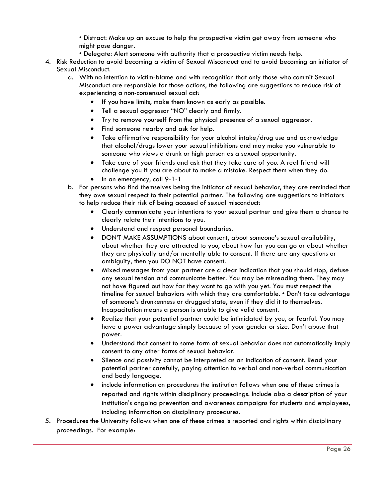• Distract: Make up an excuse to help the prospective victim get away from someone who might pose danger.

- Delegate: Alert someone with authority that a prospective victim needs help.
- 4. Risk Reduction to avoid becoming a victim of Sexual Misconduct and to avoid becoming an initiator of Sexual Misconduct.
	- a. With no intention to victim-blame and with recognition that only those who commit Sexual Misconduct are responsible for those actions, the following are suggestions to reduce risk of experiencing a non-consensual sexual act:
		- If you have limits, make them known as early as possible.
		- Tell a sexual aggressor "NO" clearly and firmly.
		- Try to remove yourself from the physical presence of a sexual aggressor.
		- Find someone nearby and ask for help.
		- Take affirmative responsibility for your alcohol intake/drug use and acknowledge that alcohol/drugs lower your sexual inhibitions and may make you vulnerable to someone who views a drunk or high person as a sexual opportunity.
		- Take care of your friends and ask that they take care of you. A real friend will challenge you if you are about to make a mistake. Respect them when they do.
		- In an emergency, call 9-1-1
	- b. For persons who find themselves being the initiator of sexual behavior, they are reminded that they owe sexual respect to their potential partner. The following are suggestions to initiators to help reduce their risk of being accused of sexual misconduct:
		- Clearly communicate your intentions to your sexual partner and give them a chance to clearly relate their intentions to you.
		- Understand and respect personal boundaries.
		- DON'T MAKE ASSUMPTIONS about consent, about someone's sexual availability, about whether they are attracted to you, about how far you can go or about whether they are physically and/or mentally able to consent. If there are any questions or ambiguity, then you DO NOT have consent.
		- Mixed messages from your partner are a clear indication that you should stop, defuse any sexual tension and communicate better. You may be misreading them. They may not have figured out how far they want to go with you yet. You must respect the timeline for sexual behaviors with which they are comfortable. • Don't take advantage of someone's drunkenness or drugged state, even if they did it to themselves. Incapacitation means a person is unable to give valid consent.
		- Realize that your potential partner could be intimidated by you, or fearful. You may have a power advantage simply because of your gender or size. Don't abuse that power.
		- Understand that consent to some form of sexual behavior does not automatically imply consent to any other forms of sexual behavior.
		- Silence and passivity cannot be interpreted as an indication of consent. Read your potential partner carefully, paying attention to verbal and non-verbal communication and body language.
		- include information on procedures the institution follows when one of these crimes is reported and rights within disciplinary proceedings. Include also a description of your institution's ongoing prevention and awareness campaigns for students and employees, including information on disciplinary procedures.
- 5. Procedures the University follows when one of these crimes is reported and rights within disciplinary proceedings. For example: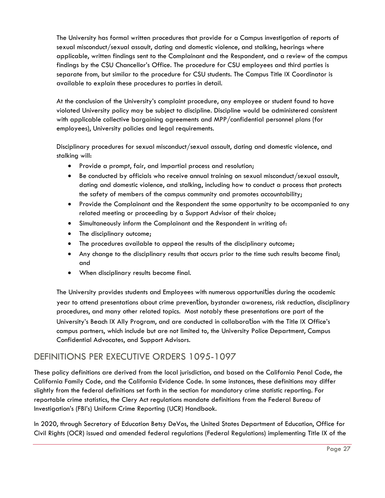The University has formal written procedures that provide for a Campus investigation of reports of sexual misconduct/sexual assault, dating and domestic violence, and stalking, hearings where applicable, written findings sent to the Complainant and the Respondent, and a review of the campus findings by the CSU Chancellor's Office. The procedure for CSU employees and third parties is separate from, but similar to the procedure for CSU students. The Campus Title IX Coordinator is available to explain these procedures to parties in detail.

At the conclusion of the University's complaint procedure, any employee or student found to have violated University policy may be subject to discipline. Discipline would be administered consistent with applicable collective bargaining agreements and MPP/confidential personnel plans (for employees), University policies and legal requirements.

Disciplinary procedures for sexual misconduct/sexual assault, dating and domestic violence, and stalking will:

- Provide a prompt, fair, and impartial process and resolution;
- Be conducted by officials who receive annual training on sexual misconduct/sexual assault, dating and domestic violence, and stalking, including how to conduct a process that protects the safety of members of the campus community and promotes accountability;
- Provide the Complainant and the Respondent the same opportunity to be accompanied to any related meeting or proceeding by a Support Advisor of their choice;
- Simultaneously inform the Complainant and the Respondent in writing of:
- The disciplinary outcome;
- The procedures available to appeal the results of the disciplinary outcome;
- Any change to the disciplinary results that occurs prior to the time such results become final; and
- When disciplinary results become final.

The University provides students and Employees with numerous opportunities during the academic year to attend presentations about crime prevention, bystander awareness, risk reduction, disciplinary procedures, and many other related topics. Most notably these presentations are part of the University's Beach IX Ally Program, and are conducted in collaboration with the Title IX Office's campus partners, which include but are not limited to, the University Police Department, Campus Confidential Advocates, and Support Advisors.

## <span id="page-26-0"></span>DEFINITIONS PER EXECUTIVE ORDERS 1095-1097

These policy definitions are derived from the local jurisdiction, and based on the California Penal Code, the California Family Code, and the California Evidence Code. In some instances, these definitions may differ slightly from the federal definitions set forth in the section for mandatory crime statistic reporting. For reportable crime statistics, the Clery Act regulations mandate definitions from the Federal Bureau of Investigation's (FBI's) Uniform Crime Reporting (UCR) Handbook.

In 2020, through Secretary of Education Betsy DeVos, the United States Department of Education, Office for Civil Rights (OCR) issued and amended federal regulations (Federal Regulations) implementing Title IX of the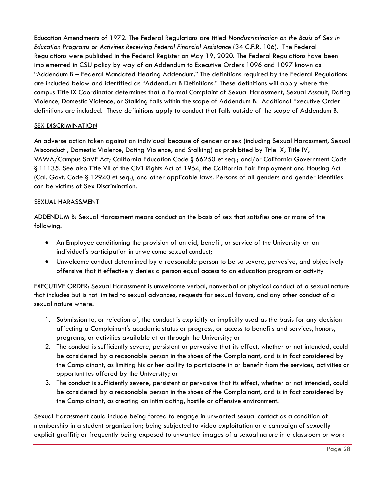Education Amendments of 1972. The Federal Regulations are titled *Nondiscrimination on the Basis of Sex in Education Programs or Activities Receiving Federal Financial Assistance* (34 C.F.R. 106). The Federal Regulations were published in the Federal Register on May 19, 2020. The Federal Regulations have been implemented in CSU policy by way of an Addendum to Executive Orders 1096 and 1097 known as "Addendum B – Federal Mandated Hearing Addendum." The definitions required by the Federal Regulations are included below and identified as "Addendum B Definitions." These definitions will apply where the campus Title IX Coordinator determines that a Formal Complaint of Sexual Harassment, Sexual Assault, Dating Violence, Domestic Violence, or Stalking falls within the scope of Addendum B. Additional Executive Order definitions are included. These definitions apply to conduct that falls outside of the scope of Addendum B.

#### SEX DISCRIMINATION

An adverse action taken against an individual because of gender or sex (including Sexual Harassment, Sexual Misconduct , Domestic Violence, Dating Violence, and Stalking) as prohibited by Title IX; Title IV; VAWA/Campus SaVE Act; California Education Code § 66250 et seq.; and/or California Government Code § 11135. See also Title VII of the Civil Rights Act of 1964, the California Fair Employment and Housing Act (Cal. Govt. Code § 12940 et seq.), and other applicable laws. Persons of all genders and gender identities can be victims of Sex Discrimination.

#### SEXUAL HARASSMENT

ADDENDUM B: Sexual Harassment means conduct on the basis of sex that satisfies one or more of the following:

- An Employee conditioning the provision of an aid, benefit, or service of the University on an individual's participation in unwelcome sexual conduct;
- Unwelcome conduct determined by a reasonable person to be so severe, pervasive, and objectively offensive that it effectively denies a person equal access to an education program or activity

EXECUTIVE ORDER: Sexual Harassment is unwelcome verbal, nonverbal or physical conduct of a sexual nature that includes but is not limited to sexual advances, requests for sexual favors, and any other conduct of a sexual nature where:

- 1. Submission to, or rejection of, the conduct is explicitly or implicitly used as the basis for any decision affecting a Complainant's academic status or progress, or access to benefits and services, honors, programs, or activities available at or through the University; or
- 2. The conduct is sufficiently severe, persistent or pervasive that its effect, whether or not intended, could be considered by a reasonable person in the shoes of the Complainant, and is in fact considered by the Complainant, as limiting his or her ability to participate in or benefit from the services, activities or opportunities offered by the University; or
- 3. The conduct is sufficiently severe, persistent or pervasive that its effect, whether or not intended, could be considered by a reasonable person in the shoes of the Complainant, and is in fact considered by the Complainant, as creating an intimidating, hostile or offensive environment.

Sexual Harassment could include being forced to engage in unwanted sexual contact as a condition of membership in a student organization; being subjected to video exploitation or a campaign of sexually explicit graffiti; or frequently being exposed to unwanted images of a sexual nature in a classroom or work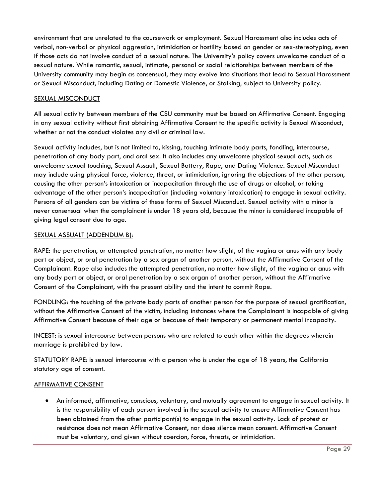environment that are unrelated to the coursework or employment. Sexual Harassment also includes acts of verbal, non-verbal or physical aggression, intimidation or hostility based on gender or sex-stereotyping, even if those acts do not involve conduct of a sexual nature. The University's policy covers unwelcome conduct of a sexual nature. While romantic, sexual, intimate, personal or social relationships between members of the University community may begin as consensual, they may evolve into situations that lead to Sexual Harassment or Sexual Misconduct, including Dating or Domestic Violence, or Stalking, subject to University policy.

#### SEXUAL MISCONDUCT

All sexual activity between members of the CSU community must be based on Affirmative Consent. Engaging in any sexual activity without first obtaining Affirmative Consent to the specific activity is Sexual Misconduct, whether or not the conduct violates any civil or criminal law.

Sexual activity includes, but is not limited to, kissing, touching intimate body parts, fondling, intercourse, penetration of any body part, and oral sex. It also includes any unwelcome physical sexual acts, such as unwelcome sexual touching, Sexual Assault, Sexual Battery, Rape, and Dating Violence. Sexual Misconduct may include using physical force, violence, threat, or intimidation, ignoring the objections of the other person, causing the other person's intoxication or incapacitation through the use of drugs or alcohol, or taking advantage of the other person's incapacitation (including voluntary intoxication) to engage in sexual activity. Persons of all genders can be victims of these forms of Sexual Misconduct. Sexual activity with a minor is never consensual when the complainant is under 18 years old, because the minor is considered incapable of giving legal consent due to age.

#### SEXUAL ASSUALT (ADDENDUM B):

RAPE: the penetration, or attempted penetration, no matter how slight, of the vagina or anus with any body part or object, or oral penetration by a sex organ of another person, without the Affirmative Consent of the Complainant. Rape also includes the attempted penetration, no matter how slight, of the vagina or anus with any body part or object, or oral penetration by a sex organ of another person, without the Affirmative Consent of the Complainant, with the present ability and the intent to commit Rape.

FONDLING: the touching of the private body parts of another person for the purpose of sexual gratification, without the Affirmative Consent of the victim, including instances where the Complainant is incapable of giving Affirmative Consent because of their age or because of their temporary or permanent mental incapacity.

INCEST: is sexual intercourse between persons who are related to each other within the degrees wherein marriage is prohibited by law.

STATUTORY RAPE: is sexual intercourse with a person who is under the age of 18 years, the California statutory age of consent.

#### AFFIRMATIVE CONSENT

• An informed, affirmative, conscious, voluntary, and mutually agreement to engage in sexual activity. It is the responsibility of each person involved in the sexual activity to ensure Affirmative Consent has been obtained from the other participant(s) to engage in the sexual activity. Lack of protest or resistance does not mean Affirmative Consent, nor does silence mean consent. Affirmative Consent must be voluntary, and given without coercion, force, threats, or intimidation.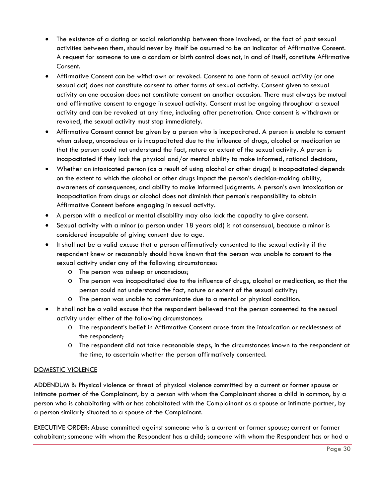- The existence of a dating or social relationship between those involved, or the fact of past sexual activities between them, should never by itself be assumed to be an indicator of Affirmative Consent. A request for someone to use a condom or birth control does not, in and of itself, constitute Affirmative Consent.
- Affirmative Consent can be withdrawn or revoked. Consent to one form of sexual activity (or one sexual act) does not constitute consent to other forms of sexual activity. Consent given to sexual activity on one occasion does not constitute consent on another occasion. There must always be mutual and affirmative consent to engage in sexual activity. Consent must be ongoing throughout a sexual activity and can be revoked at any time, including after penetration. Once consent is withdrawn or revoked, the sexual activity must stop immediately.
- Affirmative Consent cannot be given by a person who is incapacitated. A person is unable to consent when asleep, unconscious or is incapacitated due to the influence of drugs, alcohol or medication so that the person could not understand the fact, nature or extent of the sexual activity. A person is incapacitated if they lack the physical and/or mental ability to make informed, rational decisions,
- Whether an intoxicated person (as a result of using alcohol or other drugs) is incapacitated depends on the extent to which the alcohol or other drugs impact the person's decision-making ability, awareness of consequences, and ability to make informed judgments. A person's own intoxication or incapacitation from drugs or alcohol does not diminish that person's responsibility to obtain Affirmative Consent before engaging in sexual activity.
- A person with a medical or mental disability may also lack the capacity to give consent.
- Sexual activity with a minor (a person under 18 years old) is not consensual, because a minor is considered incapable of giving consent due to age.
- It shall not be a valid excuse that a person affirmatively consented to the sexual activity if the respondent knew or reasonably should have known that the person was unable to consent to the sexual activity under any of the following circumstances:
	- o The person was asleep or unconscious;
	- o The person was incapacitated due to the influence of drugs, alcohol or medication, so that the person could not understand the fact, nature or extent of the sexual activity;
	- o The person was unable to communicate due to a mental or physical condition.
- It shall not be a valid excuse that the respondent believed that the person consented to the sexual activity under either of the following circumstances:
	- o The respondent's belief in Affirmative Consent arose from the intoxication or recklessness of the respondent;
	- o The respondent did not take reasonable steps, in the circumstances known to the respondent at the time, to ascertain whether the person affirmatively consented.

#### DOMESTIC VIOLENCE

ADDENDUM B: Physical violence or threat of physical violence committed by a current or former spouse or intimate partner of the Complainant, by a person with whom the Complainant shares a child in common, by a person who is cohabitating with or has cohabitated with the Complainant as a spouse or intimate partner, by a person similarly situated to a spouse of the Complainant.

EXECUTIVE ORDER: Abuse committed against someone who is a current or former spouse; current or former cohabitant; someone with whom the Respondent has a child; someone with whom the Respondent has or had a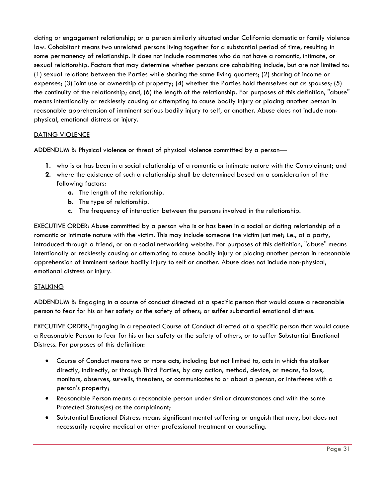dating or engagement relationship; or a person similarly situated under California domestic or family violence law. Cohabitant means two unrelated persons living together for a substantial period of time, resulting in some permanency of relationship. It does not include roommates who do not have a romantic, intimate, or sexual relationship. Factors that may determine whether persons are cohabiting include, but are not limited to: (1) sexual relations between the Parties while sharing the same living quarters; (2) sharing of income or expenses; (3) joint use or ownership of property; (4) whether the Parties hold themselves out as spouses; (5) the continuity of the relationship; and, (6) the length of the relationship. For purposes of this definition, "abuse" means intentionally or recklessly causing or attempting to cause bodily injury or placing another person in reasonable apprehension of imminent serious bodily injury to self, or another. Abuse does not include nonphysical, emotional distress or injury.

#### DATING VIOLENCE

ADDENDUM B: Physical violence or threat of physical violence committed by a person—

- **1.** who is or has been in a social relationship of a romantic or intimate nature with the Complainant; and
- **2.** where the existence of such a relationship shall be determined based on a consideration of the following factors:
	- **a.** The length of the relationship.
	- **b.** The type of relationship.
	- **c.** The frequency of interaction between the persons involved in the relationship.

EXECUTIVE ORDER: Abuse committed by a person who is or has been in a social or dating relationship of a romantic or intimate nature with the victim. This may include someone the victim just met; i.e., at a party, introduced through a friend, or on a social networking website. For purposes of this definition, "abuse" means intentionally or recklessly causing or attempting to cause bodily injury or placing another person in reasonable apprehension of imminent serious bodily injury to self or another. Abuse does not include non-physical, emotional distress or injury.

#### **STALKING**

ADDENDUM B: Engaging in a course of conduct directed at a specific person that would cause a reasonable person to fear for his or her safety or the safety of others; or suffer substantial emotional distress.

EXECUTIVE ORDER: Engaging in a repeated Course of Conduct directed at a specific person that would cause a Reasonable Person to fear for his or her safety or the safety of others, or to suffer Substantial Emotional Distress. For purposes of this definition:

- Course of Conduct means two or more acts, including but not limited to, acts in which the stalker directly, indirectly, or through Third Parties, by any action, method, device, or means, follows, monitors, observes, surveils, threatens, or communicates to or about a person, or interferes with a person's property;
- Reasonable Person means a reasonable person under similar circumstances and with the same Protected Status(es) as the complainant;
- Substantial Emotional Distress means significant mental suffering or anguish that may, but does not necessarily require medical or other professional treatment or counseling.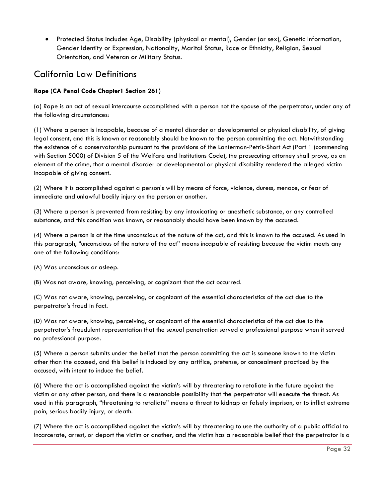• Protected Status includes Age, Disability (physical or mental), Gender (or sex), Genetic Information, Gender Identity or Expression, Nationality, Marital Status, Race or Ethnicity, Religion, Sexual Orientation, and Veteran or Military Status.

## California Law Definitions

#### **Rape (CA Penal Code Chapter1 Section 261)**

(a) Rape is an act of sexual intercourse accomplished with a person not the spouse of the perpetrator, under any of the following circumstances:

(1) Where a person is incapable, because of a mental disorder or developmental or physical disability, of giving legal consent, and this is known or reasonably should be known to the person committing the act. Notwithstanding the existence of a conservatorship pursuant to the provisions of the Lanterman-Petris-Short Act (Part 1 (commencing with Section 5000) of Division 5 of the Welfare and Institutions Code), the prosecuting attorney shall prove, as an element of the crime, that a mental disorder or developmental or physical disability rendered the alleged victim incapable of giving consent.

(2) Where it is accomplished against a person's will by means of force, violence, duress, menace, or fear of immediate and unlawful bodily injury on the person or another.

(3) Where a person is prevented from resisting by any intoxicating or anesthetic substance, or any controlled substance, and this condition was known, or reasonably should have been known by the accused.

(4) Where a person is at the time unconscious of the nature of the act, and this is known to the accused. As used in this paragraph, "unconscious of the nature of the act" means incapable of resisting because the victim meets any one of the following conditions:

(A) Was unconscious or asleep.

(B) Was not aware, knowing, perceiving, or cognizant that the act occurred.

(C) Was not aware, knowing, perceiving, or cognizant of the essential characteristics of the act due to the perpetrator's fraud in fact.

(D) Was not aware, knowing, perceiving, or cognizant of the essential characteristics of the act due to the perpetrator's fraudulent representation that the sexual penetration served a professional purpose when it served no professional purpose.

(5) Where a person submits under the belief that the person committing the act is someone known to the victim other than the accused, and this belief is induced by any artifice, pretense, or concealment practiced by the accused, with intent to induce the belief.

(6) Where the act is accomplished against the victim's will by threatening to retaliate in the future against the victim or any other person, and there is a reasonable possibility that the perpetrator will execute the threat. As used in this paragraph, "threatening to retaliate" means a threat to kidnap or falsely imprison, or to inflict extreme pain, serious bodily injury, or death.

(7) Where the act is accomplished against the victim's will by threatening to use the authority of a public official to incarcerate, arrest, or deport the victim or another, and the victim has a reasonable belief that the perpetrator is a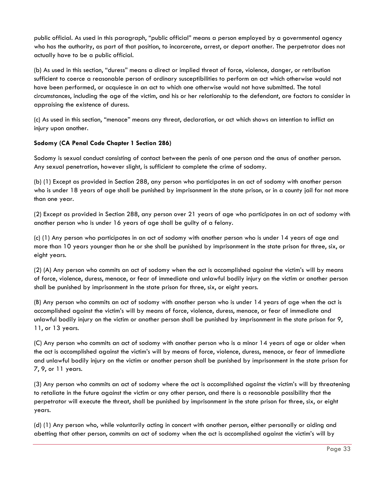public official. As used in this paragraph, "public official" means a person employed by a governmental agency who has the authority, as part of that position, to incarcerate, arrest, or deport another. The perpetrator does not actually have to be a public official.

(b) As used in this section, "duress" means a direct or implied threat of force, violence, danger, or retribution sufficient to coerce a reasonable person of ordinary susceptibilities to perform an act which otherwise would not have been performed, or acquiesce in an act to which one otherwise would not have submitted. The total circumstances, including the age of the victim, and his or her relationship to the defendant, are factors to consider in appraising the existence of duress.

(c) As used in this section, "menace" means any threat, declaration, or act which shows an intention to inflict an injury upon another.

#### **Sodomy (CA Penal Code Chapter 1 Section 286)**

Sodomy is sexual conduct consisting of contact between the penis of one person and the anus of another person. Any sexual penetration, however slight, is sufficient to complete the crime of sodomy.

(b) (1) Except as provided in Section 288, any person who participates in an act of sodomy with another person who is under 18 years of age shall be punished by imprisonment in the state prison, or in a county jail for not more than one year.

(2) Except as provided in Section 288, any person over 21 years of age who participates in an act of sodomy with another person who is under 16 years of age shall be guilty of a felony.

(c) (1) Any person who participates in an act of sodomy with another person who is under 14 years of age and more than 10 years younger than he or she shall be punished by imprisonment in the state prison for three, six, or eight years.

(2) (A) Any person who commits an act of sodomy when the act is accomplished against the victim's will by means of force, violence, duress, menace, or fear of immediate and unlawful bodily injury on the victim or another person shall be punished by imprisonment in the state prison for three, six, or eight years.

(B) Any person who commits an act of sodomy with another person who is under 14 years of age when the act is accomplished against the victim's will by means of force, violence, duress, menace, or fear of immediate and unlawful bodily injury on the victim or another person shall be punished by imprisonment in the state prison for 9, 11, or 13 years.

(C) Any person who commits an act of sodomy with another person who is a minor 14 years of age or older when the act is accomplished against the victim's will by means of force, violence, duress, menace, or fear of immediate and unlawful bodily injury on the victim or another person shall be punished by imprisonment in the state prison for 7, 9, or 11 years.

(3) Any person who commits an act of sodomy where the act is accomplished against the victim's will by threatening to retaliate in the future against the victim or any other person, and there is a reasonable possibility that the perpetrator will execute the threat, shall be punished by imprisonment in the state prison for three, six, or eight years.

(d) (1) Any person who, while voluntarily acting in concert with another person, either personally or aiding and abetting that other person, commits an act of sodomy when the act is accomplished against the victim's will by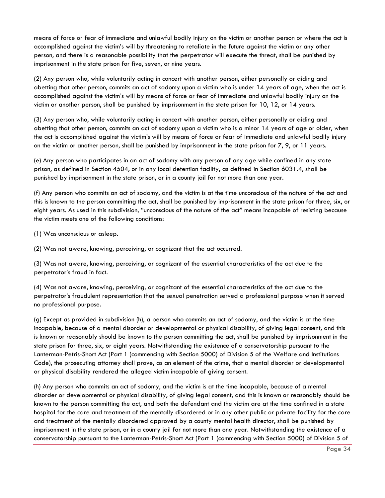means of force or fear of immediate and unlawful bodily injury on the victim or another person or where the act is accomplished against the victim's will by threatening to retaliate in the future against the victim or any other person, and there is a reasonable possibility that the perpetrator will execute the threat, shall be punished by imprisonment in the state prison for five, seven, or nine years.

(2) Any person who, while voluntarily acting in concert with another person, either personally or aiding and abetting that other person, commits an act of sodomy upon a victim who is under 14 years of age, when the act is accomplished against the victim's will by means of force or fear of immediate and unlawful bodily injury on the victim or another person, shall be punished by imprisonment in the state prison for 10, 12, or 14 years.

(3) Any person who, while voluntarily acting in concert with another person, either personally or aiding and abetting that other person, commits an act of sodomy upon a victim who is a minor 14 years of age or older, when the act is accomplished against the victim's will by means of force or fear of immediate and unlawful bodily injury on the victim or another person, shall be punished by imprisonment in the state prison for 7, 9, or 11 years.

(e) Any person who participates in an act of sodomy with any person of any age while confined in any state prison, as defined in Section 4504, or in any local detention facility, as defined in Section 6031.4, shall be punished by imprisonment in the state prison, or in a county jail for not more than one year.

(f) Any person who commits an act of sodomy, and the victim is at the time unconscious of the nature of the act and this is known to the person committing the act, shall be punished by imprisonment in the state prison for three, six, or eight years. As used in this subdivision, "unconscious of the nature of the act" means incapable of resisting because the victim meets one of the following conditions:

(1) Was unconscious or asleep.

(2) Was not aware, knowing, perceiving, or cognizant that the act occurred.

(3) Was not aware, knowing, perceiving, or cognizant of the essential characteristics of the act due to the perpetrator's fraud in fact.

(4) Was not aware, knowing, perceiving, or cognizant of the essential characteristics of the act due to the perpetrator's fraudulent representation that the sexual penetration served a professional purpose when it served no professional purpose.

(g) Except as provided in subdivision (h), a person who commits an act of sodomy, and the victim is at the time incapable, because of a mental disorder or developmental or physical disability, of giving legal consent, and this is known or reasonably should be known to the person committing the act, shall be punished by imprisonment in the state prison for three, six, or eight years. Notwithstanding the existence of a conservatorship pursuant to the Lanterman-Petris-Short Act (Part 1 (commencing with Section 5000) of Division 5 of the Welfare and Institutions Code), the prosecuting attorney shall prove, as an element of the crime, that a mental disorder or developmental or physical disability rendered the alleged victim incapable of giving consent.

(h) Any person who commits an act of sodomy, and the victim is at the time incapable, because of a mental disorder or developmental or physical disability, of giving legal consent, and this is known or reasonably should be known to the person committing the act, and both the defendant and the victim are at the time confined in a state hospital for the care and treatment of the mentally disordered or in any other public or private facility for the care and treatment of the mentally disordered approved by a county mental health director, shall be punished by imprisonment in the state prison, or in a county jail for not more than one year. Notwithstanding the existence of a conservatorship pursuant to the Lanterman-Petris-Short Act (Part 1 (commencing with Section 5000) of Division 5 of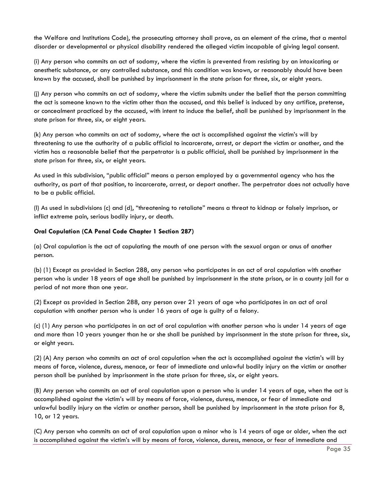the Welfare and Institutions Code), the prosecuting attorney shall prove, as an element of the crime, that a mental disorder or developmental or physical disability rendered the alleged victim incapable of giving legal consent.

(i) Any person who commits an act of sodomy, where the victim is prevented from resisting by an intoxicating or anesthetic substance, or any controlled substance, and this condition was known, or reasonably should have been known by the accused, shall be punished by imprisonment in the state prison for three, six, or eight years.

(j) Any person who commits an act of sodomy, where the victim submits under the belief that the person committing the act is someone known to the victim other than the accused, and this belief is induced by any artifice, pretense, or concealment practiced by the accused, with intent to induce the belief, shall be punished by imprisonment in the state prison for three, six, or eight years.

(k) Any person who commits an act of sodomy, where the act is accomplished against the victim's will by threatening to use the authority of a public official to incarcerate, arrest, or deport the victim or another, and the victim has a reasonable belief that the perpetrator is a public official, shall be punished by imprisonment in the state prison for three, six, or eight years.

As used in this subdivision, "public official" means a person employed by a governmental agency who has the authority, as part of that position, to incarcerate, arrest, or deport another. The perpetrator does not actually have to be a public official.

(l) As used in subdivisions (c) and (d), "threatening to retaliate" means a threat to kidnap or falsely imprison, or inflict extreme pain, serious bodily injury, or death.

#### **Oral Copulation (CA Penal Code Chapter 1 Section 287)**

(a) Oral copulation is the act of copulating the mouth of one person with the sexual organ or anus of another person.

(b) (1) Except as provided in Section 288, any person who participates in an act of oral copulation with another person who is under 18 years of age shall be punished by imprisonment in the state prison, or in a county jail for a period of not more than one year.

(2) Except as provided in Section 288, any person over 21 years of age who participates in an act of oral copulation with another person who is under 16 years of age is guilty of a felony.

(c) (1) Any person who participates in an act of oral copulation with another person who is under 14 years of age and more than 10 years younger than he or she shall be punished by imprisonment in the state prison for three, six, or eight years.

(2) (A) Any person who commits an act of oral copulation when the act is accomplished against the victim's will by means of force, violence, duress, menace, or fear of immediate and unlawful bodily injury on the victim or another person shall be punished by imprisonment in the state prison for three, six, or eight years.

(B) Any person who commits an act of oral copulation upon a person who is under 14 years of age, when the act is accomplished against the victim's will by means of force, violence, duress, menace, or fear of immediate and unlawful bodily injury on the victim or another person, shall be punished by imprisonment in the state prison for 8, 10, or 12 years.

(C) Any person who commits an act of oral copulation upon a minor who is 14 years of age or older, when the act is accomplished against the victim's will by means of force, violence, duress, menace, or fear of immediate and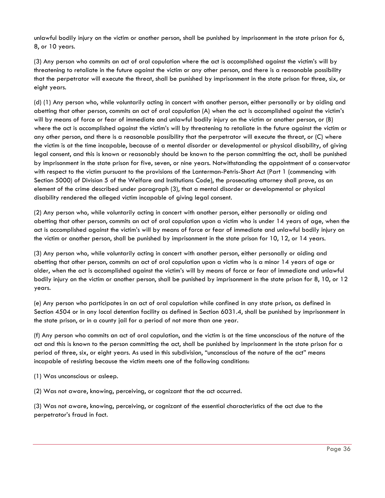unlawful bodily injury on the victim or another person, shall be punished by imprisonment in the state prison for 6, 8, or 10 years.

(3) Any person who commits an act of oral copulation where the act is accomplished against the victim's will by threatening to retaliate in the future against the victim or any other person, and there is a reasonable possibility that the perpetrator will execute the threat, shall be punished by imprisonment in the state prison for three, six, or eight years.

(d) (1) Any person who, while voluntarily acting in concert with another person, either personally or by aiding and abetting that other person, commits an act of oral copulation (A) when the act is accomplished against the victim's will by means of force or fear of immediate and unlawful bodily injury on the victim or another person, or (B) where the act is accomplished against the victim's will by threatening to retaliate in the future against the victim or any other person, and there is a reasonable possibility that the perpetrator will execute the threat, or (C) where the victim is at the time incapable, because of a mental disorder or developmental or physical disability, of giving legal consent, and this is known or reasonably should be known to the person committing the act, shall be punished by imprisonment in the state prison for five, seven, or nine years. Notwithstanding the appointment of a conservator with respect to the victim pursuant to the provisions of the Lanterman-Petris-Short Act (Part 1 (commencing with Section 5000) of Division 5 of the Welfare and Institutions Code), the prosecuting attorney shall prove, as an element of the crime described under paragraph (3), that a mental disorder or developmental or physical disability rendered the alleged victim incapable of giving legal consent.

(2) Any person who, while voluntarily acting in concert with another person, either personally or aiding and abetting that other person, commits an act of oral copulation upon a victim who is under 14 years of age, when the act is accomplished against the victim's will by means of force or fear of immediate and unlawful bodily injury on the victim or another person, shall be punished by imprisonment in the state prison for 10, 12, or 14 years.

(3) Any person who, while voluntarily acting in concert with another person, either personally or aiding and abetting that other person, commits an act of oral copulation upon a victim who is a minor 14 years of age or older, when the act is accomplished against the victim's will by means of force or fear of immediate and unlawful bodily injury on the victim or another person, shall be punished by imprisonment in the state prison for 8, 10, or 12 years.

(e) Any person who participates in an act of oral copulation while confined in any state prison, as defined in Section 4504 or in any local detention facility as defined in Section 6031.4, shall be punished by imprisonment in the state prison, or in a county jail for a period of not more than one year.

(f) Any person who commits an act of oral copulation, and the victim is at the time unconscious of the nature of the act and this is known to the person committing the act, shall be punished by imprisonment in the state prison for a period of three, six, or eight years. As used in this subdivision, "unconscious of the nature of the act" means incapable of resisting because the victim meets one of the following conditions:

- (1) Was unconscious or asleep.
- (2) Was not aware, knowing, perceiving, or cognizant that the act occurred.

(3) Was not aware, knowing, perceiving, or cognizant of the essential characteristics of the act due to the perpetrator's fraud in fact.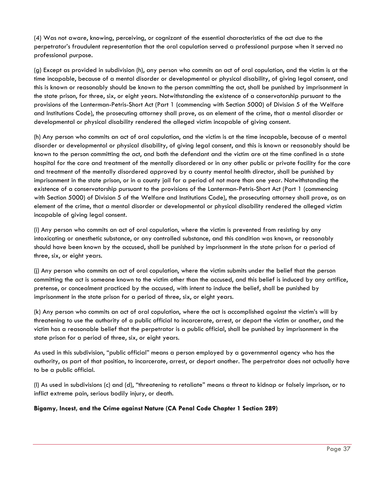(4) Was not aware, knowing, perceiving, or cognizant of the essential characteristics of the act due to the perpetrator's fraudulent representation that the oral copulation served a professional purpose when it served no professional purpose.

(g) Except as provided in subdivision (h), any person who commits an act of oral copulation, and the victim is at the time incapable, because of a mental disorder or developmental or physical disability, of giving legal consent, and this is known or reasonably should be known to the person committing the act, shall be punished by imprisonment in the state prison, for three, six, or eight years. Notwithstanding the existence of a conservatorship pursuant to the provisions of the Lanterman-Petris-Short Act (Part 1 (commencing with Section 5000) of Division 5 of the Welfare and Institutions Code), the prosecuting attorney shall prove, as an element of the crime, that a mental disorder or developmental or physical disability rendered the alleged victim incapable of giving consent.

(h) Any person who commits an act of oral copulation, and the victim is at the time incapable, because of a mental disorder or developmental or physical disability, of giving legal consent, and this is known or reasonably should be known to the person committing the act, and both the defendant and the victim are at the time confined in a state hospital for the care and treatment of the mentally disordered or in any other public or private facility for the care and treatment of the mentally disordered approved by a county mental health director, shall be punished by imprisonment in the state prison, or in a county jail for a period of not more than one year. Notwithstanding the existence of a conservatorship pursuant to the provisions of the Lanterman-Petris-Short Act (Part 1 (commencing with Section 5000) of Division 5 of the Welfare and Institutions Code), the prosecuting attorney shall prove, as an element of the crime, that a mental disorder or developmental or physical disability rendered the alleged victim incapable of giving legal consent.

(i) Any person who commits an act of oral copulation, where the victim is prevented from resisting by any intoxicating or anesthetic substance, or any controlled substance, and this condition was known, or reasonably should have been known by the accused, shall be punished by imprisonment in the state prison for a period of three, six, or eight years.

(j) Any person who commits an act of oral copulation, where the victim submits under the belief that the person committing the act is someone known to the victim other than the accused, and this belief is induced by any artifice, pretense, or concealment practiced by the accused, with intent to induce the belief, shall be punished by imprisonment in the state prison for a period of three, six, or eight years.

(k) Any person who commits an act of oral copulation, where the act is accomplished against the victim's will by threatening to use the authority of a public official to incarcerate, arrest, or deport the victim or another, and the victim has a reasonable belief that the perpetrator is a public official, shall be punished by imprisonment in the state prison for a period of three, six, or eight years.

As used in this subdivision, "public official" means a person employed by a governmental agency who has the authority, as part of that position, to incarcerate, arrest, or deport another. The perpetrator does not actually have to be a public official.

(l) As used in subdivisions (c) and (d), "threatening to retaliate" means a threat to kidnap or falsely imprison, or to inflict extreme pain, serious bodily injury, or death.

#### **Bigamy, Incest, and the Crime against Nature (CA Penal Code Chapter 1 Section 289)**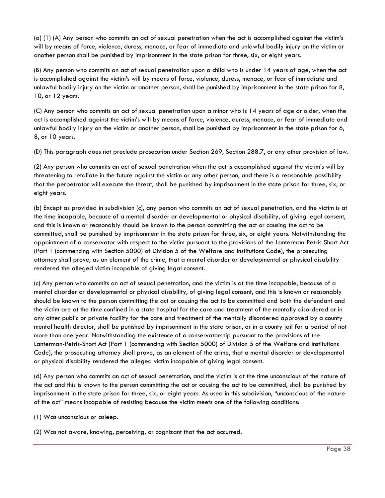(a) (1) (A) Any person who commits an act of sexual penetration when the act is accomplished against the victim's will by means of force, violence, duress, menace, or fear of immediate and unlawful bodily injury on the victim or another person shall be punished by imprisonment in the state prison for three, six, or eight years.

(B) Any person who commits an act of sexual penetration upon a child who is under 14 years of age, when the act is accomplished against the victim's will by means of force, violence, duress, menace, or fear of immediate and unlawful bodily injury on the victim or another person, shall be punished by imprisonment in the state prison for 8, 10, or 12 years.

(C) Any person who commits an act of sexual penetration upon a minor who is 14 years of age or older, when the act is accomplished against the victim's will by means of force, violence, duress, menace, or fear of immediate and unlawful bodily injury on the victim or another person, shall be punished by imprisonment in the state prison for 6, 8, or 10 years.

(D) This paragraph does not preclude prosecution under Section 269, Section 288.7, or any other provision of law.

(2) Any person who commits an act of sexual penetration when the act is accomplished against the victim's will by threatening to retaliate in the future against the victim or any other person, and there is a reasonable possibility that the perpetrator will execute the threat, shall be punished by imprisonment in the state prison for three, six, or eight years.

(b) Except as provided in subdivision (c), any person who commits an act of sexual penetration, and the victim is at the time incapable, because of a mental disorder or developmental or physical disability, of giving legal consent, and this is known or reasonably should be known to the person committing the act or causing the act to be committed, shall be punished by imprisonment in the state prison for three, six, or eight years. Notwithstanding the appointment of a conservator with respect to the victim pursuant to the provisions of the Lanterman-Petris-Short Act (Part 1 (commencing with Section 5000) of Division 5 of the Welfare and Institutions Code), the prosecuting attorney shall prove, as an element of the crime, that a mental disorder or developmental or physical disability rendered the alleged victim incapable of giving legal consent.

(c) Any person who commits an act of sexual penetration, and the victim is at the time incapable, because of a mental disorder or developmental or physical disability, of giving legal consent, and this is known or reasonably should be known to the person committing the act or causing the act to be committed and both the defendant and the victim are at the time confined in a state hospital for the care and treatment of the mentally disordered or in any other public or private facility for the care and treatment of the mentally disordered approved by a county mental health director, shall be punished by imprisonment in the state prison, or in a county jail for a period of not more than one year. Notwithstanding the existence of a conservatorship pursuant to the provisions of the Lanterman-Petris-Short Act (Part 1 (commencing with Section 5000) of Division 5 of the Welfare and Institutions Code), the prosecuting attorney shall prove, as an element of the crime, that a mental disorder or developmental or physical disability rendered the alleged victim incapable of giving legal consent.

(d) Any person who commits an act of sexual penetration, and the victim is at the time unconscious of the nature of the act and this is known to the person committing the act or causing the act to be committed, shall be punished by imprisonment in the state prison for three, six, or eight years. As used in this subdivision, "unconscious of the nature of the act" means incapable of resisting because the victim meets one of the following conditions:

(1) Was unconscious or asleep.

(2) Was not aware, knowing, perceiving, or cognizant that the act occurred.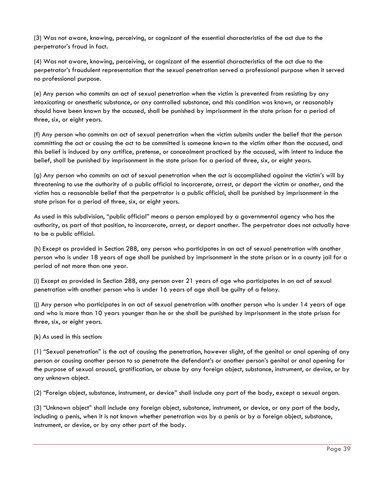(3) Was not aware, knowing, perceiving, or cognizant of the essential characteristics of the act due to the perpetrator's fraud in fact.

(4) Was not aware, knowing, perceiving, or cognizant of the essential characteristics of the act due to the perpetrator's fraudulent representation that the sexual penetration served a professional purpose when it served no professional purpose.

(e) Any person who commits an act of sexual penetration when the victim is prevented from resisting by any intoxicating or anesthetic substance, or any controlled substance, and this condition was known, or reasonably should have been known by the accused, shall be punished by imprisonment in the state prison for a period of three, six, or eight years.

(f) Any person who commits an act of sexual penetration when the victim submits under the belief that the person committing the act or causing the act to be committed is someone known to the victim other than the accused, and this belief is induced by any artifice, pretense, or concealment practiced by the accused, with intent to induce the belief, shall be punished by imprisonment in the state prison for a period of three, six, or eight years.

(g) Any person who commits an act of sexual penetration when the act is accomplished against the victim's will by threatening to use the authority of a public official to incarcerate, arrest, or deport the victim or another, and the victim has a reasonable belief that the perpetrator is a public official, shall be punished by imprisonment in the state prison for a period of three, six, or eight years.

As used in this subdivision, "public official" means a person employed by a governmental agency who has the authority, as part of that position, to incarcerate, arrest, or deport another. The perpetrator does not actually have to be a public official.

(h) Except as provided in Section 288, any person who participates in an act of sexual penetration with another person who is under 18 years of age shall be punished by imprisonment in the state prison or in a county jail for a period of not more than one year.

(i) Except as provided in Section 288, any person over 21 years of age who participates in an act of sexual penetration with another person who is under 16 years of age shall be guilty of a felony.

(j) Any person who participates in an act of sexual penetration with another person who is under 14 years of age and who is more than 10 years younger than he or she shall be punished by imprisonment in the state prison for three, six, or eight years.

(k) As used in this section:

(1) "Sexual penetration" is the act of causing the penetration, however slight, of the genital or anal opening of any person or causing another person to so penetrate the defendant's or another person's genital or anal opening for the purpose of sexual arousal, gratification, or abuse by any foreign object, substance, instrument, or device, or by any unknown object.

(2) "Foreign object, substance, instrument, or device" shall include any part of the body, except a sexual organ.

(3) "Unknown object" shall include any foreign object, substance, instrument, or device, or any part of the body, including a penis, when it is not known whether penetration was by a penis or by a foreign object, substance, instrument, or device, or by any other part of the body.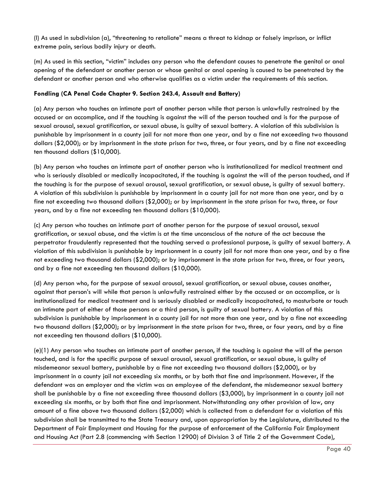(l) As used in subdivision (a), "threatening to retaliate" means a threat to kidnap or falsely imprison, or inflict extreme pain, serious bodily injury or death.

(m) As used in this section, "victim" includes any person who the defendant causes to penetrate the genital or anal opening of the defendant or another person or whose genital or anal opening is caused to be penetrated by the defendant or another person and who otherwise qualifies as a victim under the requirements of this section.

#### **Fondling (CA Penal Code Chapter 9. Section 243.4, Assault and Battery)**

(a) Any person who touches an intimate part of another person while that person is unlawfully restrained by the accused or an accomplice, and if the touching is against the will of the person touched and is for the purpose of sexual arousal, sexual gratification, or sexual abuse, is guilty of sexual battery. A violation of this subdivision is punishable by imprisonment in a county jail for not more than one year, and by a fine not exceeding two thousand dollars (\$2,000); or by imprisonment in the state prison for two, three, or four years, and by a fine not exceeding ten thousand dollars (\$10,000).

(b) Any person who touches an intimate part of another person who is institutionalized for medical treatment and who is seriously disabled or medically incapacitated, if the touching is against the will of the person touched, and if the touching is for the purpose of sexual arousal, sexual gratification, or sexual abuse, is guilty of sexual battery. A violation of this subdivision is punishable by imprisonment in a county jail for not more than one year, and by a fine not exceeding two thousand dollars (\$2,000); or by imprisonment in the state prison for two, three, or four years, and by a fine not exceeding ten thousand dollars (\$10,000).

(c) Any person who touches an intimate part of another person for the purpose of sexual arousal, sexual gratification, or sexual abuse, and the victim is at the time unconscious of the nature of the act because the perpetrator fraudulently represented that the touching served a professional purpose, is guilty of sexual battery. A violation of this subdivision is punishable by imprisonment in a county jail for not more than one year, and by a fine not exceeding two thousand dollars (\$2,000); or by imprisonment in the state prison for two, three, or four years, and by a fine not exceeding ten thousand dollars (\$10,000).

(d) Any person who, for the purpose of sexual arousal, sexual gratification, or sexual abuse, causes another, against that person's will while that person is unlawfully restrained either by the accused or an accomplice, or is institutionalized for medical treatment and is seriously disabled or medically incapacitated, to masturbate or touch an intimate part of either of those persons or a third person, is guilty of sexual battery. A violation of this subdivision is punishable by imprisonment in a county jail for not more than one year, and by a fine not exceeding two thousand dollars (\$2,000); or by imprisonment in the state prison for two, three, or four years, and by a fine not exceeding ten thousand dollars (\$10,000).

(e)(1) Any person who touches an intimate part of another person, if the touching is against the will of the person touched, and is for the specific purpose of sexual arousal, sexual gratification, or sexual abuse, is guilty of misdemeanor sexual battery, punishable by a fine not exceeding two thousand dollars (\$2,000), or by imprisonment in a county jail not exceeding six months, or by both that fine and imprisonment. However, if the defendant was an employer and the victim was an employee of the defendant, the misdemeanor sexual battery shall be punishable by a fine not exceeding three thousand dollars (\$3,000), by imprisonment in a county jail not exceeding six months, or by both that fine and imprisonment. Notwithstanding any other provision of law, any amount of a fine above two thousand dollars (\$2,000) which is collected from a defendant for a violation of this subdivision shall be transmitted to the State Treasury and, upon appropriation by the Legislature, distributed to the Department of Fair Employment and Housing for the purpose of enforcement of the California Fair Employment and Housing Act (Part 2.8 (commencing with Section 12900) of Division 3 of Title 2 of the Government Code),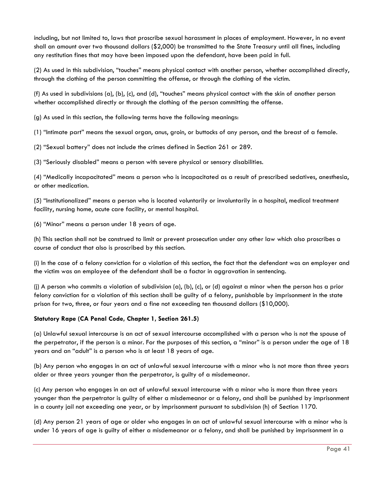including, but not limited to, laws that proscribe sexual harassment in places of employment. However, in no event shall an amount over two thousand dollars (\$2,000) be transmitted to the State Treasury until all fines, including any restitution fines that may have been imposed upon the defendant, have been paid in full.

(2) As used in this subdivision, "touches" means physical contact with another person, whether accomplished directly, through the clothing of the person committing the offense, or through the clothing of the victim.

(f) As used in subdivisions (a), (b), (c), and (d), "touches" means physical contact with the skin of another person whether accomplished directly or through the clothing of the person committing the offense.

(g) As used in this section, the following terms have the following meanings:

(1) "Intimate part" means the sexual organ, anus, groin, or buttocks of any person, and the breast of a female.

(2) "Sexual battery" does not include the crimes defined in Section 261 or 289.

(3) "Seriously disabled" means a person with severe physical or sensory disabilities.

(4) "Medically incapacitated" means a person who is incapacitated as a result of prescribed sedatives, anesthesia, or other medication.

(5) "Institutionalized" means a person who is located voluntarily or involuntarily in a hospital, medical treatment facility, nursing home, acute care facility, or mental hospital.

(6) "Minor" means a person under 18 years of age.

(h) This section shall not be construed to limit or prevent prosecution under any other law which also proscribes a course of conduct that also is proscribed by this section.

(i) In the case of a felony conviction for a violation of this section, the fact that the defendant was an employer and the victim was an employee of the defendant shall be a factor in aggravation in sentencing.

(j) A person who commits a violation of subdivision (a), (b), (c), or (d) against a minor when the person has a prior felony conviction for a violation of this section shall be guilty of a felony, punishable by imprisonment in the state prison for two, three, or four years and a fine not exceeding ten thousand dollars (\$10,000).

#### **Statutory Rape (CA Penal Code, Chapter 1, Section 261.5)**

(a) Unlawful sexual intercourse is an act of sexual intercourse accomplished with a person who is not the spouse of the perpetrator, if the person is a minor. For the purposes of this section, a "minor" is a person under the age of 18 years and an "adult" is a person who is at least 18 years of age.

(b) Any person who engages in an act of unlawful sexual intercourse with a minor who is not more than three years older or three years younger than the perpetrator, is guilty of a misdemeanor.

(c) Any person who engages in an act of unlawful sexual intercourse with a minor who is more than three years younger than the perpetrator is guilty of either a misdemeanor or a felony, and shall be punished by imprisonment in a county jail not exceeding one year, or by imprisonment pursuant to subdivision (h) of Section 1170.

(d) Any person 21 years of age or older who engages in an act of unlawful sexual intercourse with a minor who is under 16 years of age is guilty of either a misdemeanor or a felony, and shall be punished by imprisonment in a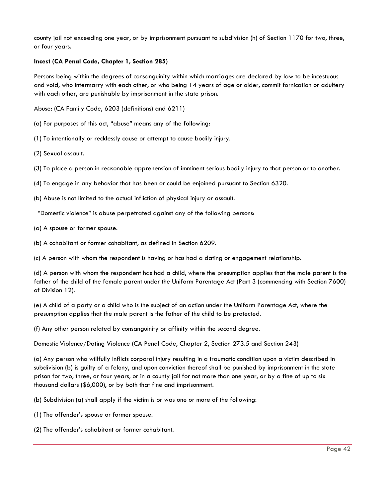county jail not exceeding one year, or by imprisonment pursuant to subdivision (h) of Section 1170 for two, three, or four years.

#### **Incest (CA Penal Code, Chapter 1, Section 285)**

Persons being within the degrees of consanguinity within which marriages are declared by law to be incestuous and void, who intermarry with each other, or who being 14 years of age or older, commit fornication or adultery with each other, are punishable by imprisonment in the state prison.

Abuse: (CA Family Code, 6203 (definitions) and 6211)

(a) For purposes of this act, "abuse" means any of the following:

(1) To intentionally or recklessly cause or attempt to cause bodily injury.

(2) Sexual assault.

(3) To place a person in reasonable apprehension of imminent serious bodily injury to that person or to another.

- (4) To engage in any behavior that has been or could be enjoined pursuant to Section 6320.
- (b) Abuse is not limited to the actual infliction of physical injury or assault.

"Domestic violence" is abuse perpetrated against any of the following persons:

(a) A spouse or former spouse.

(b) A cohabitant or former cohabitant, as defined in Section 6209.

(c) A person with whom the respondent is having or has had a dating or engagement relationship.

(d) A person with whom the respondent has had a child, where the presumption applies that the male parent is the father of the child of the female parent under the Uniform Parentage Act (Part 3 (commencing with Section 7600) of Division 12).

(e) A child of a party or a child who is the subject of an action under the Uniform Parentage Act, where the presumption applies that the male parent is the father of the child to be protected.

(f) Any other person related by consanguinity or affinity within the second degree.

Domestic Violence/Dating Violence (CA Penal Code, Chapter 2, Section 273.5 and Section 243)

(a) Any person who willfully inflicts corporal injury resulting in a traumatic condition upon a victim described in subdivision (b) is guilty of a felony, and upon conviction thereof shall be punished by imprisonment in the state prison for two, three, or four years, or in a county jail for not more than one year, or by a fine of up to six thousand dollars (\$6,000), or by both that fine and imprisonment.

(b) Subdivision (a) shall apply if the victim is or was one or more of the following:

- (1) The offender's spouse or former spouse.
- (2) The offender's cohabitant or former cohabitant.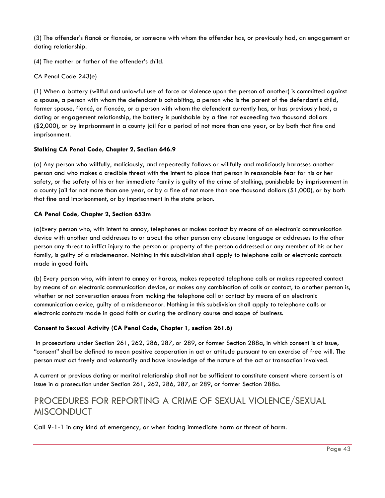(3) The offender's fiancé or fiancée, or someone with whom the offender has, or previously had, an engagement or dating relationship.

(4) The mother or father of the offender's child.

CA Penal Code 243(e)

(1) When a battery (willful and unlawful use of force or violence upon the person of another) is committed against a spouse, a person with whom the defendant is cohabiting, a person who is the parent of the defendant's child, former spouse, fiancé, or fiancée, or a person with whom the defendant currently has, or has previously had, a dating or engagement relationship, the battery is punishable by a fine not exceeding two thousand dollars (\$2,000), or by imprisonment in a county jail for a period of not more than one year, or by both that fine and imprisonment.

### **Stalking CA Penal Code, Chapter 2, Section 646.9**

(a) Any person who willfully, maliciously, and repeatedly follows or willfully and maliciously harasses another person and who makes a credible threat with the intent to place that person in reasonable fear for his or her safety, or the safety of his or her immediate family is guilty of the crime of stalking, punishable by imprisonment in a county jail for not more than one year, or by a fine of not more than one thousand dollars (\$1,000), or by both that fine and imprisonment, or by imprisonment in the state prison.

### **CA Penal Code, Chapter 2, Section 653m**

(a)Every person who, with intent to annoy, telephones or makes contact by means of an electronic communication device with another and addresses to or about the other person any obscene language or addresses to the other person any threat to inflict injury to the person or property of the person addressed or any member of his or her family, is guilty of a misdemeanor. Nothing in this subdivision shall apply to telephone calls or electronic contacts made in good faith.

(b) Every person who, with intent to annoy or harass, makes repeated telephone calls or makes repeated contact by means of an electronic communication device, or makes any combination of calls or contact, to another person is, whether or not conversation ensues from making the telephone call or contact by means of an electronic communication device, guilty of a misdemeanor. Nothing in this subdivision shall apply to telephone calls or electronic contacts made in good faith or during the ordinary course and scope of business.

#### **Consent to Sexual Activity (CA Penal Code, Chapter 1, section 261.6)**

In prosecutions under Section 261, 262, 286, 287, or 289, or former Section 288a, in which consent is at issue, "consent" shall be defined to mean positive cooperation in act or attitude pursuant to an exercise of free will. The person must act freely and voluntarily and have knowledge of the nature of the act or transaction involved.

A current or previous dating or marital relationship shall not be sufficient to constitute consent where consent is at issue in a prosecution under Section 261, 262, 286, 287, or 289, or former Section 288a.

# PROCEDURES FOR REPORTING A CRIME OF SEXUAL VIOLENCE/SEXUAL **MISCONDUCT**

Call 9-1-1 in any kind of emergency, or when facing immediate harm or threat of harm.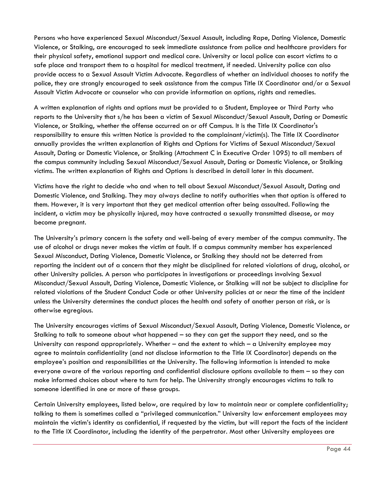Persons who have experienced Sexual Misconduct/Sexual Assault, including Rape, Dating Violence, Domestic Violence, or Stalking, are encouraged to seek immediate assistance from police and healthcare providers for their physical safety, emotional support and medical care. University or local police can escort victims to a safe place and transport them to a hospital for medical treatment, if needed. University police can also provide access to a Sexual Assault Victim Advocate. Regardless of whether an individual chooses to notify the police, they are strongly encouraged to seek assistance from the campus Title IX Coordinator and/or a Sexual Assault Victim Advocate or counselor who can provide information on options, rights and remedies.

A written explanation of rights and options must be provided to a Student, Employee or Third Party who reports to the University that s/he has been a victim of Sexual Misconduct/Sexual Assault, Dating or Domestic Violence, or Stalking, whether the offense occurred on or off Campus. It is the Title IX Coordinator's responsibility to ensure this written Notice is provided to the complainant/victim(s). The Title IX Coordinator annually provides the written explanation of Rights and Options for Victims of Sexual Misconduct/Sexual Assault, Dating or Domestic Violence, or Stalking (Attachment C in Executive Order 1095) to all members of the campus community including Sexual Misconduct/Sexual Assault, Dating or Domestic Violence, or Stalking victims. The written explanation of Rights and Options is described in detail later in this document.

Victims have the right to decide who and when to tell about Sexual Misconduct/Sexual Assault, Dating and Domestic Violence, and Stalking. They may always decline to notify authorities when that option is offered to them. However, it is very important that they get medical attention after being assaulted. Following the incident, a victim may be physically injured, may have contracted a sexually transmitted disease, or may become pregnant.

The University's primary concern is the safety and well-being of every member of the campus community. The use of alcohol or drugs never makes the victim at fault. If a campus community member has experienced Sexual Misconduct, Dating Violence, Domestic Violence, or Stalking they should not be deterred from reporting the incident out of a concern that they might be disciplined for related violations of drug, alcohol, or other University policies. A person who participates in investigations or proceedings involving Sexual Misconduct/Sexual Assault, Dating Violence, Domestic Violence, or Stalking will not be subject to discipline for related violations of the Student Conduct Code or other University policies at or near the time of the incident unless the University determines the conduct places the health and safety of another person at risk, or is otherwise egregious.

The University encourages victims of Sexual Misconduct/Sexual Assault, Dating Violence, Domestic Violence, or Stalking to talk to someone about what happened – so they can get the support they need, and so the University can respond appropriately. Whether  $-$  and the extent to which  $-$  a University employee may agree to maintain confidentiality (and not disclose information to the Title IX Coordinator) depends on the employee's position and responsibilities at the University. The following information is intended to make everyone aware of the various reporting and confidential disclosure options available to them – so they can make informed choices about where to turn for help. The University strongly encourages victims to talk to someone identified in one or more of these groups.

Certain University employees, listed below, are required by law to maintain near or complete confidentiality; talking to them is sometimes called a "privileged communication." University law enforcement employees may maintain the victim's identity as confidential, if requested by the victim, but will report the facts of the incident to the Title IX Coordinator, including the identity of the perpetrator. Most other University employees are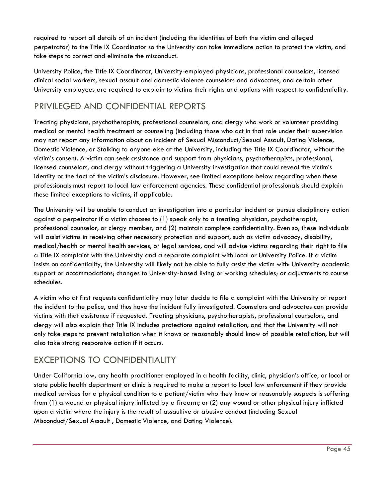required to report all details of an incident (including the identities of both the victim and alleged perpetrator) to the Title IX Coordinator so the University can take immediate action to protect the victim, and take steps to correct and eliminate the misconduct.

University Police, the Title IX Coordinator, University-employed physicians, professional counselors, licensed clinical social workers, sexual assault and domestic violence counselors and advocates, and certain other University employees are required to explain to victims their rights and options with respect to confidentiality.

# PRIVILEGED AND CONFIDENTIAL REPORTS

Treating physicians, psychotherapists, professional counselors, and clergy who work or volunteer providing medical or mental health treatment or counseling (including those who act in that role under their supervision may not report any information about an incident of Sexual Misconduct/Sexual Assault, Dating Violence, Domestic Violence, or Stalking to anyone else at the University, including the Title IX Coordinator, without the victim's consent. A victim can seek assistance and support from physicians, psychotherapists, professional, licensed counselors, and clergy without triggering a University investigation that could reveal the victim's identity or the fact of the victim's disclosure. However, see limited exceptions below regarding when these professionals must report to local law enforcement agencies. These confidential professionals should explain these limited exceptions to victims, if applicable.

The University will be unable to conduct an investigation into a particular incident or pursue disciplinary action against a perpetrator if a victim chooses to (1) speak only to a treating physician, psychotherapist, professional counselor, or clergy member, and (2) maintain complete confidentiality. Even so, these individuals will assist victims in receiving other necessary protection and support, such as victim advocacy, disability, medical/health or mental health services, or legal services, and will advise victims regarding their right to file a Title IX complaint with the University and a separate complaint with local or University Police. If a victim insists on confidentiality, the University will likely not be able to fully assist the victim with: University academic support or accommodations; changes to University-based living or working schedules; or adjustments to course schedules.

A victim who at first requests confidentiality may later decide to file a complaint with the University or report the incident to the police, and thus have the incident fully investigated. Counselors and advocates can provide victims with that assistance if requested. Treating physicians, psychotherapists, professional counselors, and clergy will also explain that Title IX includes protections against retaliation, and that the University will not only take steps to prevent retaliation when it knows or reasonably should know of possible retaliation, but will also take strong responsive action if it occurs.

# EXCEPTIONS TO CONFIDENTIALITY

Under California law, any health practitioner employed in a health facility, clinic, physician's office, or local or state public health department or clinic is required to make a report to local law enforcement if they provide medical services for a physical condition to a patient/victim who they know or reasonably suspects is suffering from (1) a wound or physical injury inflicted by a firearm; or (2) any wound or other physical injury inflicted upon a victim where the injury is the result of assaultive or abusive conduct (including Sexual Misconduct/Sexual Assault , Domestic Violence, and Dating Violence).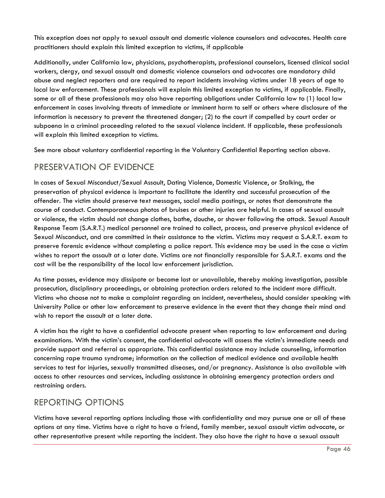This exception does not apply to sexual assault and domestic violence counselors and advocates. Health care practitioners should explain this limited exception to victims, if applicable

Additionally, under California law, physicians, psychotherapists, professional counselors, licensed clinical social workers, clergy, and sexual assault and domestic violence counselors and advocates are mandatory child abuse and neglect reporters and are required to report incidents involving victims under 18 years of age to local law enforcement. These professionals will explain this limited exception to victims, if applicable. Finally, some or all of these professionals may also have reporting obligations under California law to (1) local law enforcement in cases involving threats of immediate or imminent harm to self or others where disclosure of the information is necessary to prevent the threatened danger; (2) to the court if compelled by court order or subpoena in a criminal proceeding related to the sexual violence incident. If applicable, these professionals will explain this limited exception to victims.

See more about voluntary confidential reporting in the Voluntary Confidential Reporting section above.

# PRESERVATION OF EVIDENCE

In cases of Sexual Misconduct/Sexual Assault, Dating Violence, Domestic Violence, or Stalking, the preservation of physical evidence is important to facilitate the identity and successful prosecution of the offender. The victim should preserve text messages, social media postings, or notes that demonstrate the course of conduct. Contemporaneous photos of bruises or other injuries are helpful. In cases of sexual assault or violence, the victim should not change clothes, bathe, douche, or shower following the attack. Sexual Assault Response Team (S.A.R.T.) medical personnel are trained to collect, process, and preserve physical evidence of Sexual Misconduct, and are committed in their assistance to the victim. Victims may request a S.A.R.T. exam to preserve forensic evidence without completing a police report. This evidence may be used in the case a victim wishes to report the assault at a later date. Victims are not financially responsible for S.A.R.T. exams and the cost will be the responsibility of the local law enforcement jurisdiction.

As time passes, evidence may dissipate or become lost or unavailable, thereby making investigation, possible prosecution, disciplinary proceedings, or obtaining protection orders related to the incident more difficult. Victims who choose not to make a complaint regarding an incident, nevertheless, should consider speaking with University Police or other law enforcement to preserve evidence in the event that they change their mind and wish to report the assault at a later date.

A victim has the right to have a confidential advocate present when reporting to law enforcement and during examinations. With the victim's consent, the confidential advocate will assess the victim's immediate needs and provide support and referral as appropriate. This confidential assistance may include counseling, information concerning rape trauma syndrome; information on the collection of medical evidence and available health services to test for injuries, sexually transmitted diseases, and/or pregnancy. Assistance is also available with access to other resources and services, including assistance in obtaining emergency protection orders and restraining orders.

## REPORTING OPTIONS

Victims have several reporting options including those with confidentiality and may pursue one or all of these options at any time. Victims have a right to have a friend, family member, sexual assault victim advocate, or other representative present while reporting the incident. They also have the right to have a sexual assault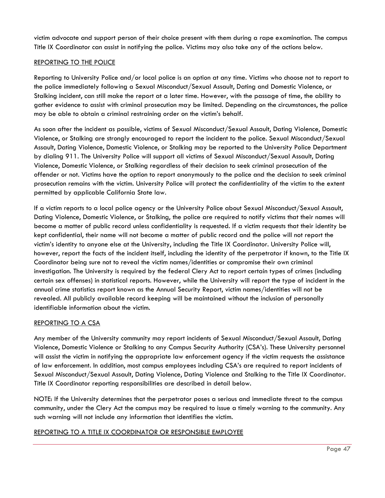victim advocate and support person of their choice present with them during a rape examination. The campus Title IX Coordinator can assist in notifying the police. Victims may also take any of the actions below.

#### REPORTING TO THE POLICE

Reporting to University Police and/or local police is an option at any time. Victims who choose not to report to the police immediately following a Sexual Misconduct/Sexual Assault, Dating and Domestic Violence, or Stalking incident, can still make the report at a later time. However, with the passage of time, the ability to gather evidence to assist with criminal prosecution may be limited. Depending on the circumstances, the police may be able to obtain a criminal restraining order on the victim's behalf.

As soon after the incident as possible, victims of Sexual Misconduct/Sexual Assault, Dating Violence, Domestic Violence, or Stalking are strongly encouraged to report the incident to the police. Sexual Misconduct/Sexual Assault, Dating Violence, Domestic Violence, or Stalking may be reported to the University Police Department by dialing 911. The University Police will support all victims of Sexual Misconduct/Sexual Assault, Dating Violence, Domestic Violence, or Stalking regardless of their decision to seek criminal prosecution of the offender or not. Victims have the option to report anonymously to the police and the decision to seek criminal prosecution remains with the victim. University Police will protect the confidentiality of the victim to the extent permitted by applicable California State law.

If a victim reports to a local police agency or the University Police about Sexual Misconduct/Sexual Assault, Dating Violence, Domestic Violence, or Stalking, the police are required to notify victims that their names will become a matter of public record unless confidentiality is requested. If a victim requests that their identity be kept confidential, their name will not become a matter of public record and the police will not report the victim's identity to anyone else at the University, including the Title IX Coordinator. University Police will, however, report the facts of the incident itself, including the identity of the perpetrator if known, to the Title IX Coordinator being sure not to reveal the victim names/identities or compromise their own criminal investigation. The University is required by the federal Clery Act to report certain types of crimes (including certain sex offenses) in statistical reports. However, while the University will report the type of incident in the annual crime statistics report known as the Annual Security Report, victim names/identities will not be revealed. All publicly available record keeping will be maintained without the inclusion of personally identifiable information about the victim.

#### REPORTING TO A CSA

Any member of the University community may report incidents of Sexual Misconduct/Sexual Assault, Dating Violence, Domestic Violence or Stalking to any Campus Security Authority (CSA's). These University personnel will assist the victim in notifying the appropriate law enforcement agency if the victim requests the assistance of law enforcement. In addition, most campus employees including CSA's are required to report incidents of Sexual Misconduct/Sexual Assault, Dating Violence, Dating Violence and Stalking to the Title IX Coordinator. Title IX Coordinator reporting responsibilities are described in detail below.

NOTE: If the University determines that the perpetrator poses a serious and immediate threat to the campus community, under the Clery Act the campus may be required to issue a timely warning to the community. Any such warning will not include any information that identifies the victim.

## REPORTING TO A TITLE IX COORDINATOR OR RESPONSIBLE EMPLOYEE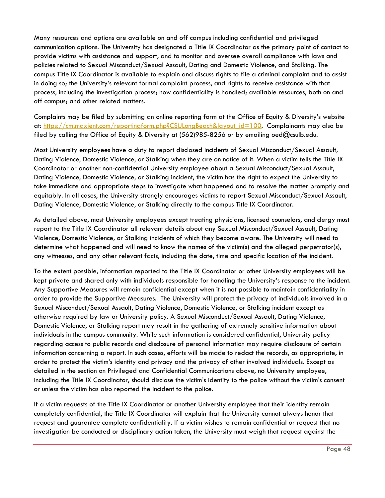Many resources and options are available on and off campus including confidential and privileged communication options. The University has designated a Title IX Coordinator as the primary point of contact to provide victims with assistance and support, and to monitor and oversee overall compliance with laws and policies related to Sexual Misconduct/Sexual Assault, Dating and Domestic Violence, and Stalking. The campus Title IX Coordinator is available to explain and discuss rights to file a criminal complaint and to assist in doing so; the University's relevant formal complaint process, and rights to receive assistance with that process, including the investigation process; how confidentiality is handled; available resources, both on and off campus; and other related matters.

Complaints may be filed by submitting an online reporting form at the Office of Equity & Diversity's website at: [https://cm.maxient.com/reportingform.php?CSULongBeach&layout\\_id=100.](https://cm.maxient.com/reportingform.php?CSULongBeach&layout_id=100) Complainants may also be filed by calling the Office of Equity & Diversity at (562)985-8256 or by emailing oed@csulb.edu.

Most University employees have a duty to report disclosed incidents of Sexual Misconduct/Sexual Assault, Dating Violence, Domestic Violence, or Stalking when they are on notice of it. When a victim tells the Title IX Coordinator or another non-confidential University employee about a Sexual Misconduct/Sexual Assault, Dating Violence, Domestic Violence, or Stalking incident, the victim has the right to expect the University to take immediate and appropriate steps to investigate what happened and to resolve the matter promptly and equitably. In all cases, the University strongly encourages victims to report Sexual Misconduct/Sexual Assault, Dating Violence, Domestic Violence, or Stalking directly to the campus Title IX Coordinator.

As detailed above, most University employees except treating physicians, licensed counselors, and clergy must report to the Title IX Coordinator all relevant details about any Sexual Misconduct/Sexual Assault, Dating Violence, Domestic Violence, or Stalking incidents of which they become aware. The University will need to determine what happened and will need to know the names of the victim(s) and the alleged perpetrator(s), any witnesses, and any other relevant facts, including the date, time and specific location of the incident.

To the extent possible, information reported to the Title IX Coordinator or other University employees will be kept private and shared only with individuals responsible for handling the University's response to the incident. Any Supportive Measures will remain confidential except when it is not possible to maintain confidentiality in order to provide the Supportive Measures. The University will protect the privacy of individuals involved in a Sexual Misconduct/Sexual Assault, Dating Violence, Domestic Violence, or Stalking incident except as otherwise required by law or University policy. A Sexual Misconduct/Sexual Assault, Dating Violence, Domestic Violence, or Stalking report may result in the gathering of extremely sensitive information about individuals in the campus community. While such information is considered confidential, University policy regarding access to public records and disclosure of personal information may require disclosure of certain information concerning a report. In such cases, efforts will be made to redact the records, as appropriate, in order to protect the victim's identity and privacy and the privacy of other involved individuals. Except as detailed in the section on Privileged and Confidential Communications above, no University employee, including the Title IX Coordinator, should disclose the victim's identity to the police without the victim's consent or unless the victim has also reported the incident to the police.

If a victim requests of the Title IX Coordinator or another University employee that their identity remain completely confidential, the Title IX Coordinator will explain that the University cannot always honor that request and guarantee complete confidentiality. If a victim wishes to remain confidential or request that no investigation be conducted or disciplinary action taken, the University must weigh that request against the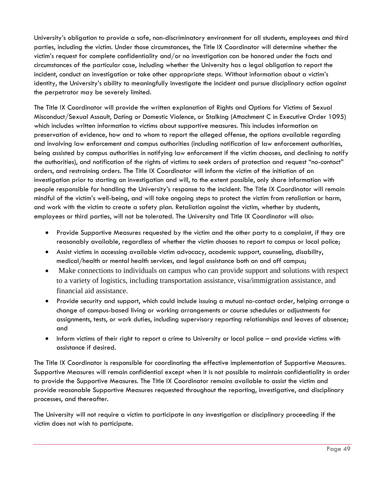University's obligation to provide a safe, non-discriminatory environment for all students, employees and third parties, including the victim. Under those circumstances, the Title IX Coordinator will determine whether the victim's request for complete confidentiality and/or no investigation can be honored under the facts and circumstances of the particular case, including whether the University has a legal obligation to report the incident, conduct an investigation or take other appropriate steps. Without information about a victim's identity, the University's ability to meaningfully investigate the incident and pursue disciplinary action against the perpetrator may be severely limited.

The Title IX Coordinator will provide the written explanation of Rights and Options for Victims of Sexual Misconduct/Sexual Assault, Dating or Domestic Violence, or Stalking (Attachment C in Executive Order 1095) which includes written information to victims about supportive measures. This includes information on preservation of evidence, how and to whom to report the alleged offense, the options available regarding and involving law enforcement and campus authorities (including notification of law enforcement authorities, being assisted by campus authorities in notifying law enforcement if the victim chooses, and declining to notify the authorities), and notification of the rights of victims to seek orders of protection and request "no-contact" orders, and restraining orders. The Title IX Coordinator will inform the victim of the initiation of an investigation prior to starting an investigation and will, to the extent possible, only share information with people responsible for handling the University's response to the incident. The Title IX Coordinator will remain mindful of the victim's well-being, and will take ongoing steps to protect the victim from retaliation or harm, and work with the victim to create a safety plan. Retaliation against the victim, whether by students, employees or third parties, will not be tolerated. The University and Title IX Coordinator will also:

- Provide Supportive Measures requested by the victim and the other party to a complaint, if they are reasonably available, regardless of whether the victim chooses to report to campus or local police;
- Assist victims in accessing available victim advocacy, academic support, counseling, disability, medical/health or mental health services, and legal assistance both on and off campus;
- Make connections to individuals on campus who can provide support and solutions with respect to a variety of logistics, including transportation assistance, visa/immigration assistance, and financial aid assistance.
- Provide security and support, which could include issuing a mutual no-contact order, helping arrange a change of campus-based living or working arrangements or course schedules or adjustments for assignments, tests, or work duties, including supervisory reporting relationships and leaves of absence; and
- Inform victims of their right to report a crime to University or local police and provide victims with assistance if desired.

The Title IX Coordinator is responsible for coordinating the effective implementation of Supportive Measures. Supportive Measures will remain confidential except when it is not possible to maintain confidentiality in order to provide the Supportive Measures. The Title IX Coordinator remains available to assist the victim and provide reasonable Supportive Measures requested throughout the reporting, investigative, and disciplinary processes, and thereafter.

The University will not require a victim to participate in any investigation or disciplinary proceeding if the victim does not wish to participate.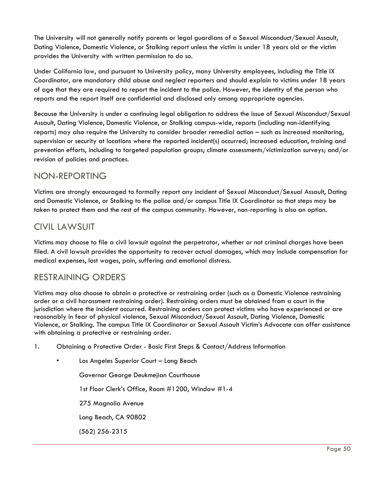The University will not generally notify parents or legal guardians of a Sexual Misconduct/Sexual Assault, Dating Violence, Domestic Violence, or Stalking report unless the victim is under 18 years old or the victim provides the University with written permission to do so.

Under California law, and pursuant to University policy, many University employees, including the Title IX Coordinator, are mandatory child abuse and neglect reporters and should explain to victims under 18 years of age that they are required to report the incident to the police. However, the identity of the person who reports and the report itself are confidential and disclosed only among appropriate agencies.

Because the University is under a continuing legal obligation to address the issue of Sexual Misconduct/Sexual Assault, Dating Violence, Domestic Violence, or Stalking campus-wide, reports (including non-identifying reports) may also require the University to consider broader remedial action – such as increased monitoring, supervision or security at locations where the reported incident(s) occurred; increased education, training and prevention efforts, including to targeted population groups; climate assessments/victimization surveys; and/or revision of policies and practices.

## NON-REPORTING

Victims are strongly encouraged to formally report any incident of Sexual Misconduct/Sexual Assault, Dating and Domestic Violence, or Stalking to the police and/or campus Title IX Coordinator so that steps may be taken to protect them and the rest of the campus community. However, non-reporting is also an option.

## CIVIL LAWSUIT

Victims may choose to file a civil lawsuit against the perpetrator, whether or not criminal charges have been filed. A civil lawsuit provides the opportunity to recover actual damages, which may include compensation for medical expenses, lost wages, pain, suffering and emotional distress.

## RESTRAINING ORDERS

Victims may also choose to obtain a protective or restraining order (such as a Domestic Violence restraining order or a civil harassment restraining order). Restraining orders must be obtained from a court in the jurisdiction where the incident occurred. Restraining orders can protect victims who have experienced or are reasonably in fear of physical violence, Sexual Misconduct/Sexual Assault, Dating Violence, Domestic Violence, or Stalking. The campus Title IX Coordinator or Sexual Assault Victim's Advocate can offer assistance with obtaining a protective or restraining order.

- 1. Obtaining a Protective Order Basic First Steps & Contact/Address Information
	- Los Angeles Superior Court Long Beach

Governor George Deukmejian Courthouse

1st Floor Clerk's Office, Room #1200, Window #1-4

275 Magnolia Avenue

Long Beach, CA 90802

(562) 256-2315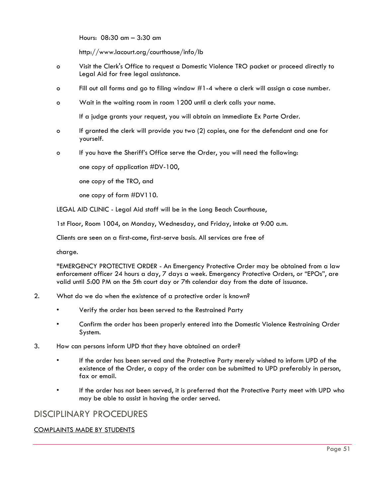Hours: 08:30 am – 3:30 am

http://www.lacourt.org/courthouse/info/lb

- o Visit the Clerk's Office to request a Domestic Violence TRO packet or proceed directly to Legal Aid for free legal assistance.
- o Fill out all forms and go to filing window #1-4 where a clerk will assign a case number.
- o Wait in the waiting room in room 1200 until a clerk calls your name.

If a judge grants your request, you will obtain an immediate Ex Parte Order.

- o If granted the clerk will provide you two (2) copies, one for the defendant and one for yourself.
- o If you have the Sheriff's Office serve the Order, you will need the following:

one copy of application #DV-100,

one copy of the TRO, and

one copy of form #DV110.

LEGAL AID CLINIC - Legal Aid staff will be in the Long Beach Courthouse,

1st Floor, Room 1004, on Monday, Wednesday, and Friday, intake at 9:00 a.m.

Clients are seen on a first-come, first-serve basis. All services are free of

charge.

\*EMERGENCY PROTECTIVE ORDER - An Emergency Protective Order may be obtained from a law enforcement officer 24 hours a day, 7 days a week. Emergency Protective Orders, or "EPOs", are valid until 5:00 PM on the 5th court day or 7th calendar day from the date of issuance.

- 2. What do we do when the existence of a protective order is known?
	- Verify the order has been served to the Restrained Party
	- Confirm the order has been properly entered into the Domestic Violence Restraining Order System.
- 3. How can persons inform UPD that they have obtained an order?
	- If the order has been served and the Protective Party merely wished to inform UPD of the existence of the Order, a copy of the order can be submitted to UPD preferably in person, fax or email.
	- If the order has not been served, it is preferred that the Protective Party meet with UPD who may be able to assist in having the order served.

## DISCIPLINARY PROCEDURES

#### COMPLAINTS MADE BY STUDENTS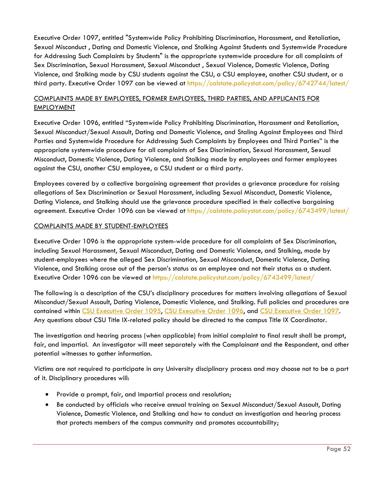Executive Order 1097, entitled "Systemwide Policy Prohibiting Discrimination, Harassment, and Retaliation, Sexual Misconduct , Dating and Domestic Violence, and Stalking Against Students and Systemwide Procedure for Addressing Such Complaints by Students" is the appropriate systemwide procedure for all complaints of Sex Discrimination, Sexual Harassment, Sexual Misconduct , Sexual Violence, Domestic Violence, Dating Violence, and Stalking made by CSU students against the CSU, a CSU employee, another CSU student, or a third party. Executive Order 1097 can be viewed at<https://calstate.policystat.com/policy/6742744/latest/>

## COMPLAINTS MADE BY EMPLOYEES, FORMER EMPLOYEES, THIRD PARTIES, AND APPLICANTS FOR EMPLOYMENT

Executive Order 1096, entitled "Systemwide Policy Prohibiting Discrimination, Harassment and Retaliation, Sexual Misconduct/Sexual Assault, Dating and Domestic Violence, and Staling Against Employees and Third Parties and Systemwide Procedure for Addressing Such Complaints by Employees and Third Parties" is the appropriate systemwide procedure for all complaints of Sex Discrimination, Sexual Harassment, Sexual Misconduct, Domestic Violence, Dating Violence, and Stalking made by employees and former employees against the CSU, another CSU employee, a CSU student or a third party.

Employees covered by a collective bargaining agreement that provides a grievance procedure for raising allegations of Sex Discrimination or Sexual Harassment, including Sexual Misconduct, Domestic Violence, Dating Violence, and Stalking should use the grievance procedure specified in their collective bargaining agreement. Executive Order 1096 can be viewed at<https://calstate.policystat.com/policy/6743499/latest/>

## COMPLAINTS MADE BY STUDENT-EMPLOYEES

Executive Order 1096 is the appropriate system-wide procedure for all complaints of Sex Discrimination, including Sexual Harassment, Sexual Misconduct, Dating and Domestic Violence, and Stalking, made by student-employees where the alleged Sex Discrimination, Sexual Misconduct, Domestic Violence, Dating Violence, and Stalking arose out of the person's status as an employee and not their status as a student. Executive Order 1096 can be viewed at<https://calstate.policystat.com/policy/6743499/latest/>

The following is a description of the CSU's disciplinary procedures for matters involving allegations of Sexual Misconduct/Sexual Assault, Dating Violence, Domestic Violence, and Stalking. Full policies and procedures are contained within [CSU Executive Order 1095,](https://calstate.policystat.com/policy/6741651/latest/) [CSU Executive Order 1096,](https://calstate.policystat.com/policy/8453514/latest/) and [CSU Executive Order 1097.](https://calstate.policystat.com/policy/8453516/latest/) Any questions about CSU Title IX-related policy should be directed to the campus Title IX Coordinator.

The investigation and hearing process (when applicable) from initial complaint to final result shall be prompt, fair, and impartial. An investigator will meet separately with the Complainant and the Respondent, and other potential witnesses to gather information.

Victims are not required to participate in any University disciplinary process and may choose not to be a part of it. Disciplinary procedures will:

- Provide a prompt, fair, and impartial process and resolution;
- Be conducted by officials who receive annual training on Sexual Misconduct/Sexual Assault, Dating Violence, Domestic Violence, and Stalking and how to conduct an investigation and hearing process that protects members of the campus community and promotes accountability;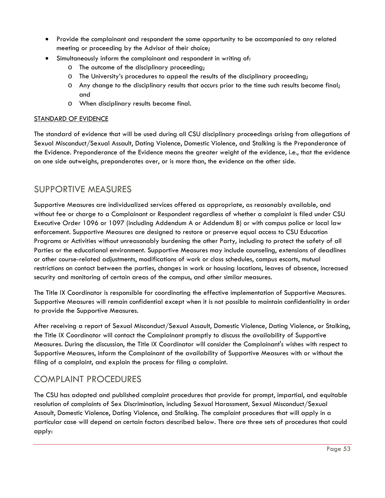- Provide the complainant and respondent the same opportunity to be accompanied to any related meeting or proceeding by the Advisor of their choice;
- Simultaneously inform the complainant and respondent in writing of:
	- o The outcome of the disciplinary proceeding;
	- o The University's procedures to appeal the results of the disciplinary proceeding;
	- o Any change to the disciplinary results that occurs prior to the time such results become final; and
	- o When disciplinary results become final.

#### STANDARD OF EVIDENCE

The standard of evidence that will be used during all CSU disciplinary proceedings arising from allegations of Sexual Misconduct/Sexual Assault, Dating Violence, Domestic Violence, and Stalking is the Preponderance of the Evidence. Preponderance of the Evidence means the greater weight of the evidence, i.e., that the evidence on one side outweighs, preponderates over, or is more than, the evidence on the other side.

## SUPPORTIVE MEASURES

Supportive Measures are individualized services offered as appropriate, as reasonably available, and without fee or charge to a Complainant or Respondent regardless of whether a complaint is filed under CSU Executive Order 1096 or 1097 (including Addendum A or Addendum B) or with campus police or local law enforcement. Supportive Measures are designed to restore or preserve equal access to CSU Education Programs or Activities without unreasonably burdening the other Party, including to protect the safety of all Parties or the educational environment. Supportive Measures may include counseling, extensions of deadlines or other course-related adjustments, modifications of work or class schedules, campus escorts, mutual restrictions on contact between the parties, changes in work or housing locations, leaves of absence, increased security and monitoring of certain areas of the campus, and other similar measures.

The Title IX Coordinator is responsible for coordinating the effective implementation of Supportive Measures. Supportive Measures will remain confidential except when it is not possible to maintain confidentiality in order to provide the Supportive Measures.

After receiving a report of Sexual Misconduct/Sexual Assault, Domestic Violence, Dating Violence, or Stalking, the Title IX Coordinator will contact the Complainant promptly to discuss the availability of Supportive Measures. During the discussion, the Title IX Coordinator will consider the Complainant's wishes with respect to Supportive Measures, inform the Complainant of the availability of Supportive Measures with or without the filing of a complaint, and explain the process for filing a complaint.

## COMPLAINT PROCEDURES

The CSU has adopted and published complaint procedures that provide for prompt, impartial, and equitable resolution of complaints of Sex Discrimination, including Sexual Harassment, Sexual Misconduct/Sexual Assault, Domestic Violence, Dating Violence, and Stalking. The complaint procedures that will apply in a particular case will depend on certain factors described below. There are three sets of procedures that could apply: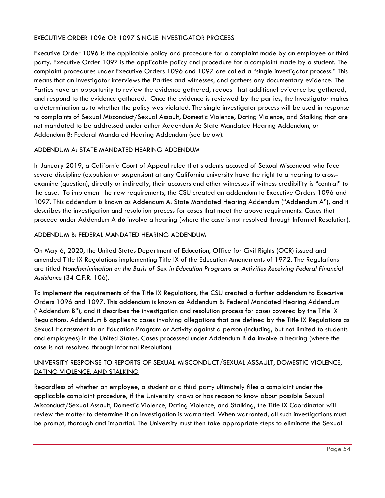### EXECUTIVE ORDER 1096 OR 1097 SINGLE INVESTIGATOR PROCESS

Executive Order 1096 is the applicable policy and procedure for a complaint made by an employee or third party. Executive Order 1097 is the applicable policy and procedure for a complaint made by a student. The complaint procedures under Executive Orders 1096 and 1097 are called a "single investigator process." This means that an Investigator interviews the Parties and witnesses, and gathers any documentary evidence. The Parties have an opportunity to review the evidence gathered, request that additional evidence be gathered, and respond to the evidence gathered. Once the evidence is reviewed by the parties, the Investigator makes a determination as to whether the policy was violated. The single investigator process will be used in response to complaints of Sexual Misconduct/Sexual Assault, Domestic Violence, Dating Violence, and Stalking that are not mandated to be addressed under either Addendum A: State Mandated Hearing Addendum, or Addendum B: Federal Mandated Hearing Addendum (see below).

### ADDENDUM A: STATE MANDATED HEARING ADDENDUM

In January 2019, a California Court of Appeal ruled that students accused of Sexual Misconduct who face severe discipline (expulsion or suspension) at any California university have the right to a hearing to crossexamine (question), directly or indirectly, their accusers and other witnesses if witness credibility is "central" to the case. To implement the new requirements, the CSU created an addendum to Executive Orders 1096 and 1097. This addendum is known as Addendum A: State Mandated Hearing Addendum ("Addendum A"), and it describes the investigation and resolution process for cases that meet the above requirements. Cases that proceed under Addendum A **do** involve a hearing (where the case is not resolved through Informal Resolution).

#### ADDENDUM B: FEDERAL MANDATED HEARING ADDENDUM

On May 6, 2020, the United States Department of Education, Office for Civil Rights (OCR) issued and amended Title IX Regulations implementing Title IX of the Education Amendments of 1972. The Regulations are titled *Nondiscrimination on the Basis of Sex in Education Programs or Activities Receiving Federal Financial Assistance* (34 C.F.R. 106).

To implement the requirements of the Title IX Regulations, the CSU created a further addendum to Executive Orders 1096 and 1097. This addendum is known as Addendum B: Federal Mandated Hearing Addendum ("Addendum B"), and it describes the investigation and resolution process for cases covered by the Title IX Regulations. Addendum B applies to cases involving allegations that are defined by the Title IX Regulations as Sexual Harassment in an Education Program or Activity against a person (including, but not limited to students and employees) in the United States. Cases processed under Addendum B **do** involve a hearing (where the case is not resolved through Informal Resolution).

## UNIVERSITY RESPONSE TO REPORTS OF SEXUAL MISCONDUCT/SEXUAL ASSAULT, DOMESTIC VIOLENCE, DATING VIOLENCE, AND STALKING

Regardless of whether an employee, a student or a third party ultimately files a complaint under the applicable complaint procedure, if the University knows or has reason to know about possible Sexual Misconduct/Sexual Assault, Domestic Violence, Dating Violence, and Stalking, the Title IX Coordinator will review the matter to determine if an investigation is warranted. When warranted, all such investigations must be prompt, thorough and impartial. The University must then take appropriate steps to eliminate the Sexual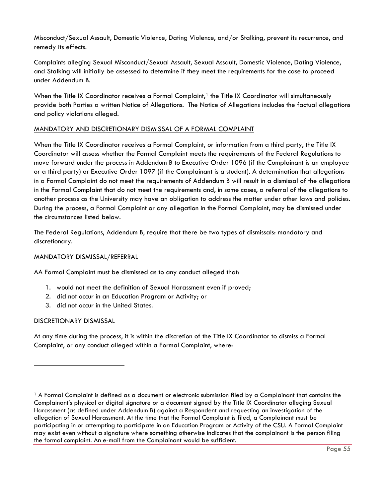Misconduct/Sexual Assault, Domestic Violence, Dating Violence, and/or Stalking, prevent its recurrence, and remedy its effects.

Complaints alleging Sexual Misconduct/Sexual Assault, Sexual Assault, Domestic Violence, Dating Violence, and Stalking will initially be assessed to determine if they meet the requirements for the case to proceed under Addendum B.

When the Title IX Coordinator receives a Formal Complaint,<sup>[1](#page-54-0)</sup> the Title IX Coordinator will simultaneously provide both Parties a written Notice of Allegations. The Notice of Allegations includes the factual allegations and policy violations alleged.

## MANDATORY AND DISCRETIONARY DISMISSAL OF A FORMAL COMPLAINT

When the Title IX Coordinator receives a Formal Complaint, or information from a third party, the Title IX Coordinator will assess whether the Formal Complaint meets the requirements of the Federal Regulations to move forward under the process in Addendum B to Executive Order 1096 (if the Complainant is an employee or a third party) or Executive Order 1097 (if the Complainant is a student). A determination that allegations in a Formal Complaint do not meet the requirements of Addendum B will result in a dismissal of the allegations in the Formal Complaint that do not meet the requirements and, in some cases, a referral of the allegations to another process as the University may have an obligation to address the matter under other laws and policies. During the process, a Formal Complaint or any allegation in the Formal Complaint, may be dismissed under the circumstances listed below.

The Federal Regulations, Addendum B, require that there be two types of dismissals: mandatory and discretionary.

#### MANDATORY DISMISSAL/REFERRAL

AA Formal Complaint must be dismissed as to any conduct alleged that:

- 1. would not meet the definition of Sexual Harassment even if proved;
- 2. did not occur in an Education Program or Activity; or
- 3. did not occur in the United States.

#### DISCRETIONARY DISMISSAL

l

At any time during the process, it is within the discretion of the Title IX Coordinator to dismiss a Formal Complaint, or any conduct alleged within a Formal Complaint, where:

<span id="page-54-0"></span><sup>1</sup> A Formal Complaint is defined as a document or electronic submission filed by a Complainant that contains the Complainant's physical or digital signature or a document signed by the Title IX Coordinator alleging Sexual Harassment (as defined under Addendum B) against a Respondent and requesting an investigation of the allegation of Sexual Harassment. At the time that the Formal Complaint is filed, a Complainant must be participating in or attempting to participate in an Education Program or Activity of the CSU. A Formal Complaint may exist even without a signature where something otherwise indicates that the complainant is the person filing the formal complaint. An e-mail from the Complainant would be sufficient.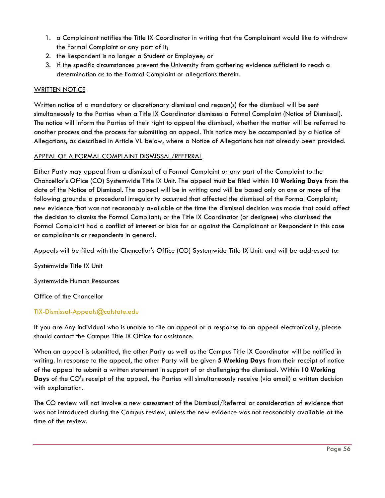- 1. a Complainant notifies the Title IX Coordinator in writing that the Complainant would like to withdraw the Formal Complaint or any part of it;
- 2. the Respondent is no longer a Student or Employee; or
- 3. if the specific circumstances prevent the University from gathering evidence sufficient to reach a determination as to the Formal Complaint or allegations therein.

### **WRITTEN NOTICE**

Written notice of a mandatory or discretionary dismissal and reason(s) for the dismissal will be sent simultaneously to the Parties when a Title IX Coordinator dismisses a Formal Complaint (Notice of Dismissal). The notice will inform the Parties of their right to appeal the dismissal, whether the matter will be referred to another process and the process for submitting an appeal. This notice may be accompanied by a Notice of Allegations, as described in Article VI. below, where a Notice of Allegations has not already been provided.

### APPEAL OF A FORMAL COMPLAINT DISMISSAL/REFERRAL

Either Party may appeal from a dismissal of a Formal Complaint or any part of the Complaint to the Chancellor's Office (CO) Systemwide Title IX Unit. The appeal must be filed within **10 Working Days** from the date of the Notice of Dismissal. The appeal will be in writing and will be based only on one or more of the following grounds: a procedural irregularity occurred that affected the dismissal of the Formal Complaint; new evidence that was not reasonably available at the time the dismissal decision was made that could affect the decision to dismiss the Formal Compliant; or the Title IX Coordinator (or designee) who dismissed the Formal Complaint had a conflict of interest or bias for or against the Complainant or Respondent in this case or complainants or respondents in general.

Appeals will be filed with the Chancellor's Office (CO) Systemwide Title IX Unit. and will be addressed to:

Systemwide Title IX Unit

Systemwide Human Resources

Office of the Chancellor

## [TIX-Dismissal-Appeals@calstate.edu](mailto:TIX-Dismissal-Appeals@calstate.edu)

If you are Any individual who is unable to file an appeal or a response to an appeal electronically, please should contact the Campus Title IX Office for assistance.

When an appeal is submitted, the other Party as well as the Campus Title IX Coordinator will be notified in writing. In response to the appeal, the other Party will be given **5 Working Days** from their receipt of notice of the appeal to submit a written statement in support of or challenging the dismissal. Within **10 Working Days** of the CO's receipt of the appeal, the Parties will simultaneously receive (via email) a written decision with explanation.

The CO review will not involve a new assessment of the Dismissal/Referral or consideration of evidence that was not introduced during the Campus review, unless the new evidence was not reasonably available at the time of the review.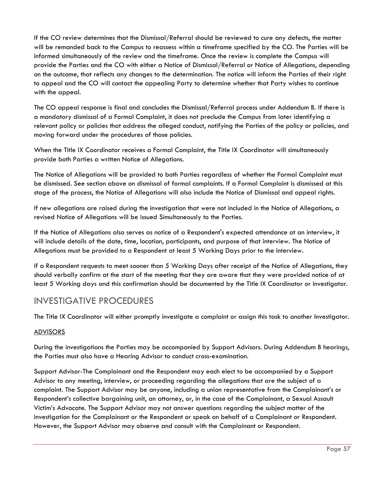If the CO review determines that the Dismissal/Referral should be reviewed to cure any defects, the matter will be remanded back to the Campus to reassess within a timeframe specified by the CO. The Parties will be informed simultaneously of the review and the timeframe. Once the review is complete the Campus will provide the Parties and the CO with either a Notice of Dismissal/Referral or Notice of Allegations, depending on the outcome, that reflects any changes to the determination. The notice will inform the Parties of their right to appeal and the CO will contact the appealing Party to determine whether that Party wishes to continue with the appeal.

The CO appeal response is final and concludes the Dismissal/Referral process under Addendum B. If there is a mandatory dismissal of a Formal Complaint, it does not preclude the Campus from later identifying a relevant policy or policies that address the alleged conduct, notifying the Parties of the policy or policies, and moving forward under the procedures of those policies.

When the Title IX Coordinator receives a Formal Complaint, the Title IX Coordinator will simultaneously provide both Parties a written Notice of Allegations.

The Notice of Allegations will be provided to both Parties regardless of whether the Formal Complaint must be dismissed. See section above on dismissal of formal complaints. If a Formal Complaint is dismissed at this stage of the process, the Notice of Allegations will also include the Notice of Dismissal and appeal rights.

If new allegations are raised during the investigation that were not included in the Notice of Allegations, a revised Notice of Allegations will be issued Simultaneously to the Parties.

If the Notice of Allegations also serves as notice of a Respondent's expected attendance at an interview, it will include details of the date, time, location, participants, and purpose of that interview. The Notice of Allegations must be provided to a Respondent at least 5 Working Days prior to the interview.

If a Respondent requests to meet sooner than 5 Working Days after receipt of the Notice of Allegations, they should verbally confirm at the start of the meeting that they are aware that they were provided notice of at least 5 Working days and this confirmation should be documented by the Title IX Coordinator or investigator.

## INVESTIGATIVE PROCEDURES

The Title IX Coordinator will either promptly investigate a complaint or assign this task to another Investigator.

## ADVISORS

During the investigations the Parties may be accompanied by Support Advisors. During Addendum B hearings, the Parties must also have a Hearing Advisor to conduct cross-examination.

Support Advisor-The Complainant and the Respondent may each elect to be accompanied by a Support Advisor to any meeting, interview, or proceeding regarding the allegations that are the subject of a complaint. The Support Advisor may be anyone, including a union representative from the Complainant's or Respondent's collective bargaining unit, an attorney, or, in the case of the Complainant, a Sexual Assault Victim's Advocate. The Support Advisor may not answer questions regarding the subject matter of the investigation for the Complainant or the Respondent or speak on behalf of a Complainant or Respondent. However, the Support Advisor may observe and consult with the Complainant or Respondent.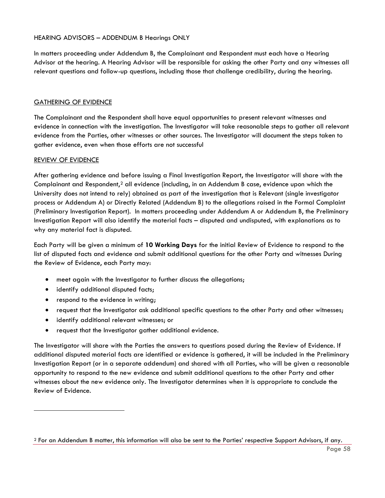#### HEARING ADVISORS – ADDENDUM B Hearings ONLY

In matters proceeding under Addendum B, the Complainant and Respondent must each have a Hearing Advisor at the hearing. A Hearing Advisor will be responsible for asking the other Party and any witnesses all relevant questions and follow-up questions, including those that challenge credibility, during the hearing.

#### GATHERING OF EVIDENCE

The Complainant and the Respondent shall have equal opportunities to present relevant witnesses and evidence in connection with the investigation. The Investigator will take reasonable steps to gather all relevant evidence from the Parties, other witnesses or other sources. The Investigator will document the steps taken to gather evidence, even when those efforts are not successful

#### REVIEW OF EVIDENCE

 $\overline{a}$ 

After gathering evidence and before issuing a Final Investigation Report, the Investigator will share with the Complainant and Respondent,<sup>2</sup> all evidence (including, in an Addendum B case, evidence upon which the University does not intend to rely) obtained as part of the investigation that is Relevant (single investigator process or Addendum A) or Directly Related (Addendum B) to the allegations raised in the Formal Complaint (Preliminary Investigation Report). In matters proceeding under Addendum A or Addendum B, the Preliminary Investigation Report will also identify the material facts – disputed and undisputed, with explanations as to why any material fact is disputed.

Each Party will be given a minimum of **10 Working Days** for the initial Review of Evidence to respond to the list of disputed facts and evidence and submit additional questions for the other Party and witnesses During the Review of Evidence, each Party may:

- meet again with the Investigator to further discuss the allegations;
- identify additional disputed facts;
- respond to the evidence in writing;
- request that the Investigator ask additional specific questions to the other Party and other witnesses;
- identify additional relevant witnesses; or
- request that the Investigator gather additional evidence.

The Investigator will share with the Parties the answers to questions posed during the Review of Evidence. If additional disputed material facts are identified or evidence is gathered, it will be included in the Preliminary Investigation Report (or in a separate addendum) and shared with all Parties, who will be given a reasonable opportunity to respond to the new evidence and submit additional questions to the other Party and other witnesses about the new evidence only. The Investigator determines when it is appropriate to conclude the Review of Evidence.

<span id="page-57-0"></span><sup>2</sup> For an Addendum B matter, this information will also be sent to the Parties' respective Support Advisors, if any.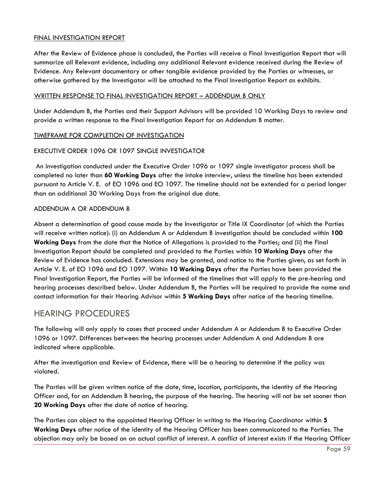### FINAL INVESTIGATION REPORT

After the Review of Evidence phase is concluded, the Parties will receive a Final Investigation Report that will summarize all Relevant evidence, including any additional Relevant evidence received during the Review of Evidence. Any Relevant documentary or other tangible evidence provided by the Parties or witnesses, or otherwise gathered by the Investigator will be attached to the Final Investigation Report as exhibits.

#### WRITTEN RESPONSE TO FINAL INVESTIGATION REPORT – ADDENDUM B ONLY

Under Addendum B, the Parties and their Support Advisors will be provided 10 Working Days to review and provide a written response to the Final Investigation Report for an Addendum B matter.

#### TIMEFRAME FOR COMPLETION OF INVESTIGATION

#### EXECUTIVE ORDER 1096 OR 1097 SINGLE INVESTIGATOR

 An investigation conducted under the Executive Order 1096 or 1097 single investigator process shall be completed no later than **60 Working Days** after the intake interview, unless the timeline has been extended pursuant to Article V. E. of EO 1096 and EO 1097. The timeline should not be extended for a period longer than an additional 30 Working Days from the original due date.

#### ADDENDUM A OR ADDENDUM B

Absent a determination of good cause made by the Investigator or Title IX Coordinator (of which the Parties will receive written notice): (i) an Addendum A or Addendum B investigation should be concluded within **100 Working Days** from the date that the Notice of Allegations is provided to the Parties; and (ii) the Final Investigation Report should be completed and provided to the Parties within **10 Working Days** after the Review of Evidence has concluded. Extensions may be granted, and notice to the Parties given, as set forth in Article V. E. of EO 1096 and EO 1097. Within **10 Working Days** after the Parties have been provided the Final Investigation Report, the Parties will be informed of the timelines that will apply to the pre-hearing and hearing processes described below. Under Addendum B, the Parties will be required to provide the name and contact information for their Hearing Advisor within **5 Working Days** after notice of the hearing timeline.

## HEARING PROCEDURES

The following will only apply to cases that proceed under Addendum A or Addendum B to Executive Order 1096 or 1097. Differences between the hearing processes under Addendum A and Addendum B are indicated where applicable.

After the investigation and Review of Evidence, there will be a hearing to determine if the policy was violated.

The Parties will be given written notice of the date, time, location, participants, the identity of the Hearing Officer and, for an Addendum B hearing, the purpose of the hearing. The hearing will not be set sooner than **20 Working Days** after the date of notice of hearing.

The Parties can object to the appointed Hearing Officer in writing to the Hearing Coordinator within **5 Working Days** after notice of the identity of the Hearing Officer has been communicated to the Parties. The objection may only be based on an actual conflict of interest. A conflict of interest exists if the Hearing Officer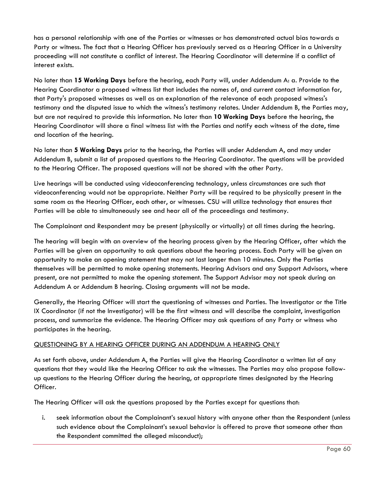has a personal relationship with one of the Parties or witnesses or has demonstrated actual bias towards a Party or witness. The fact that a Hearing Officer has previously served as a Hearing Officer in a University proceeding will not constitute a conflict of interest. The Hearing Coordinator will determine if a conflict of interest exists.

No later than **15 Working Days** before the hearing, each Party will, under Addendum A: a. Provide to the Hearing Coordinator a proposed witness list that includes the names of, and current contact information for, that Party's proposed witnesses as well as an explanation of the relevance of each proposed witness's testimony and the disputed issue to which the witness's testimony relates. Under Addendum B, the Parties may, but are not required to provide this information. No later than **10 Working Days** before the hearing, the Hearing Coordinator will share a final witness list with the Parties and notify each witness of the date, time and location of the hearing.

No later than **5 Working Days** prior to the hearing, the Parties will under Addendum A, and may under Addendum B, submit a list of proposed questions to the Hearing Coordinator. The questions will be provided to the Hearing Officer. The proposed questions will not be shared with the other Party.

Live hearings will be conducted using videoconferencing technology, unless circumstances are such that videoconferencing would not be appropriate. Neither Party will be required to be physically present in the same room as the Hearing Officer, each other, or witnesses. CSU will utilize technology that ensures that Parties will be able to simultaneously see and hear all of the proceedings and testimony.

The Complainant and Respondent may be present (physically or virtually) at all times during the hearing.

The hearing will begin with an overview of the hearing process given by the Hearing Officer, after which the Parties will be given an opportunity to ask questions about the hearing process. Each Party will be given an opportunity to make an opening statement that may not last longer than 10 minutes. Only the Parties themselves will be permitted to make opening statements. Hearing Advisors and any Support Advisors, where present, are not permitted to make the opening statement. The Support Advisor may not speak during an Addendum A or Addendum B hearing. Closing arguments will not be made.

Generally, the Hearing Officer will start the questioning of witnesses and Parties. The Investigator or the Title IX Coordinator (if not the Investigator) will be the first witness and will describe the complaint, investigation process, and summarize the evidence. The Hearing Officer may ask questions of any Party or witness who participates in the hearing.

## QUESTIONING BY A HEARING OFFICER DURING AN ADDENDUM A HEARING ONLY

As set forth above, under Addendum A, the Parties will give the Hearing Coordinator a written list of any questions that they would like the Hearing Officer to ask the witnesses. The Parties may also propose followup questions to the Hearing Officer during the hearing, at appropriate times designated by the Hearing Officer.

The Hearing Officer will ask the questions proposed by the Parties except for questions that:

i. seek information about the Complainant's sexual history with anyone other than the Respondent (unless such evidence about the Complainant's sexual behavior is offered to prove that someone other than the Respondent committed the alleged misconduct);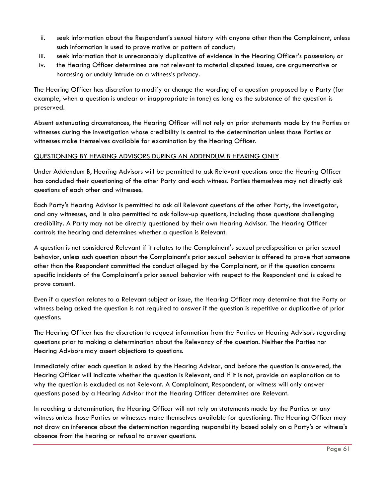- ii. seek information about the Respondent's sexual history with anyone other than the Complainant, unless such information is used to prove motive or pattern of conduct;
- iii. seek information that is unreasonably duplicative of evidence in the Hearing Officer's possession; or
- iv. the Hearing Officer determines are not relevant to material disputed issues, are argumentative or harassing or unduly intrude on a witness's privacy.

The Hearing Officer has discretion to modify or change the wording of a question proposed by a Party (for example, when a question is unclear or inappropriate in tone) as long as the substance of the question is preserved.

Absent extenuating circumstances, the Hearing Officer will not rely on prior statements made by the Parties or witnesses during the investigation whose credibility is central to the determination unless those Parties or witnesses make themselves available for examination by the Hearing Officer.

## QUESTIONING BY HEARING ADVISORS DURING AN ADDENDUM B HEARING ONLY

Under Addendum B, Hearing Advisors will be permitted to ask Relevant questions once the Hearing Officer has concluded their questioning of the other Party and each witness. Parties themselves may not directly ask questions of each other and witnesses.

Each Party's Hearing Advisor is permitted to ask all Relevant questions of the other Party, the Investigator, and any witnesses, and is also permitted to ask follow-up questions, including those questions challenging credibility. A Party may not be directly questioned by their own Hearing Advisor. The Hearing Officer controls the hearing and determines whether a question is Relevant.

A question is not considered Relevant if it relates to the Complainant's sexual predisposition or prior sexual behavior, unless such question about the Complainant's prior sexual behavior is offered to prove that someone other than the Respondent committed the conduct alleged by the Complainant, or if the question concerns specific incidents of the Complainant's prior sexual behavior with respect to the Respondent and is asked to prove consent.

Even if a question relates to a Relevant subject or issue, the Hearing Officer may determine that the Party or witness being asked the question is not required to answer if the question is repetitive or duplicative of prior questions.

The Hearing Officer has the discretion to request information from the Parties or Hearing Advisors regarding questions prior to making a determination about the Relevancy of the question. Neither the Parties nor Hearing Advisors may assert objections to questions.

Immediately after each question is asked by the Hearing Advisor, and before the question is answered, the Hearing Officer will indicate whether the question is Relevant, and if it is not, provide an explanation as to why the question is excluded as not Relevant. A Complainant, Respondent, or witness will only answer questions posed by a Hearing Advisor that the Hearing Officer determines are Relevant.

In reaching a determination, the Hearing Officer will not rely on statements made by the Parties or any witness unless those Parties or witnesses make themselves available for questioning. The Hearing Officer may not draw an inference about the determination regarding responsibility based solely on a Party's or witness's absence from the hearing or refusal to answer questions.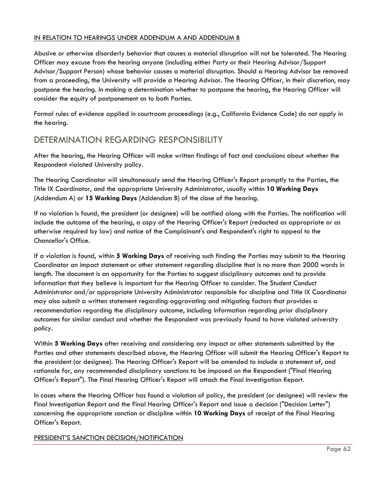### IN RELATION TO HEARINGS UNDER ADDENDUM A AND ADDENDUM B

Abusive or otherwise disorderly behavior that causes a material disruption will not be tolerated. The Hearing Officer may excuse from the hearing anyone (including either Party or their Hearing Advisor/Support Advisor/Support Person) whose behavior causes a material disruption. Should a Hearing Advisor be removed from a proceeding, the University will provide a Hearing Advisor. The Hearing Officer, in their discretion, may postpone the hearing. In making a determination whether to postpone the hearing, the Hearing Officer will consider the equity of postponement as to both Parties.

Formal rules of evidence applied in courtroom proceedings (e.g., California Evidence Code) do not apply in the hearing.

## DETERMINATION REGARDING RESPONSIBILITY

After the hearing, the Hearing Officer will make written findings of fact and conclusions about whether the Respondent violated University policy.

The Hearing Coordinator will simultaneously send the Hearing Officer's Report promptly to the Parties, the Title IX Coordinator, and the appropriate University Administrator, usually within **10 Working Days** (Addendum A) or **15 Working Days** (Addendum B) of the close of the hearing.

If no violation is found, the president (or designee) will be notified along with the Parties. The notification will include the outcome of the hearing, a copy of the Hearing Officer's Report (redacted as appropriate or as otherwise required by law) and notice of the Complainant's and Respondent's right to appeal to the Chancellor's Office.

If a violation is found, within **5 Working Days** of receiving such finding the Parties may submit to the Hearing Coordinator an impact statement or other statement regarding discipline that is no more than 2000 words in length. The document is an opportunity for the Parties to suggest disciplinary outcomes and to provide information that they believe is important for the Hearing Officer to consider. The Student Conduct Administrator and/or appropriate University Administrator responsible for discipline and Title IX Coordinator may also submit a written statement regarding aggravating and mitigating factors that provides a recommendation regarding the disciplinary outcome, including information regarding prior disciplinary outcomes for similar conduct and whether the Respondent was previously found to have violated university policy.

Within **5 Working Days** after receiving and considering any impact or other statements submitted by the Parties and other statements described above, the Hearing Officer will submit the Hearing Officer's Report to the president (or designee). The Hearing Officer's Report will be amended to include a statement of, and rationale for, any recommended disciplinary sanctions to be imposed on the Respondent ("Final Hearing Officer's Report"). The Final Hearing Officer's Report will attach the Final Investigation Report.

In cases where the Hearing Officer has found a violation of policy, the president (or designee) will review the Final Investigation Report and the Final Hearing Officer's Report and issue a decision ("Decision Letter") concerning the appropriate sanction or discipline within **10 Working Days** of receipt of the Final Hearing Officer's Report.

PRESIDENT'S SANCTION DECISION/NOTIFICATION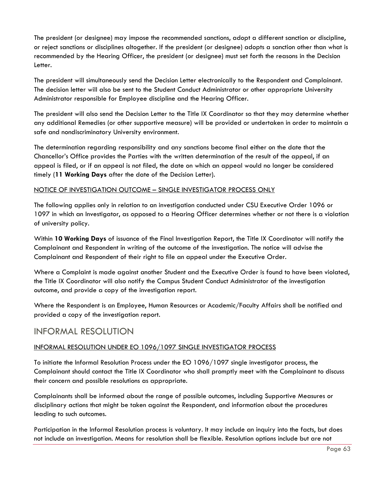The president (or designee) may impose the recommended sanctions, adopt a different sanction or discipline, or reject sanctions or disciplines altogether. If the president (or designee) adopts a sanction other than what is recommended by the Hearing Officer, the president (or designee) must set forth the reasons in the Decision Letter.

The president will simultaneously send the Decision Letter electronically to the Respondent and Complainant. The decision letter will also be sent to the Student Conduct Administrator or other appropriate University Administrator responsible for Employee discipline and the Hearing Officer.

The president will also send the Decision Letter to the Title IX Coordinator so that they may determine whether any additional Remedies (or other supportive measure) will be provided or undertaken in order to maintain a safe and nondiscriminatory University environment.

The determination regarding responsibility and any sanctions become final either on the date that the Chancellor's Office provides the Parties with the written determination of the result of the appeal, if an appeal is filed, or if an appeal is not filed, the date on which an appeal would no longer be considered timely (**11 Working Days** after the date of the Decision Letter).

#### NOTICE OF INVESTIGATION OUTCOME – SINGLE INVESTIGATOR PROCESS ONLY

The following applies only in relation to an investigation conducted under CSU Executive Order 1096 or 1097 in which an Investigator, as opposed to a Hearing Officer determines whether or not there is a violation of university policy.

Within **10 Working Days** of issuance of the Final Investigation Report, the Title IX Coordinator will notify the Complainant and Respondent in writing of the outcome of the investigation. The notice will advise the Complainant and Respondent of their right to file an appeal under the Executive Order.

Where a Complaint is made against another Student and the Executive Order is found to have been violated, the Title IX Coordinator will also notify the Campus Student Conduct Administrator of the investigation outcome, and provide a copy of the investigation report.

Where the Respondent is an Employee, Human Resources or Academic/Faculty Affairs shall be notified and provided a copy of the investigation report.

## INFORMAL RESOLUTION

## INFORMAL RESOLUTION UNDER EO 1096/1097 SINGLE INVESTIGATOR PROCESS

To initiate the Informal Resolution Process under the EO 1096/1097 single investigator process, the Complainant should contact the Title IX Coordinator who shall promptly meet with the Complainant to discuss their concern and possible resolutions as appropriate.

Complainants shall be informed about the range of possible outcomes, including Supportive Measures or disciplinary actions that might be taken against the Respondent, and information about the procedures leading to such outcomes.

Participation in the Informal Resolution process is voluntary. It may include an inquiry into the facts, but does not include an investigation. Means for resolution shall be flexible. Resolution options include but are not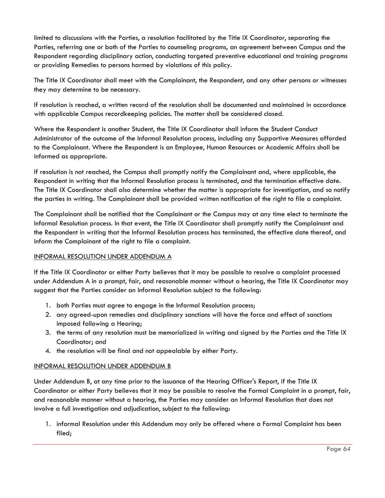limited to discussions with the Parties, a resolution facilitated by the Title IX Coordinator, separating the Parties, referring one or both of the Parties to counseling programs, an agreement between Campus and the Respondent regarding disciplinary action, conducting targeted preventive educational and training programs or providing Remedies to persons harmed by violations of this policy.

The Title IX Coordinator shall meet with the Complainant, the Respondent, and any other persons or witnesses they may determine to be necessary.

If resolution is reached, a written record of the resolution shall be documented and maintained in accordance with applicable Campus recordkeeping policies. The matter shall be considered closed.

Where the Respondent is another Student, the Title IX Coordinator shall inform the Student Conduct Administrator of the outcome of the Informal Resolution process, including any Supportive Measures afforded to the Complainant. Where the Respondent is an Employee, Human Resources or Academic Affairs shall be informed as appropriate.

If resolution is not reached, the Campus shall promptly notify the Complainant and, where applicable, the Respondent in writing that the Informal Resolution process is terminated, and the termination effective date. The Title IX Coordinator shall also determine whether the matter is appropriate for investigation, and so notify the parties in writing. The Complainant shall be provided written notification of the right to file a complaint.

The Complainant shall be notified that the Complainant or the Campus may at any time elect to terminate the Informal Resolution process. In that event, the Title IX Coordinator shall promptly notify the Complainant and the Respondent in writing that the Informal Resolution process has terminated, the effective date thereof, and inform the Complainant of the right to file a complaint.

## INFORMAL RESOLUTION UNDER ADDENDUM A

If the Title IX Coordinator or either Party believes that it may be possible to resolve a complaint processed under Addendum A in a prompt, fair, and reasonable manner without a hearing, the Title IX Coordinator may suggest that the Parties consider an Informal Resolution subject to the following:

- 1. both Parties must agree to engage in the Informal Resolution process;
- 2. any agreed-upon remedies and disciplinary sanctions will have the force and effect of sanctions imposed following a Hearing;
- 3. the terms of any resolution must be memorialized in writing and signed by the Parties and the Title IX Coordinator; and
- 4. the resolution will be final and not appealable by either Party.

#### INFORMAL RESOLUTION UNDER ADDENDUM B

Under Addendum B, at any time prior to the issuance of the Hearing Officer's Report, if the Title IX Coordinator or either Party believes that it may be possible to resolve the Formal Complaint in a prompt, fair, and reasonable manner without a hearing, the Parties may consider an Informal Resolution that does not involve a full investigation and adjudication, subject to the following:

1. informal Resolution under this Addendum may only be offered where a Formal Complaint has been filed;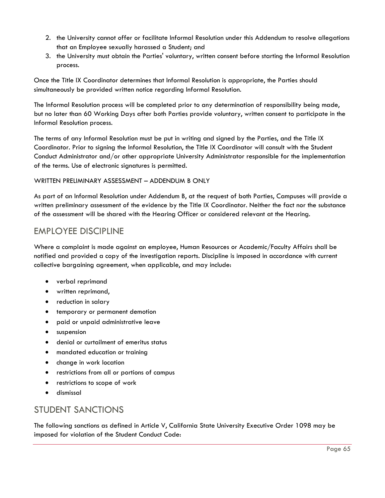- 2. the University cannot offer or facilitate Informal Resolution under this Addendum to resolve allegations that an Employee sexually harassed a Student; and
- 3. the University must obtain the Parties' voluntary, written consent before starting the Informal Resolution process.

Once the Title IX Coordinator determines that Informal Resolution is appropriate, the Parties should simultaneously be provided written notice regarding Informal Resolution.

The Informal Resolution process will be completed prior to any determination of responsibility being made, but no later than 60 Working Days after both Parties provide voluntary, written consent to participate in the Informal Resolution process.

The terms of any Informal Resolution must be put in writing and signed by the Parties, and the Title IX Coordinator. Prior to signing the Informal Resolution, the Title IX Coordinator will consult with the Student Conduct Administrator and/or other appropriate University Administrator responsible for the implementation of the terms. Use of electronic signatures is permitted.

### WRITTEN PRELIMINARY ASSESSMENT – ADDENDUM B ONLY

As part of an Informal Resolution under Addendum B, at the request of both Parties, Campuses will provide a written preliminary assessment of the evidence by the Title IX Coordinator. Neither the fact nor the substance of the assessment will be shared with the Hearing Officer or considered relevant at the Hearing.

## EMPLOYEE DISCIPLINE

Where a complaint is made against an employee, Human Resources or Academic/Faculty Affairs shall be notified and provided a copy of the investigation reports. Discipline is imposed in accordance with current collective bargaining agreement, when applicable, and may include:

- verbal reprimand
- written reprimand,
- reduction in salary
- temporary or permanent demotion
- paid or unpaid administrative leave
- suspension
- denial or curtailment of emeritus status
- mandated education or training
- change in work location
- restrictions from all or portions of campus
- restrictions to scope of work
- dismissal

## STUDENT SANCTIONS

The following sanctions as defined in Article V, California State University Executive Order 1098 may be imposed for violation of the Student Conduct Code: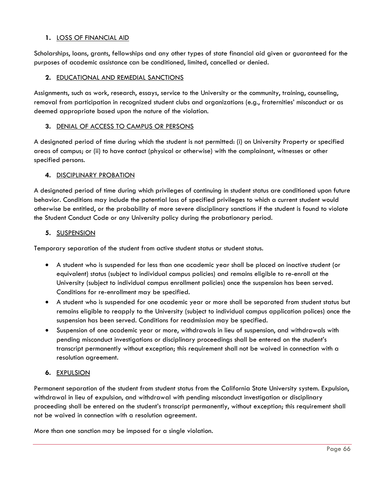## **1.** LOSS OF FINANCIAL AID

Scholarships, loans, grants, fellowships and any other types of state financial aid given or guaranteed for the purposes of academic assistance can be conditioned, limited, cancelled or denied.

## **2.** EDUCATIONAL AND REMEDIAL SANCTIONS

Assignments, such as work, research, essays, service to the University or the community, training, counseling, removal from participation in recognized student clubs and organizations (e.g., fraternities' misconduct or as deemed appropriate based upon the nature of the violation.

## **3.** DENIAL OF ACCESS TO CAMPUS OR PERSONS

A designated period of time during which the student is not permitted: (i) on University Property or specified areas of campus; or (ii) to have contact (physical or otherwise) with the complainant, witnesses or other specified persons.

## **4.** DISCIPLINARY PROBATION

A designated period of time during which privileges of continuing in student status are conditioned upon future behavior. Conditions may include the potential loss of specified privileges to which a current student would otherwise be entitled, or the probability of more severe disciplinary sanctions if the student is found to violate the Student Conduct Code or any University policy during the probationary period.

### **5.** SUSPENSION

Temporary separation of the student from active student status or student status.

- A student who is suspended for less than one academic year shall be placed on inactive student (or equivalent) status (subject to individual campus policies) and remains eligible to re-enroll at the University (subject to individual campus enrollment policies) once the suspension has been served. Conditions for re-enrollment may be specified.
- A student who is suspended for one academic year or more shall be separated from student status but remains eligible to reapply to the University (subject to individual campus application polices) once the suspension has been served. Conditions for readmission may be specified.
- Suspension of one academic year or more, withdrawals in lieu of suspension, and withdrawals with pending misconduct investigations or disciplinary proceedings shall be entered on the student's transcript permanently without exception; this requirement shall not be waived in connection with a resolution agreement.

## **6.** EXPULSION

Permanent separation of the student from student status from the California State University system. Expulsion, withdrawal in lieu of expulsion, and withdrawal with pending misconduct investigation or disciplinary proceeding shall be entered on the student's transcript permanently, without exception; this requirement shall not be waived in connection with a resolution agreement.

More than one sanction may be imposed for a single violation.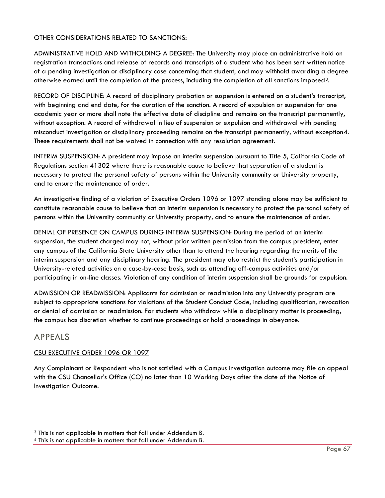### OTHER CONSIDERATIONS RELATED TO SANCTIONS:

ADMINISTRATIVE HOLD AND WITHOLDING A DEGREE: The University may place an administrative hold on registration transactions and release of records and transcripts of a student who has been sent written notice of a pending investigation or disciplinary case concerning that student, and may withhold awarding a degree otherwise earned until the completion of the process, including the completion of all sanctions imposed<sup>3</sup>.

RECORD OF DISCIPLINE: A record of disciplinary probation or suspension is entered on a student's transcript, with beginning and end date, for the duration of the sanction. A record of expulsion or suspension for one academic year or more shall note the effective date of discipline and remains on the transcript permanently, without exception. A record of withdrawal in lieu of suspension or expulsion and withdrawal with pending misconduct investigation or disciplinary proceeding remains on the transcript permanently, without exception[4.](#page-66-1) These requirements shall not be waived in connection with any resolution agreement.

INTERIM SUSPENSION: A president may impose an interim suspension pursuant to Title 5, California Code of Regulations section 41302 where there is reasonable cause to believe that separation of a student is necessary to protect the personal safety of persons within the University community or University property, and to ensure the maintenance of order.

An investigative finding of a violation of Executive Orders 1096 or 1097 standing alone may be sufficient to constitute reasonable cause to believe that an interim suspension is necessary to protect the personal safety of persons within the University community or University property, and to ensure the maintenance of order.

DENIAL OF PRESENCE ON CAMPUS DURING INTERIM SUSPENSION: During the period of an interim suspension, the student charged may not, without prior written permission from the campus president, enter any campus of the California State University other than to attend the hearing regarding the merits of the interim suspension and any disciplinary hearing. The president may also restrict the student's participation in University-related activities on a case-by-case basis, such as attending off-campus activities and/or participating in on-line classes. Violation of any condition of interim suspension shall be grounds for expulsion.

ADMISSION OR READMISSION: Applicants for admission or readmission into any University program are subject to appropriate sanctions for violations of the Student Conduct Code, including qualification, revocation or denial of admission or readmission. For students who withdraw while a disciplinary matter is proceeding, the campus has discretion whether to continue proceedings or hold proceedings in abeyance.

## APPEALS

 $\overline{a}$ 

## CSU EXECUTIVE ORDER 1096 OR 1097

Any Complainant or Respondent who is not satisfied with a Campus investigation outcome may file an appeal with the CSU Chancellor's Office (CO) no later than 10 Working Days after the date of the Notice of Investigation Outcome.

<span id="page-66-0"></span><sup>3</sup> This is not applicable in matters that fall under Addendum B.

<span id="page-66-1"></span><sup>4</sup> This is not applicable in matters that fall under Addendum B.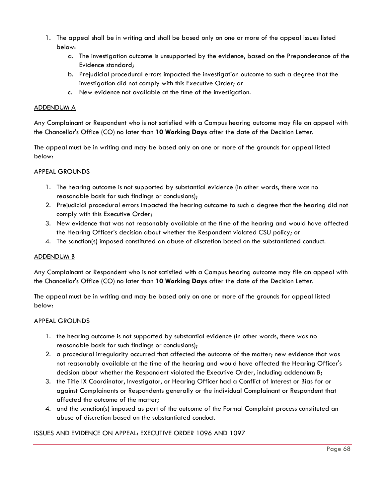- 1. The appeal shall be in writing and shall be based only on one or more of the appeal issues listed below:
	- a. The investigation outcome is unsupported by the evidence, based on the Preponderance of the Evidence standard;
	- b. Prejudicial procedural errors impacted the investigation outcome to such a degree that the investigation did not comply with this Executive Order; or
	- c. New evidence not available at the time of the investigation.

### ADDENDUM A

Any Complainant or Respondent who is not satisfied with a Campus hearing outcome may file an appeal with the Chancellor's Office (CO) no later than **10 Working Days** after the date of the Decision Letter.

The appeal must be in writing and may be based only on one or more of the grounds for appeal listed below:

### APPEAL GROUNDS

- 1. The hearing outcome is not supported by substantial evidence (in other words, there was no reasonable basis for such findings or conclusions);
- 2. Prejudicial procedural errors impacted the hearing outcome to such a degree that the hearing did not comply with this Executive Order;
- 3. New evidence that was not reasonably available at the time of the hearing and would have affected the Hearing Officer's decision about whether the Respondent violated CSU policy; or
- 4. The sanction(s) imposed constituted an abuse of discretion based on the substantiated conduct.

#### ADDENDUM B

Any Complainant or Respondent who is not satisfied with a Campus hearing outcome may file an appeal with the Chancellor's Office (CO) no later than **10 Working Days** after the date of the Decision Letter.

The appeal must be in writing and may be based only on one or more of the grounds for appeal listed below:

#### APPEAL GROUNDS

- 1. the hearing outcome is not supported by substantial evidence (in other words, there was no reasonable basis for such findings or conclusions);
- 2. a procedural irregularity occurred that affected the outcome of the matter; new evidence that was not reasonably available at the time of the hearing and would have affected the Hearing Officer's decision about whether the Respondent violated the Executive Order, including addendum B;
- 3. the Title IX Coordinator, Investigator, or Hearing Officer had a Conflict of Interest or Bias for or against Complainants or Respondents generally or the individual Complainant or Respondent that affected the outcome of the matter;
- 4. and the sanction(s) imposed as part of the outcome of the Formal Complaint process constituted an abuse of discretion based on the substantiated conduct.

## ISSUES AND EVIDENCE ON APPEAL: EXECUTIVE ORDER 1096 AND 1097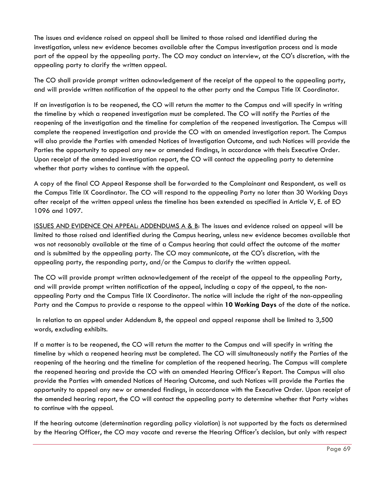The issues and evidence raised on appeal shall be limited to those raised and identified during the investigation, unless new evidence becomes available after the Campus investigation process and is made part of the appeal by the appealing party. The CO may conduct an interview, at the CO's discretion, with the appealing party to clarify the written appeal.

The CO shall provide prompt written acknowledgement of the receipt of the appeal to the appealing party, and will provide written notification of the appeal to the other party and the Campus Title IX Coordinator.

If an investigation is to be reopened, the CO will return the matter to the Campus and will specify in writing the timeline by which a reopened investigation must be completed. The CO will notify the Parties of the reopening of the investigation and the timeline for completion of the reopened investigation. The Campus will complete the reopened investigation and provide the CO with an amended investigation report. The Campus will also provide the Parties with amended Notices of Investigation Outcome, and such Notices will provide the Parties the opportunity to appeal any new or amended findings, in accordance with theis Executive Order. Upon receipt of the amended investigation report, the CO will contact the appealing party to determine whether that party wishes to continue with the appeal.

A copy of the final CO Appeal Response shall be forwarded to the Complainant and Respondent, as well as the Campus Title IX Coordinator. The CO will respond to the appealing Party no later than 30 Working Days after receipt of the written appeal unless the timeline has been extended as specified in Article V, E. of EO 1096 and 1097.

ISSUES AND EVIDENCE ON APPEAL: ADDENDUMS A & B: The issues and evidence raised on appeal will be limited to those raised and identified during the Campus hearing, unless new evidence becomes available that was not reasonably available at the time of a Campus hearing that could affect the outcome of the matter and is submitted by the appealing party. The CO may communicate, at the CO's discretion, with the appealing party, the responding party, and/or the Campus to clarify the written appeal.

The CO will provide prompt written acknowledgement of the receipt of the appeal to the appealing Party, and will provide prompt written notification of the appeal, including a copy of the appeal, to the nonappealing Party and the Campus Title IX Coordinator. The notice will include the right of the non-appealing Party and the Campus to provide a response to the appeal within **10 Working Days** of the date of the notice.

 In relation to an appeal under Addendum B, the appeal and appeal response shall be limited to 3,500 words, excluding exhibits.

If a matter is to be reopened, the CO will return the matter to the Campus and will specify in writing the timeline by which a reopened hearing must be completed. The CO will simultaneously notify the Parties of the reopening of the hearing and the timeline for completion of the reopened hearing. The Campus will complete the reopened hearing and provide the CO with an amended Hearing Officer's Report. The Campus will also provide the Parties with amended Notices of Hearing Outcome, and such Notices will provide the Parties the opportunity to appeal any new or amended findings, in accordance with the Executive Order. Upon receipt of the amended hearing report, the CO will contact the appealing party to determine whether that Party wishes to continue with the appeal.

If the hearing outcome (determination regarding policy violation) is not supported by the facts as determined by the Hearing Officer, the CO may vacate and reverse the Hearing Officer's decision, but only with respect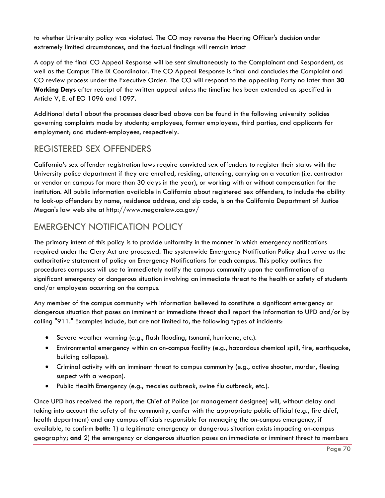to whether University policy was violated. The CO may reverse the Hearing Officer's decision under extremely limited circumstances, and the factual findings will remain intact

A copy of the final CO Appeal Response will be sent simultaneously to the Complainant and Respondent, as well as the Campus Title IX Coordinator. The CO Appeal Response is final and concludes the Complaint and CO review process under the Executive Order. The CO will respond to the appealing Party no later than **30 Working Days** after receipt of the written appeal unless the timeline has been extended as specified in Article V, E. of EO 1096 and 1097.

Additional detail about the processes described above can be found in the following university policies governing complaints made by students; employees, former employees, third parties, and applicants for employment; and student-employees, respectively.

## REGISTERED SEX OFFENDERS

California's sex offender registration laws require convicted sex offenders to register their status with the University police department if they are enrolled, residing, attending, carrying on a vocation (i.e. contractor or vendor on campus for more than 30 days in the year), or working with or without compensation for the institution. All public information available in California about registered sex offenders, to include the ability to look-up offenders by name, residence address, and zip code, is on the California Department of Justice Megan's law web site at http://www.meganslaw.ca.gov/

# EMERGENCY NOTIFICATION POLICY

The primary intent of this policy is to provide uniformity in the manner in which emergency notifications required under the Clery Act are processed. The systemwide Emergency Notification Policy shall serve as the authoritative statement of policy on Emergency Notifications for each campus. This policy outlines the procedures campuses will use to immediately notify the campus community upon the confirmation of a significant emergency or dangerous situation involving an immediate threat to the health or safety of students and/or employees occurring on the campus.

Any member of the campus community with information believed to constitute a significant emergency or dangerous situation that poses an imminent or immediate threat shall report the information to UPD and/or by calling "911." Examples include, but are not limited to, the following types of incidents:

- Severe weather warning (e.g., flash flooding, tsunami, hurricane, etc.).
- Environmental emergency within an on-campus facility (e.g., hazardous chemical spill, fire, earthquake, building collapse).
- Criminal activity with an imminent threat to campus community (e.g., active shooter, murder, fleeing suspect with a weapon).
- Public Health Emergency (e.g., measles outbreak, swine flu outbreak, etc.).

Once UPD has received the report, the Chief of Police (or management designee) will, without delay and taking into account the safety of the community, confer with the appropriate public official (e.g., fire chief, health department) and any campus officials responsible for managing the on-campus emergency, if available, to confirm **both**: 1) a legitimate emergency or dangerous situation exists impacting on-campus geography; **and** 2) the emergency or dangerous situation poses an immediate or imminent threat to members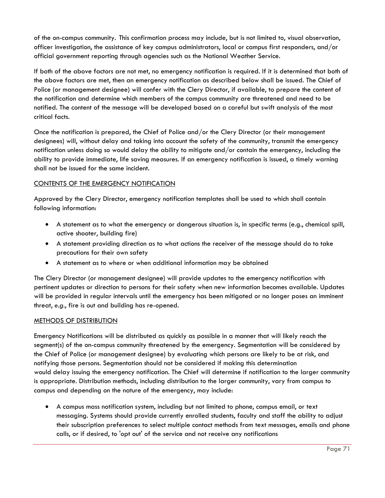of the on-campus community. This confirmation process may include, but is not limited to, visual observation, officer investigation, the assistance of key campus administrators, local or campus first responders, and/or official government reporting through agencies such as the National Weather Service.

If both of the above factors are not met, no emergency notification is required. If it is determined that both of the above factors are met, then an emergency notification as described below shall be issued. The Chief of Police (or management designee) will confer with the Clery Director, if available, to prepare the content of the notification and determine which members of the campus community are threatened and need to be notified. The content of the message will be developed based on a careful but swift analysis of the most critical facts.

Once the notification is prepared, the Chief of Police and/or the Clery Director (or their management designees) will, without delay and taking into account the safety of the community, transmit the emergency notification unless doing so would delay the ability to mitigate and/or contain the emergency, including the ability to provide immediate, life saving measures. If an emergency notification is issued, a timely warning shall not be issued for the same incident.

## CONTENTS OF THE EMERGENCY NOTIFICATION

Approved by the Clery Director, emergency notification templates shall be used to which shall contain following information:

- A statement as to what the emergency or dangerous situation is, in specific terms (e.g., chemical spill, active shooter, building fire)
- A statement providing direction as to what actions the receiver of the message should do to take precautions for their own safety
- A statement as to where or when additional information may be obtained

The Clery Director (or management designee) will provide updates to the emergency notification with pertinent updates or direction to persons for their safety when new information becomes available. Updates will be provided in regular intervals until the emergency has been mitigated or no longer poses an imminent threat, *e.g.*, fire is out and building has re-opened.

#### METHODS OF DISTRIBUTION

Emergency Notifications will be distributed as quickly as possible in a manner that will likely reach the segment(s) of the on-campus community threatened by the emergency. Segmentation will be considered by the Chief of Police (or management designee) by evaluating which persons are likely to be at risk, and notifying those persons. Segmentation should not be considered if making this determination would delay issuing the emergency notification. The Chief will determine if notification to the larger community is appropriate. Distribution methods, including distribution to the larger community, vary from campus to campus and depending on the nature of the emergency, may include:

• A campus mass notification system, including but not limited to phone, campus email, or text messaging. Systems should provide currently enrolled students, faculty and staff the ability to adjust their subscription preferences to select multiple contact methods from text messages, emails and phone calls, or if desired, to 'opt out' of the service and not receive any notifications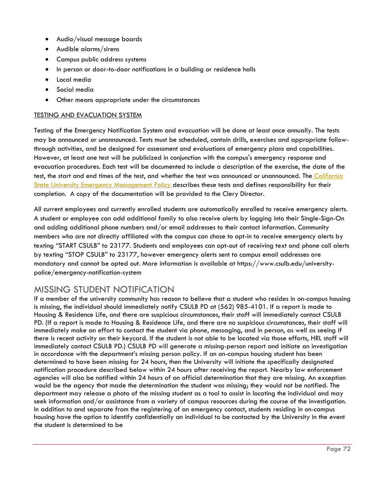- Audio/visual message boards
- Audible alarms/sirens
- Campus public address systems
- In person or door-to-door notifications in a building or residence halls
- Local media
- Social media
- Other means appropriate under the circumstances

### TESTING AND EVACUATION SYSTEM

Testing of the Emergency Notification System and evacuation will be done at least once annually. The tests may be announced or unannounced. Tests must be scheduled, contain drills, exercises and appropriate followthrough activities, and be designed for assessment and evaluations of emergency plans and capabilities. However, at least one test will be publicized in conjunction with the campus's emergency response and evacuation procedures. Each test will be documented to include a description of the exercise, the date of the test, the start and end times of the test, and whether the test was announced or unannounced. The California [State University Emergency Management](https://calstate.policystat.com/policy/8899651/latest/) Policy describes these tests and defines responsibility for their completion. A copy of the documentation will be provided to the Clery Director.

All current employees and currently enrolled students are automatically enrolled to receive emergency alerts. A student or employee can add additional family to also receive alerts by logging into their Single-Sign-On and adding additional phone numbers and/or email addresses to their contact information. Community members who are not directly affiliated with the campus can chose to opt-in to receive emergency alerts by texting "START CSULB" to 23177. Students and employees can opt-out of receiving text and phone call alerts by texting "STOP CSULB" to 23177, however emergency alerts sent to campus email addresses are mandatory and cannot be opted out. More information is available at https://www.csulb.edu/universitypolice/emergency-notification-system

# MISSING STUDENT NOTIFICATION

If a member of the university community has reason to believe that a student who resides in on-campus housing is missing, the individual should immediately notify CSULB PD at (562) 985-4101. If a report is made to Housing & Residence Life, and there are suspicious circumstances, their staff will immediately contact CSULB PD. (If a report is made to Housing & Residence Life, and there are no suspicious circumstances, their staff will immediately make an effort to contact the student via phone, messaging, and in person, as well as seeing if there is recent activity on their keycard. If the student is not able to be located via those efforts, HRL staff will immediately contact CSULB PD.) CSULB PD will generate a missing-person report and initiate an investigation in accordance with the department's missing person policy. If an on-campus housing student has been determined to have been missing for 24 hours, then the University will initiate the specifically designated notification procedure described below within 24 hours after receiving the report. Nearby law enforcement agencies will also be notified within 24 hours of an official determination that they are missing. An exception would be the agency that made the determination the student was missing; they would not be notified. The department may release a photo of the missing student as a tool to assist in locating the individual and may seek information and/or assistance from a variety of campus resources during the course of the investigation. In addition to and separate from the registering of an emergency contact, students residing in on-campus housing have the option to identify confidentially an individual to be contacted by the University in the event the student is determined to be